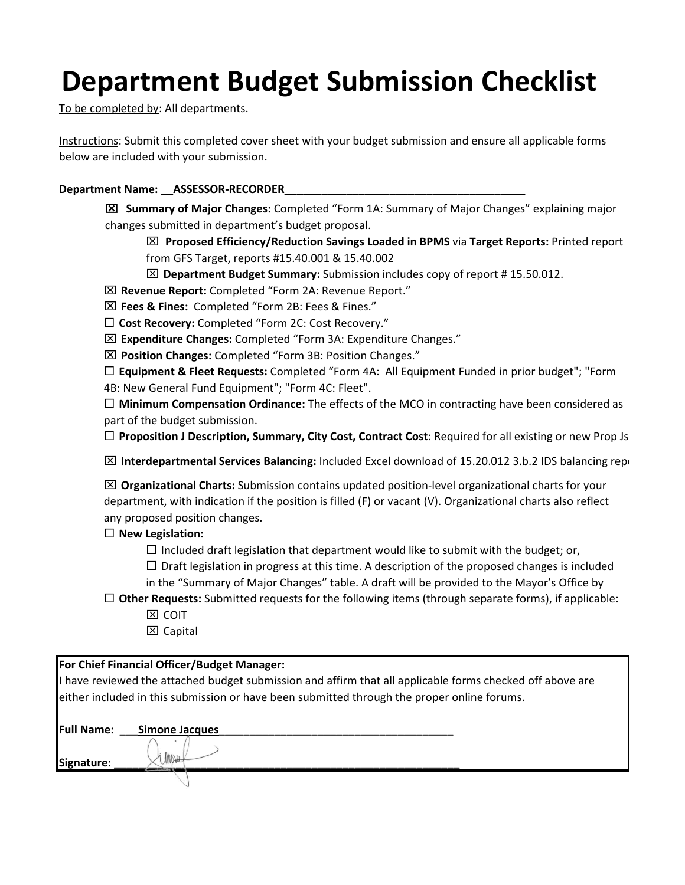# **Department Budget Submission Checklist**

To be completed by: All departments.

Instructions: Submit this completed cover sheet with your budget submission and ensure all applicable forms below are included with your submission.

### Department Name: \_\_\_ ASSESSOR-RECORDER

 **Summary of Major Changes:** Completed "Form 1A: Summary of Major Changes" explaining major changes submitted in department's budget proposal.

 **Proposed Efficiency/Reduction Savings Loaded in BPMS** via **Target Reports:** Printed report from GFS Target, reports #15.40.001 & 15.40.002

**Department Budget Summary:** Submission includes copy of report # 15.50.012.

**Revenue Report:** Completed "Form 2A: Revenue Report."

**Fees & Fines:** Completed "Form 2B: Fees & Fines."

**Cost Recovery:** Completed "Form 2C: Cost Recovery."

**Expenditure Changes:** Completed "Form 3A: Expenditure Changes."

**Position Changes:** Completed "Form 3B: Position Changes."

 **Equipment & Fleet Requests:** Completed "Form 4A: All Equipment Funded in prior budget"; "Form 4B: New General Fund Equipment"; "Form 4C: Fleet".

 **Minimum Compensation Ordinance:** The effects of the MCO in contracting have been considered as part of the budget submission.

**Proposition J Description, Summary, City Cost, Contract Cost**: Required for all existing or new Prop Js

**IM** Interdepartmental Services Balancing: Included Excel download of 15.20.012 3.b.2 IDS balancing repo

 **Organizational Charts:** Submission contains updated position-level organizational charts for your department, with indication if the position is filled (F) or vacant (V). Organizational charts also reflect any proposed position changes.

### **New Legislation:**

 $\Box$  Included draft legislation that department would like to submit with the budget; or,

 $\Box$  Draft legislation in progress at this time. A description of the proposed changes is included

- in the "Summary of Major Changes" table. A draft will be provided to the Mayor's Office by
- **Other Requests:** Submitted requests for the following items (through separate forms), if applicable: **X** COIT
	- $\Sigma$  Capital

### **For Chief Financial Officer/Budget Manager:**

I have reviewed the attached budget submission and affirm that all applicable forms checked off above are either included in this submission or have been submitted through the proper online forums.

| <b>Full Name:</b> | Simone Jacques |  |
|-------------------|----------------|--|
| Signature:        | What "         |  |
|                   |                |  |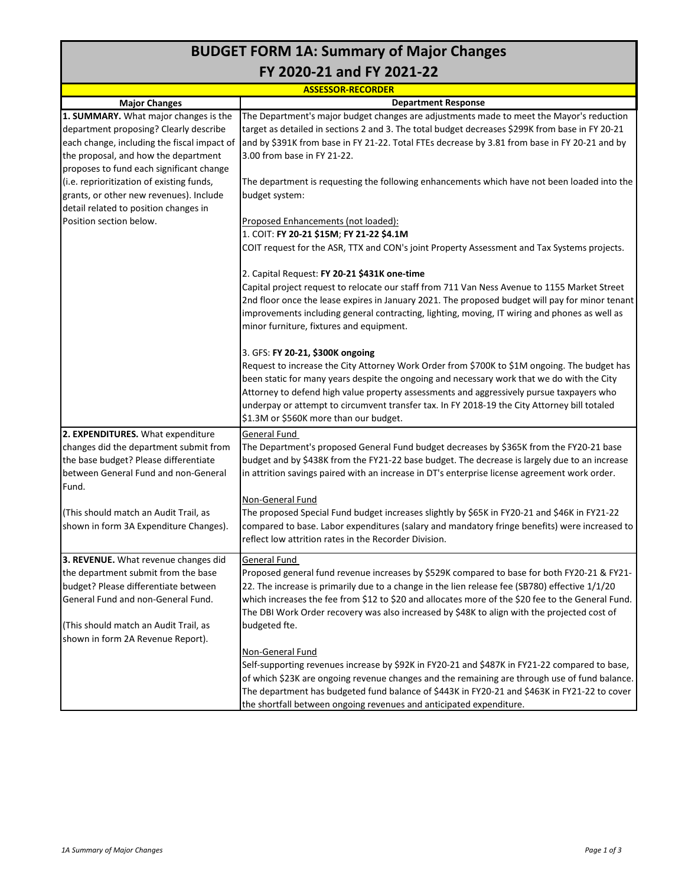## **BUDGET FORM 1A: Summary of Major Changes FY 2020‐21 and FY 2021‐22**

**Major Changes 1. SUMMARY.** What major changes is the department proposing? Clearly describe each change, including the fiscal impact of the proposal, and how the department proposes to fund each significant change (i.e. reprioritization of existing funds, grants, or other new revenues). Include detail related to position changes in Position section below. **2. EXPENDITURES.** What expenditure changes did the department submit from the base budget? Please differentiate between General Fund and non‐General Fund. (This should match an Audit Trail, as shown in form 3A Expenditure Changes). **3. REVENUE.** What revenue changes did the department submit from the base budget? Please differentiate between General Fund and non‐General Fund. (This should match an Audit Trail, as shown in form 2A Revenue Report). General Fund Proposed general fund revenue increases by \$529K compared to base for both FY20‐21 & FY21‐ 22. The increase is primarily due to a change in the lien release fee (SB780) effective 1/1/20 which increases the fee from \$12 to \$20 and allocates more of the \$20 fee to the General Fund. The DBI Work Order recovery was also increased by \$48K to align with the projected cost of budgeted fte. Non‐General Fund Self-supporting revenues increase by \$92K in FY20-21 and \$487K in FY21-22 compared to base, of which \$23K are ongoing revenue changes and the remaining are through use of fund balance. The department has budgeted fund balance of \$443K in FY20‐21 and \$463K in FY21‐22 to cover the shortfall between ongoing revenues and anticipated expenditure. **ASSESSOR‐RECORDER Department Response** The Department's major budget changes are adjustments made to meet the Mayor's reduction target as detailed in sections 2 and 3. The total budget decreases \$299K from base in FY 20‐21 and by \$391K from base in FY 21-22. Total FTEs decrease by 3.81 from base in FY 20-21 and by 3.00 from base in FY 21‐22. The department is requesting the following enhancements which have not been loaded into the budget system: Proposed Enhancements (not loaded): 1. COIT: **FY 20‐21 \$15M**; **FY 21‐22 \$4.1M** COIT request for the ASR, TTX and CON's joint Property Assessment and Tax Systems projects. 2. Capital Request: **FY 20‐21 \$431K one‐time** Capital project request to relocate our staff from 711 Van Ness Avenue to 1155 Market Street 2nd floor once the lease expires in January 2021. The proposed budget will pay for minor tenant improvements including general contracting, lighting, moving, IT wiring and phones as well as minor furniture, fixtures and equipment. 3. GFS: **FY 20‐21, \$300K ongoing** Request to increase the City Attorney Work Order from \$700K to \$1M ongoing. The budget has been static for many years despite the ongoing and necessary work that we do with the City Attorney to defend high value property assessments and aggressively pursue taxpayers who underpay or attempt to circumvent transfer tax. In FY 2018-19 the City Attorney bill totaled \$1.3M or \$560K more than our budget. General Fund The Department's proposed General Fund budget decreases by \$365K from the FY20‐21 base budget and by \$438K from the FY21‐22 base budget. The decrease is largely due to an increase in attrition savings paired with an increase in DT's enterprise license agreement work order. Non‐General Fund The proposed Special Fund budget increases slightly by \$65K in FY20‐21 and \$46K in FY21‐22 compared to base. Labor expenditures (salary and mandatory fringe benefits) were increased to reflect low attrition rates in the Recorder Division.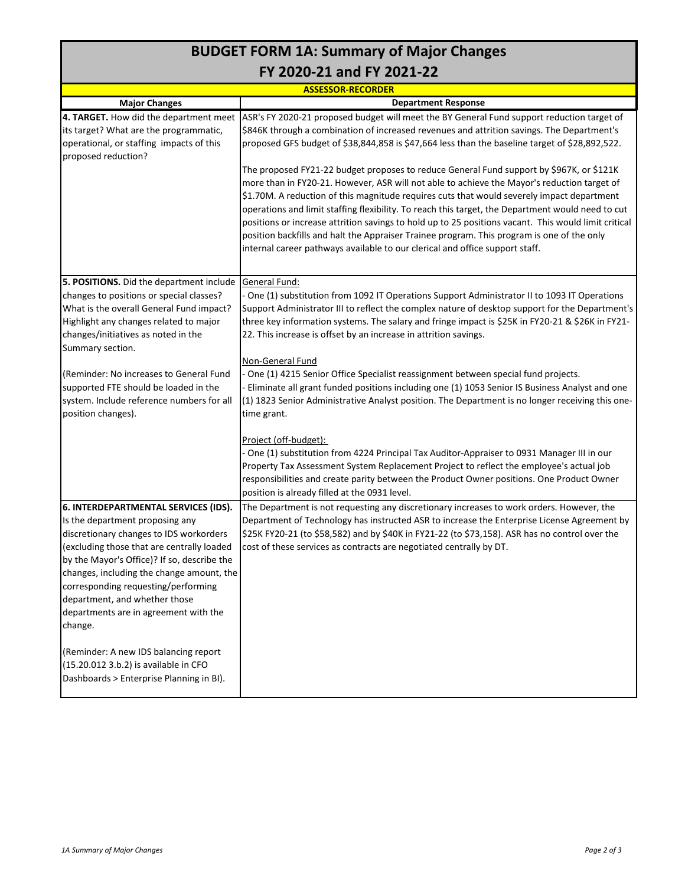## **BUDGET FORM 1A: Summary of Major Changes FY 2020‐21 and FY 2021‐22**

|                                                                                                                                                                                                                                                                                                                                                                                          | <b>ASSESSOR-RECORDER</b>                                                                                                                                                                                                                                                                                                                                                                                                                                                                                                                                                                                                                                                                                                                                                                                                                                                                                                                                                       |
|------------------------------------------------------------------------------------------------------------------------------------------------------------------------------------------------------------------------------------------------------------------------------------------------------------------------------------------------------------------------------------------|--------------------------------------------------------------------------------------------------------------------------------------------------------------------------------------------------------------------------------------------------------------------------------------------------------------------------------------------------------------------------------------------------------------------------------------------------------------------------------------------------------------------------------------------------------------------------------------------------------------------------------------------------------------------------------------------------------------------------------------------------------------------------------------------------------------------------------------------------------------------------------------------------------------------------------------------------------------------------------|
| <b>Major Changes</b>                                                                                                                                                                                                                                                                                                                                                                     | <b>Department Response</b>                                                                                                                                                                                                                                                                                                                                                                                                                                                                                                                                                                                                                                                                                                                                                                                                                                                                                                                                                     |
| 4. TARGET. How did the department meet<br>its target? What are the programmatic,<br>operational, or staffing impacts of this<br>proposed reduction?                                                                                                                                                                                                                                      | ASR's FY 2020-21 proposed budget will meet the BY General Fund support reduction target of<br>\$846K through a combination of increased revenues and attrition savings. The Department's<br>proposed GFS budget of \$38,844,858 is \$47,664 less than the baseline target of \$28,892,522.<br>The proposed FY21-22 budget proposes to reduce General Fund support by \$967K, or \$121K<br>more than in FY20-21. However, ASR will not able to achieve the Mayor's reduction target of<br>\$1.70M. A reduction of this magnitude requires cuts that would severely impact department<br>operations and limit staffing flexibility. To reach this target, the Department would need to cut<br>positions or increase attrition savings to hold up to 25 positions vacant. This would limit critical<br>position backfills and halt the Appraiser Trainee program. This program is one of the only<br>internal career pathways available to our clerical and office support staff. |
| 5. POSITIONS. Did the department include<br>changes to positions or special classes?<br>What is the overall General Fund impact?<br>Highlight any changes related to major<br>changes/initiatives as noted in the<br>Summary section.                                                                                                                                                    | General Fund:<br>- One (1) substitution from 1092 IT Operations Support Administrator II to 1093 IT Operations<br>Support Administrator III to reflect the complex nature of desktop support for the Department's<br>three key information systems. The salary and fringe impact is \$25K in FY20-21 & \$26K in FY21-<br>22. This increase is offset by an increase in attrition savings.<br>Non-General Fund                                                                                                                                                                                                                                                                                                                                                                                                                                                                                                                                                                  |
| (Reminder: No increases to General Fund<br>supported FTE should be loaded in the<br>system. Include reference numbers for all<br>position changes).                                                                                                                                                                                                                                      | One (1) 4215 Senior Office Specialist reassignment between special fund projects.<br>Eliminate all grant funded positions including one (1) 1053 Senior IS Business Analyst and one<br>(1) 1823 Senior Administrative Analyst position. The Department is no longer receiving this one-<br>time grant.<br><u>Project (off-budget):</u><br>One (1) substitution from 4224 Principal Tax Auditor-Appraiser to 0931 Manager III in our                                                                                                                                                                                                                                                                                                                                                                                                                                                                                                                                            |
|                                                                                                                                                                                                                                                                                                                                                                                          | Property Tax Assessment System Replacement Project to reflect the employee's actual job<br>responsibilities and create parity between the Product Owner positions. One Product Owner<br>position is already filled at the 0931 level.                                                                                                                                                                                                                                                                                                                                                                                                                                                                                                                                                                                                                                                                                                                                          |
| 6. INTERDEPARTMENTAL SERVICES (IDS).<br>Is the department proposing any<br>discretionary changes to IDS workorders<br>(excluding those that are centrally loaded<br>by the Mayor's Office)? If so, describe the<br>changes, including the change amount, the<br>corresponding requesting/performing<br>department, and whether those<br>departments are in agreement with the<br>change. | The Department is not requesting any discretionary increases to work orders. However, the<br>Department of Technology has instructed ASR to increase the Enterprise License Agreement by<br>\$25K FY20-21 (to \$58,582) and by \$40K in FY21-22 (to \$73,158). ASR has no control over the<br>cost of these services as contracts are negotiated centrally by DT.                                                                                                                                                                                                                                                                                                                                                                                                                                                                                                                                                                                                              |
| (Reminder: A new IDS balancing report<br>(15.20.012 3.b.2) is available in CFO<br>Dashboards > Enterprise Planning in BI).                                                                                                                                                                                                                                                               |                                                                                                                                                                                                                                                                                                                                                                                                                                                                                                                                                                                                                                                                                                                                                                                                                                                                                                                                                                                |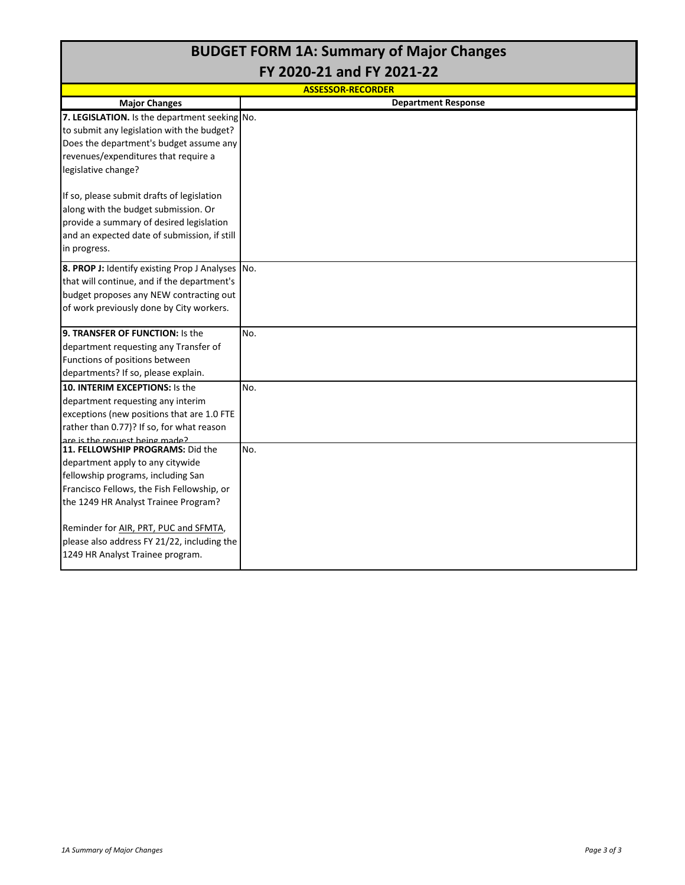## **BUDGET FORM 1A: Summary of Major Changes FY 2020‐21 and FY 2021‐22**

| <b>ASSESSOR-RECORDER</b>                                                         |                            |  |  |  |  |
|----------------------------------------------------------------------------------|----------------------------|--|--|--|--|
| <b>Major Changes</b>                                                             | <b>Department Response</b> |  |  |  |  |
| 7. LEGISLATION. Is the department seeking No.                                    |                            |  |  |  |  |
| to submit any legislation with the budget?                                       |                            |  |  |  |  |
| Does the department's budget assume any                                          |                            |  |  |  |  |
| revenues/expenditures that require a                                             |                            |  |  |  |  |
| legislative change?                                                              |                            |  |  |  |  |
| If so, please submit drafts of legislation                                       |                            |  |  |  |  |
| along with the budget submission. Or<br>provide a summary of desired legislation |                            |  |  |  |  |
| and an expected date of submission, if still                                     |                            |  |  |  |  |
| in progress.                                                                     |                            |  |  |  |  |
| 8. PROP J: Identify existing Prop J Analyses                                     | No.                        |  |  |  |  |
| that will continue, and if the department's                                      |                            |  |  |  |  |
| budget proposes any NEW contracting out                                          |                            |  |  |  |  |
| of work previously done by City workers.                                         |                            |  |  |  |  |
| <b>9. TRANSFER OF FUNCTION: Is the</b>                                           | No.                        |  |  |  |  |
| department requesting any Transfer of                                            |                            |  |  |  |  |
| Functions of positions between                                                   |                            |  |  |  |  |
| departments? If so, please explain.                                              |                            |  |  |  |  |
| 10. INTERIM EXCEPTIONS: Is the                                                   | No.                        |  |  |  |  |
| department requesting any interim                                                |                            |  |  |  |  |
| exceptions (new positions that are 1.0 FTE                                       |                            |  |  |  |  |
| rather than 0.77)? If so, for what reason                                        |                            |  |  |  |  |
| are is the request heing made?                                                   |                            |  |  |  |  |
| 111. FELLOWSHIP PROGRAMS: Did the                                                | No.                        |  |  |  |  |
| department apply to any citywide                                                 |                            |  |  |  |  |
| fellowship programs, including San                                               |                            |  |  |  |  |
| Francisco Fellows, the Fish Fellowship, or                                       |                            |  |  |  |  |
| the 1249 HR Analyst Trainee Program?                                             |                            |  |  |  |  |
| Reminder for AIR, PRT, PUC and SFMTA,                                            |                            |  |  |  |  |
| please also address FY 21/22, including the                                      |                            |  |  |  |  |
| 1249 HR Analyst Trainee program.                                                 |                            |  |  |  |  |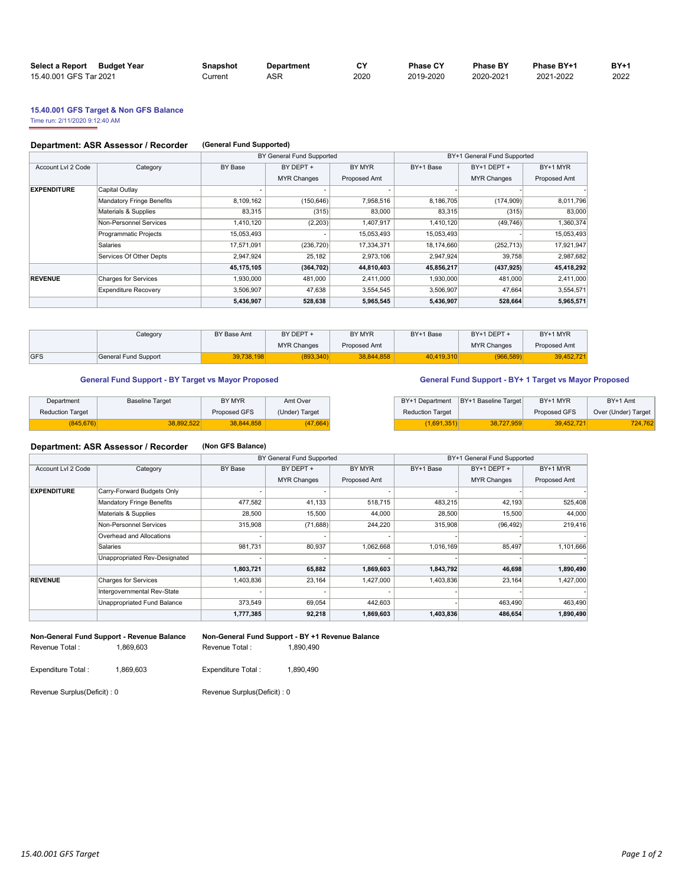| <b>Select a Report</b><br>Budget Year | Snapshot | Department | C٧   | <b>Phase CY</b> | <b>Phase BY</b> | Phase BY+1 | <b>BY+1</b> |
|---------------------------------------|----------|------------|------|-----------------|-----------------|------------|-------------|
| 15.40.001 GFS Tar 2021                | Current  | ASR        | 2020 | 2019-2020       | 2020-2021       | 2021-2022  | 2022        |

### **15.40.001 GFS Target & Non GFS Balance**

Time run: 2/11/2020 9:12:40 AM

### **Department: ASR Assessor / Recorder (General Fund Supported)**

|                    |                             |            | BY General Fund Supported |              | BY+1 General Fund Supported |                    |              |  |
|--------------------|-----------------------------|------------|---------------------------|--------------|-----------------------------|--------------------|--------------|--|
| Account Lvl 2 Code | Category                    | BY Base    | BY DEPT +                 | BY MYR       | BY+1 Base                   | $BY+1$ DEPT +      | BY+1 MYR     |  |
|                    |                             |            | <b>MYR Changes</b>        | Proposed Amt |                             | <b>MYR Changes</b> | Proposed Amt |  |
| <b>EXPENDITURE</b> | Capital Outlay              |            |                           |              |                             |                    |              |  |
|                    | Mandatory Fringe Benefits   | 8,109,162  | (150, 646)                | 7,958,516    | 8,186,705                   | (174, 909)         | 8,011,796    |  |
|                    | Materials & Supplies        | 83.315     | (315)                     | 83,000       | 83,315                      | (315)              | 83,000       |  |
|                    | Non-Personnel Services      | 1,410,120  | (2,203)                   | 1,407,917    | 1,410,120                   | (49, 746)          | 1,360,374    |  |
|                    | Programmatic Projects       | 15,053,493 |                           | 15,053,493   | 15,053,493                  |                    | 15,053,493   |  |
|                    | <b>Salaries</b>             | 17,571,091 | (236, 720)                | 17,334,371   | 18,174,660                  | (252, 713)         | 17,921,947   |  |
|                    | Services Of Other Depts     | 2,947,924  | 25.182                    | 2,973,106    | 2,947,924                   | 39.758             | 2,987,682    |  |
|                    |                             | 45,175,105 | (364, 702)                | 44,810,403   | 45,856,217                  | (437, 925)         | 45,418,292   |  |
| <b>REVENUE</b>     | Charges for Services        | 1,930,000  | 481,000                   | 2,411,000    | 1,930,000                   | 481,000            | 2,411,000    |  |
|                    | <b>Expenditure Recovery</b> | 3,506,907  | 47,638                    | 3,554,545    | 3,506,907                   | 47.664             | 3,554,571    |  |
|                    |                             | 5,436,907  | 528,638                   | 5,965,545    | 5,436,907                   | 528,664            | 5,965,571    |  |

|            | Category             | BY Base Amt | BY DEPT +          | BY MYR       | BY+1 Base  | BY+1 DEPT +        | BY+1 MYR     |  |
|------------|----------------------|-------------|--------------------|--------------|------------|--------------------|--------------|--|
|            |                      |             | <b>MYR Changes</b> | Proposed Amt |            | <b>MYR Changes</b> | Proposed Amt |  |
| <b>GFS</b> | General Fund Support | 39.738.198  | 893.340            | 38.844.858   | 40.419.310 | (966.589)          | 39.452.721   |  |

### General Fund Support - BY Target vs Mayor Proposed **General Fund Support - BY+ 1 Target vs Mayor Proposed**

| Department              | <b>Baseline Target</b> | BY MYR       | Amt Over       |                         | BY+1 Department BY+1 Baseline Target | BY+1 MYR     | BY+1 Amt            |
|-------------------------|------------------------|--------------|----------------|-------------------------|--------------------------------------|--------------|---------------------|
| <b>Reduction Target</b> |                        | Proposed GFS | (Under) Target | <b>Reduction Target</b> |                                      | Proposed GFS | Over (Under) Target |
| 345.676)                | <b>8.892.522</b>       | 38.844.858   | 47,664)        | 1,691,351)              | 38.727.959                           | 39.452.721   | 724,762             |

### **Department: ASR Assessor / Recorder (Non GFS Balance)**

|                    |                               |           | BY General Fund Supported |              | BY+1 General Fund Supported |                    |              |  |
|--------------------|-------------------------------|-----------|---------------------------|--------------|-----------------------------|--------------------|--------------|--|
| Account Lvl 2 Code | Category                      | BY Base   | BY DEPT +                 | BY MYR       | BY+1 Base                   | BY+1 DEPT +        | BY+1 MYR     |  |
|                    |                               |           | <b>MYR Changes</b>        | Proposed Amt |                             | <b>MYR Changes</b> | Proposed Amt |  |
| <b>EXPENDITURE</b> | Carry-Forward Budgets Only    |           |                           |              |                             |                    |              |  |
|                    | Mandatory Fringe Benefits     | 477,582   | 41,133                    | 518,715      | 483,215                     | 42,193             | 525,408      |  |
|                    | Materials & Supplies          | 28,500    | 15,500                    | 44,000       | 28,500                      | 15,500             | 44,000       |  |
|                    | Non-Personnel Services        | 315,908   | (71, 688)                 | 244,220      | 315,908                     | (96, 492)          | 219,416      |  |
|                    | Overhead and Allocations      |           |                           |              |                             |                    |              |  |
|                    | Salaries                      | 981.731   | 80,937                    | 1,062,668    | 1,016,169                   | 85.497             | 1,101,666    |  |
|                    | Unappropriated Rev-Designated |           |                           |              |                             |                    |              |  |
|                    |                               | 1,803,721 | 65,882                    | 1,869,603    | 1,843,792                   | 46,698             | 1,890,490    |  |
| <b>REVENUE</b>     | <b>Charges for Services</b>   | 1,403,836 | 23,164                    | 1,427,000    | 1,403,836                   | 23,164             | 1,427,000    |  |
|                    | Intergovernmental Rev-State   |           |                           |              |                             |                    |              |  |
|                    | Unappropriated Fund Balance   | 373,549   | 69,054                    | 442,603      |                             | 463.490            | 463,490      |  |
|                    |                               | 1,777,385 | 92,218                    | 1,869,603    | 1,403,836                   | 486,654            | 1,890,490    |  |
|                    |                               |           |                           |              |                             |                    |              |  |

**Non-General Fund Support - Revenue Balance Non-General Fund Support - BY +1 Revenue Balance**  Revenue Total : 1,869,603 Revenue Total : 1,890,490

| evenue Total : |  |  |
|----------------|--|--|
|                |  |  |

| Expenditure Total: | 1,869,603 | Expenditure Total: | 1,890,490 |
|--------------------|-----------|--------------------|-----------|
|--------------------|-----------|--------------------|-----------|

Revenue Surplus(Deficit) : 0 Revenue Surplus(Deficit) : 0

| BY+1 Department         | BY+1 Baseline Target l | BY+1 MYR     | BY+1 Amt            |
|-------------------------|------------------------|--------------|---------------------|
| <b>Reduction Target</b> |                        | Proposed GFS | Over (Under) Target |
| (1.691.351)             | 38.727.959             | 39.452.721   | 724.762             |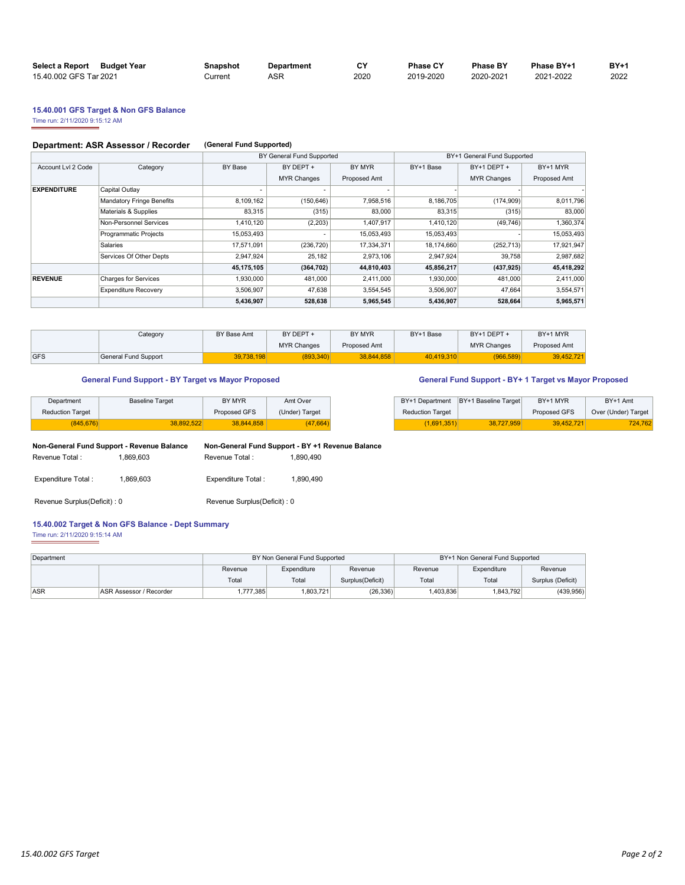| Select a Report Budget Year | Snapshot | Department | C٧   | <b>Phase CY</b> | <b>Phase BY</b> | Phase BY+1 | <b>BY+1</b> |
|-----------------------------|----------|------------|------|-----------------|-----------------|------------|-------------|
| 15.40.002 GFS Tar 2021      | Current  | ASR        | 2020 | 2019-2020       | 2020-2021       | 2021-2022  | 2022        |

## **15.40.001 GFS Target & Non GFS Balance**

Time run: 2/11/2020 9:15:12 AM

### **Department: ASR Assessor / Recorder (General Fund Supported)**

|                    |                             |            | BY General Fund Supported |              | BY+1 General Fund Supported |                    |              |  |  |  |
|--------------------|-----------------------------|------------|---------------------------|--------------|-----------------------------|--------------------|--------------|--|--|--|
| Account Lvl 2 Code | Category                    | BY Base    | BY DEPT +                 | BY MYR       | BY+1 Base                   | BY+1 DEPT +        | BY+1 MYR     |  |  |  |
|                    |                             |            | <b>MYR Changes</b>        | Proposed Amt |                             | <b>MYR Changes</b> | Proposed Amt |  |  |  |
| <b>EXPENDITURE</b> | Capital Outlay              |            |                           | ۰            |                             |                    |              |  |  |  |
|                    | Mandatory Fringe Benefits   | 8,109,162  | (150, 646)                | 7,958,516    | 8,186,705                   | (174,909)          | 8,011,796    |  |  |  |
|                    | Materials & Supplies        | 83.315     | (315)                     | 83,000       | 83.315                      | (315)              | 83,000       |  |  |  |
|                    | Non-Personnel Services      | 1,410,120  | (2,203)                   | 1,407,917    | 1,410,120                   | (49, 746)          | 1,360,374    |  |  |  |
|                    | Programmatic Projects       | 15,053,493 |                           | 15,053,493   | 15,053,493                  |                    | 15,053,493   |  |  |  |
|                    | Salaries                    | 17,571,091 | (236, 720)                | 17,334,371   | 18,174,660                  | (252, 713)         | 17,921,947   |  |  |  |
|                    | Services Of Other Depts     | 2,947,924  | 25.182                    | 2,973,106    | 2,947,924                   | 39.758             | 2,987,682    |  |  |  |
|                    |                             | 45,175,105 | (364, 702)                | 44,810,403   | 45,856,217                  | (437, 925)         | 45,418,292   |  |  |  |
| <b>REVENUE</b>     | Charges for Services        | 1,930,000  | 481,000                   | 2,411,000    | 1,930,000                   | 481,000            | 2,411,000    |  |  |  |
|                    | <b>Expenditure Recovery</b> | 3,506,907  | 47,638                    | 3,554,545    | 3,506,907                   | 47.664             | 3,554,571    |  |  |  |
|                    |                             | 5,436,907  | 528,638                   | 5,965,545    | 5,436,907                   | 528,664            | 5,965,571    |  |  |  |

|             | Category             | BY Base Amt | BY DEPT +          | BY MYR       | BY+1 Base  | BY+1 DEPT +        | BY+1 MYR     |
|-------------|----------------------|-------------|--------------------|--------------|------------|--------------------|--------------|
|             |                      |             | <b>MYR Changes</b> | Proposed Amt |            | <b>MYR Changes</b> | Proposed Amt |
| <b>IGFS</b> | General Fund Support | 39.738.198  | (893, 340)         | 38.844.858   | 40.419.310 | (966, 589)         | 39.452.72    |

### **General Fund Support - BY Target vs Mayor Proposed General Fund Support - BY+ 1 Target vs Mayor Proposed**

| Department              | <b>Baseline Target</b> | BY MYR       | Amt Over       |                         | BY+1 Department BY+1 Baseline Target | BY+1 MYR     | BY+1 Amt            |
|-------------------------|------------------------|--------------|----------------|-------------------------|--------------------------------------|--------------|---------------------|
| <b>Reduction Target</b> |                        | Proposed GFS | (Under) Target | <b>Reduction Target</b> |                                      | Proposed GFS | Over (Under) Target |
| (845, 676)              | 38.892.522             | 38.844.858   | (47, 664)      | 1,691,351)              | 38.727.959                           | 39.452.721   | 724,762             |

|                         | BY+1 Department IBY+1 Baseline Target | BY+1 MYR     | BY+1 Amt            |  |
|-------------------------|---------------------------------------|--------------|---------------------|--|
| <b>Reduction Target</b> |                                       | Proposed GFS | Over (Under) Target |  |
| (1.691.351)             | 38.727.959                            | 39.452.7211  | 724.762             |  |

| Non-General Fund Support - Revenue Balance |           |                               | Non-General Fund Support - BY +1 Revenue Balance |
|--------------------------------------------|-----------|-------------------------------|--------------------------------------------------|
| Revenue Total:                             | 1.869.603 | Revenue Total:                | 1.890.490                                        |
| Expenditure Total:                         | 1.869.603 | Expenditure Total:            | 1.890.490                                        |
| Revenue Surplus (Deficit) : 0              |           | Revenue Surplus (Deficit) : 0 |                                                  |

### **15.40.002 Target & Non GFS Balance - Dept Summary**

Time run: 2/11/2020 9:15:14 AM

| Department |                                |          | BY Non General Fund Supported |                   |          | BY+1 Non General Fund Supported |                   |
|------------|--------------------------------|----------|-------------------------------|-------------------|----------|---------------------------------|-------------------|
|            |                                | Revenue  | Expenditure                   | Revenue           | Revenue  | Expenditure                     | Revenue           |
|            |                                | Total    | Total                         | Surplus (Deficit) | Total    | Total                           | Surplus (Deficit) |
| <b>ASR</b> | <b>ASR Assessor / Recorder</b> | .777.385 | 1.803.721                     | (26, 336)         | .403.836 | 1.843.792                       | (439,956)         |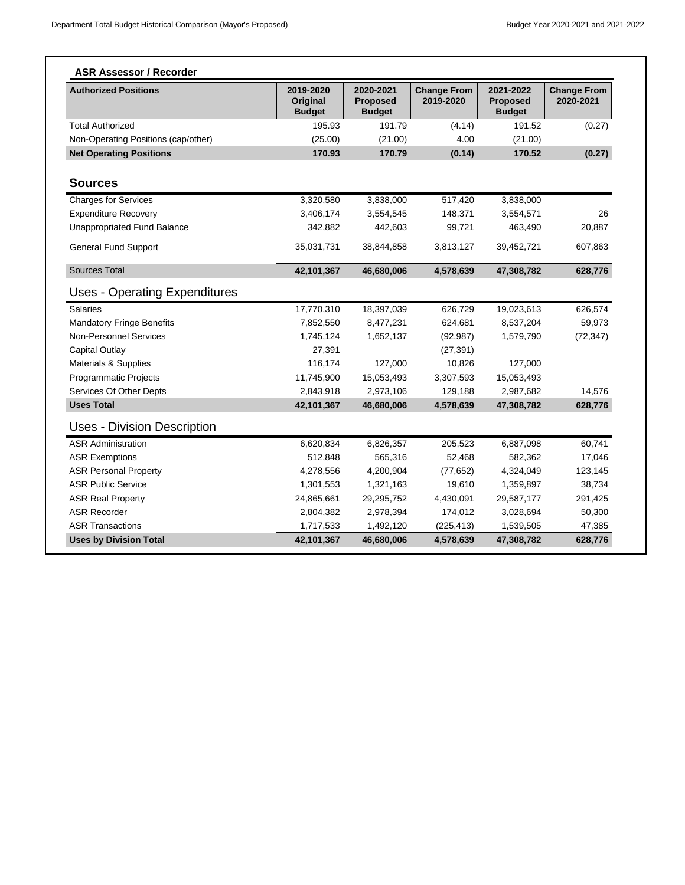| <b>Authorized Positions</b>          | 2019-2020<br>Original<br><b>Budget</b> | 2020-2021<br><b>Proposed</b><br><b>Budget</b> | <b>Change From</b><br>2019-2020 | 2021-2022<br><b>Proposed</b><br><b>Budget</b> | <b>Change From</b><br>2020-2021 |
|--------------------------------------|----------------------------------------|-----------------------------------------------|---------------------------------|-----------------------------------------------|---------------------------------|
| <b>Total Authorized</b>              | 195.93                                 | 191.79                                        | (4.14)                          | 191.52                                        | (0.27)                          |
| Non-Operating Positions (cap/other)  | (25.00)                                | (21.00)                                       | 4.00                            | (21.00)                                       |                                 |
| <b>Net Operating Positions</b>       | 170.93                                 | 170.79                                        | (0.14)                          | 170.52                                        | (0.27)                          |
| <b>Sources</b>                       |                                        |                                               |                                 |                                               |                                 |
| <b>Charges for Services</b>          | 3,320,580                              | 3,838,000                                     | 517,420                         | 3,838,000                                     |                                 |
| <b>Expenditure Recovery</b>          | 3,406,174                              | 3,554,545                                     | 148,371                         | 3,554,571                                     | 26                              |
| <b>Unappropriated Fund Balance</b>   | 342,882                                | 442,603                                       | 99,721                          | 463,490                                       | 20,887                          |
| <b>General Fund Support</b>          | 35,031,731                             | 38,844,858                                    | 3,813,127                       | 39,452,721                                    | 607,863                         |
| <b>Sources Total</b>                 | 42,101,367                             | 46,680,006                                    | 4,578,639                       | 47,308,782                                    | 628,776                         |
| <b>Uses - Operating Expenditures</b> |                                        |                                               |                                 |                                               |                                 |
| <b>Salaries</b>                      | 17,770,310                             | 18,397,039                                    | 626,729                         | 19,023,613                                    | 626,574                         |
| <b>Mandatory Fringe Benefits</b>     | 7,852,550                              | 8,477,231                                     | 624,681                         | 8,537,204                                     | 59,973                          |
| Non-Personnel Services               | 1,745,124                              | 1,652,137                                     | (92, 987)                       | 1,579,790                                     | (72, 347)                       |
| Capital Outlay                       | 27,391                                 |                                               | (27, 391)                       |                                               |                                 |
| Materials & Supplies                 | 116,174                                | 127,000                                       | 10,826                          | 127,000                                       |                                 |
| Programmatic Projects                | 11,745,900                             | 15,053,493                                    | 3,307,593                       | 15,053,493                                    |                                 |
| Services Of Other Depts              | 2,843,918                              | 2,973,106                                     | 129,188                         | 2,987,682                                     | 14,576                          |
| <b>Uses Total</b>                    | 42,101,367                             | 46,680,006                                    | 4,578,639                       | 47,308,782                                    | 628,776                         |
| <b>Uses - Division Description</b>   |                                        |                                               |                                 |                                               |                                 |
| <b>ASR Administration</b>            | 6,620,834                              | 6,826,357                                     | 205,523                         | 6,887,098                                     | 60,741                          |
| <b>ASR Exemptions</b>                | 512,848                                | 565,316                                       | 52,468                          | 582,362                                       | 17,046                          |
| <b>ASR Personal Property</b>         | 4,278,556                              | 4,200,904                                     | (77, 652)                       | 4,324,049                                     | 123,145                         |
| <b>ASR Public Service</b>            | 1,301,553                              | 1,321,163                                     | 19,610                          | 1,359,897                                     | 38,734                          |
| <b>ASR Real Property</b>             | 24,865,661                             | 29,295,752                                    | 4,430,091                       | 29,587,177                                    | 291,425                         |
| <b>ASR Recorder</b>                  | 2,804,382                              | 2,978,394                                     | 174,012                         | 3,028,694                                     | 50,300                          |
| <b>ASR Transactions</b>              | 1,717,533                              | 1,492,120                                     | (225, 413)                      | 1,539,505                                     | 47,385                          |
| <b>Uses by Division Total</b>        | 42,101,367                             | 46,680,006                                    | 4,578,639                       | 47,308,782                                    | 628,776                         |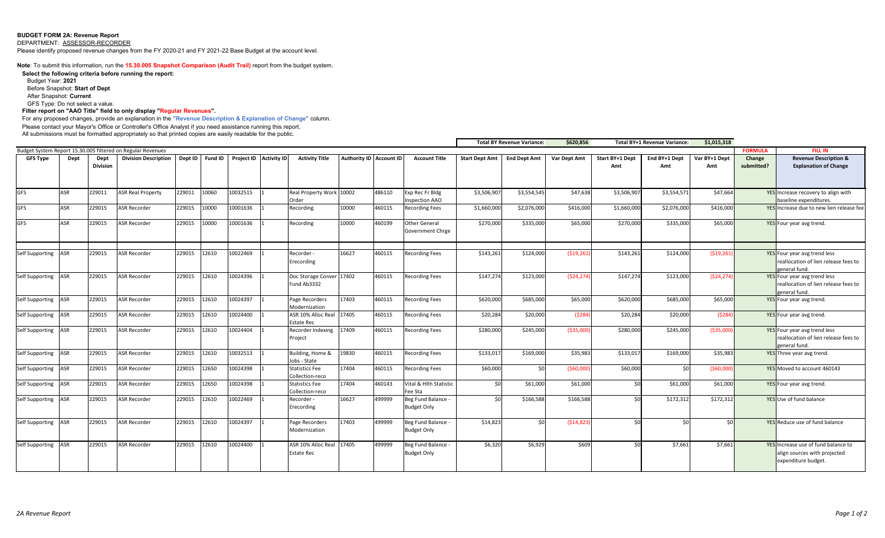### **BUDGET FORM 2A: Revenue Report**

DEPARTMENT: ASSESSOR-RECORDER

Please identify proposed revenue changes from the FY 2020-21 and FY 2021-22 Base Budget at the account level.

**Note**: To submit this information, run the **15.30.005 Snapshot Comparison (Audit Trail)** report from the budget system.

**Select the following criteria before running the report:** 

Budget Year: **2021**

Before Snapshot: **Start of Dept**

After Snapshot: **Current**

GFS Type: Do not select a value.

**Filter report on "AAO Title" field to only display "Regular Revenues".** 

For any proposed changes, provide an explanation in the **"Revenue Description & Explanation of Change"** column. Please contact your Mayor's Office or Controller's Office Analyst if you need assistance running this report.

All submissions must be formatted appropriately so that printed copies are easily readable for the public.

|                     |            |                         |                                                             |         |       |                                |                                         |       |                         |                                          |                       | <b>Total BY Revenue Variance:</b> | \$620,856    |                        | Total BY+1 Revenue Variance: | \$1,015,318          |                      |                                                                                            |
|---------------------|------------|-------------------------|-------------------------------------------------------------|---------|-------|--------------------------------|-----------------------------------------|-------|-------------------------|------------------------------------------|-----------------------|-----------------------------------|--------------|------------------------|------------------------------|----------------------|----------------------|--------------------------------------------------------------------------------------------|
|                     |            |                         | Budget System Report 15.30.005 filtered on Regular Revenues |         |       |                                |                                         |       |                         |                                          |                       |                                   |              |                        |                              |                      | <b>FORMULA</b>       | <b>FILL IN</b>                                                                             |
| <b>GFS Type</b>     | Dept       | Dept<br><b>Division</b> | <b>Division Description</b>                                 | Dept ID |       | Fund ID Project ID Activity ID | <b>Activity Title</b>                   |       | Authority ID Account ID | <b>Account Title</b>                     | <b>Start Dept Amt</b> | <b>End Dept Amt</b>               | Var Dept Amt | Start BY+1 Dept<br>Amt | End BY+1 Dept<br>Amt         | Var BY+1 Dept<br>Amt | Change<br>submitted? | <b>Revenue Description &amp;</b><br><b>Explanation of Change</b>                           |
| <b>GFS</b>          | <b>ASR</b> | 229011                  | <b>ASR Real Property</b>                                    | 229011  | 10060 | 10032515                       | Real Property Work 10002                |       | 486110                  | Exp Rec Fr Bldg                          | \$3,506,907           | \$3,554,545                       | \$47,638     | \$3,506,907            | \$3,554,571                  | \$47,664             |                      | YES Increase recovery to align with                                                        |
|                     |            |                         |                                                             |         |       |                                | Order                                   |       |                         | <b>Inspection AAO</b>                    |                       |                                   |              |                        |                              |                      |                      | baseline expenditures.                                                                     |
| <b>GFS</b>          | <b>ASR</b> | 229015                  | <b>ASR Recorder</b>                                         | 229015  | 10000 | 10001636                       | Recording                               | 10000 | 460115                  | <b>Recording Fees</b>                    | \$1,660,000           | \$2,076,000                       | \$416,000    | \$1,660,000            | \$2,076,000                  | \$416,000            |                      | YES Increase due to new lien release fee                                                   |
| <b>GFS</b>          | <b>ASR</b> | 229015                  | <b>ASR Recorder</b>                                         | 229015  | 10000 | 10001636                       | Recording                               | 10000 | 460199                  | Other General<br>Government Chrge        | \$270,000             | \$335,000                         | \$65,000     | \$270,000              | \$335,000                    | \$65,000             |                      | YES Four year avg trend.                                                                   |
| Self Supporting ASR |            | 229015                  | <b>ASR Recorder</b>                                         | 229015  | 12610 | 10022469                       | Recorder -<br>Erecording                | 16627 | 460115                  | <b>Recording Fees</b>                    | \$143,261             | \$124,000                         | (519, 261)   | \$143,261              | \$124,000                    | ( \$19, 261]         |                      | YES Four year avg trend less<br>reallocation of lien release fees to<br>general fund.      |
| Self Supporting ASR |            | 229015                  | <b>ASR Recorder</b>                                         | 229015  | 12610 | 10024396                       | Doc Storage Conver 17402<br>Fund Ab3332 |       | 460115                  | <b>Recording Fees</b>                    | \$147,274             | \$123,000                         | (524, 274)   | \$147,274              | \$123,000                    | (524, 274)           |                      | YES Four year avg trend less<br>reallocation of lien release fees to<br>general fund.      |
| Self Supporting ASR |            | 229015                  | <b>ASR Recorder</b>                                         | 229015  | 12610 | 10024397                       | Page Recorders<br>Modernization         | 17403 | 460115                  | <b>Recording Fees</b>                    | \$620,000             | \$685,000                         | \$65,000     | \$620,000              | \$685,000                    | \$65,000             |                      | YES Four year avg trend.                                                                   |
| Self Supporting ASR |            | 229015                  | <b>ASR Recorder</b>                                         | 229015  | 12610 | 10024400                       | ASR 10% Alloc Real<br>Estate Rec        | 17405 | 460115                  | <b>Recording Fees</b>                    | \$20,284              | \$20,000                          | (5284)       | \$20,284               | \$20,000                     | (5284)               |                      | YES Four year avg trend.                                                                   |
| Self Supporting ASR |            | 229015                  | <b>ASR Recorder</b>                                         | 229015  | 12610 | 10024404                       | Recorder Indexing<br>Project            | 17409 | 460115                  | <b>Recording Fees</b>                    | \$280,000             | \$245,000                         | ( \$35,000)  | \$280,000              | \$245,000                    | ( \$35,000]          |                      | YES Four year avg trend less<br>reallocation of lien release fees to<br>zeneral fund.      |
| Self Supporting ASR |            | 229015                  | <b>ASR Recorder</b>                                         | 229015  | 12610 | 10032513                       | Building, Home &<br>Jobs - State        | 19830 | 460115                  | <b>Recording Fees</b>                    | \$133,017             | \$169,000                         | \$35,983     | \$133,017              | \$169,000                    | \$35,983             |                      | YES Three year avg trend.                                                                  |
| Self Supporting ASR |            | 229015                  | <b>ASR Recorder</b>                                         | 229015  | 12650 | 10024398                       | Statistics Fee<br>Collection-reco       | 17404 | 460115                  | <b>Recording Fees</b>                    | \$60,000              | sol                               | (560,000)    | \$60,000               | \$0                          | (560,000             |                      | YES Moved to account 460143                                                                |
| Self Supporting ASR |            | 229015                  | <b>ASR Recorder</b>                                         | 229015  | 12650 | 10024398                       | Statistics Fee<br>Collection-reco       | 17404 | 460143                  | Vital & Hlth Statistic<br>Fee Sta        | \$0                   | \$61,000                          | \$61,000     | 50                     | \$61,000                     | \$61,000             |                      | YES Four year avg trend.                                                                   |
| Self Supporting ASR |            | 229015                  | <b>ASR Recorder</b>                                         | 229015  | 12610 | 10022469                       | Recorder -<br>Erecording                | 16627 | 499999                  | Beg Fund Balance<br><b>Budget Only</b>   | \$0                   | \$166,588                         | \$166,588    | 50                     | \$172,312                    | \$172,312            |                      | YES Use of fund balance                                                                    |
| Self Supporting ASR |            | 229015                  | <b>ASR Recorder</b>                                         | 229015  | 12610 | 10024397                       | Page Recorders<br>Modernization         | 17403 | 499999                  | Beg Fund Balance -<br><b>Budget Only</b> | \$14,823              | \$0                               | (514, 823)   | sol                    | \$0                          | \$0                  |                      | YES Reduce use of fund balance                                                             |
| Self Supporting ASR |            | 229015                  | <b>ASR Recorder</b>                                         | 229015  | 12610 | 10024400                       | ASR 10% Alloc Real<br><b>Estate Rec</b> | 17405 | 499999                  | Beg Fund Balance -<br><b>Budget Only</b> | \$6,320               | \$6,929                           | \$609        | \$0                    | \$7,661                      | \$7,661              |                      | YES Increase use of fund balance to<br>align sources with projected<br>expenditure budget. |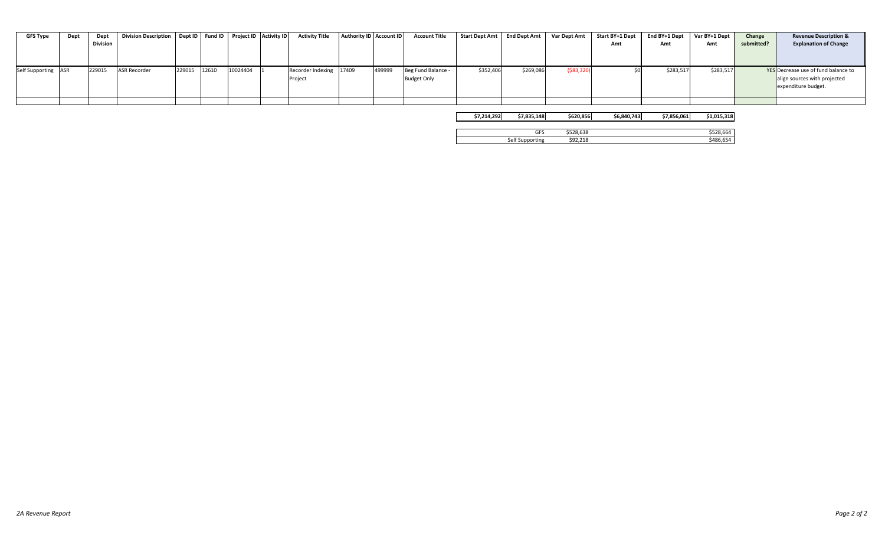| GFS Type            | Dept | Dept            | Division Description   Dept ID   Fund ID   Project ID   Activity ID |              |          | <b>Activity Title</b>   | Authority ID Account ID | <b>Account Title</b> | Start Dept Amt   End Dept Amt |           | Var Dept Amt | Start BY+1 Dept | End BY+1 Dept | Var BY+1 Dept | Change     | <b>Revenue Description &amp;</b>    |
|---------------------|------|-----------------|---------------------------------------------------------------------|--------------|----------|-------------------------|-------------------------|----------------------|-------------------------------|-----------|--------------|-----------------|---------------|---------------|------------|-------------------------------------|
|                     |      | <b>Division</b> |                                                                     |              |          |                         |                         |                      |                               |           |              | Amt             | Amt           | Amt           | submitted? | <b>Explanation of Change</b>        |
|                     |      |                 |                                                                     |              |          |                         |                         |                      |                               |           |              |                 |               |               |            |                                     |
|                     |      |                 |                                                                     |              |          |                         |                         |                      |                               |           |              |                 |               |               |            |                                     |
| Self Supporting ASR |      | 229015          | <b>ASR Recorder</b>                                                 | 229015 12610 | 10024404 | Recorder Indexing 17409 | 499999                  | Beg Fund Balance -   | \$352,406                     | \$269,086 | ( \$83, 320) |                 | \$283,517     | \$283,517     |            | YES Decrease use of fund balance to |
|                     |      |                 |                                                                     |              |          | Project                 |                         | <b>Budget Only</b>   |                               |           |              |                 |               |               |            | align sources with projected        |
|                     |      |                 |                                                                     |              |          |                         |                         |                      |                               |           |              |                 |               |               |            | expenditure budget.                 |
|                     |      |                 |                                                                     |              |          |                         |                         |                      |                               |           |              |                 |               |               |            |                                     |
|                     |      |                 |                                                                     |              |          |                         |                         |                      |                               |           |              |                 |               |               |            |                                     |

| \$7.214.292 | \$7.835.148     | \$620.856 | \$6,840,743 | \$7.856.061 | \$1.015.318 |
|-------------|-----------------|-----------|-------------|-------------|-------------|
|             |                 |           |             |             |             |
|             | GFS             | \$528.638 |             |             | \$528.664   |
|             | Self Supporting | \$92.218  |             |             | \$486.654   |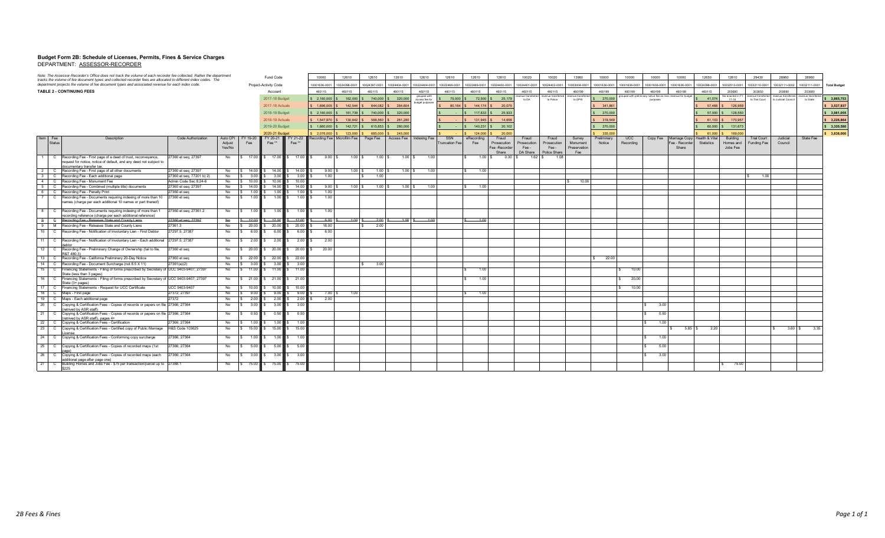## **Budget Form 2B: Schedule of Licenses, Permits, Fines & Service Charges** DEPARTMENT: ASSESSOR-RECORDER

|                | Note: The Assessor-Recorder's Office does not track the volume of each recorder fee collected. Rather the department<br>tracks the volume of fee document types and collected recorder fees are allocated to different index codes. The |                                                  | Fund Code |                          | 10000                     | 12610                 | 12610                                                                                             | 12610                       | 12610                       | 12610                                      | 12610                             | 12610                 | 10020                     | 10020              | 13980                    | 10000                         | 10000                      | 10000                  | 10000         | 12650                                                                  | 12610          | 29430                                             | 28960                      | 28960         |                                                                  |               |                     |
|----------------|-----------------------------------------------------------------------------------------------------------------------------------------------------------------------------------------------------------------------------------------|--------------------------------------------------|-----------|--------------------------|---------------------------|-----------------------|---------------------------------------------------------------------------------------------------|-----------------------------|-----------------------------|--------------------------------------------|-----------------------------------|-----------------------|---------------------------|--------------------|--------------------------|-------------------------------|----------------------------|------------------------|---------------|------------------------------------------------------------------------|----------------|---------------------------------------------------|----------------------------|---------------|------------------------------------------------------------------|---------------|---------------------|
|                | department projects the volume of fee document types and associated revenue for each index code                                                                                                                                         |                                                  |           |                          | Project-Activity Code     |                       | 10001636-0001                                                                                     |                             | 10024396-0001 10024397-0001 | 10024404-0001                              | 100224404-0001                    | 10022468-0001         | 10022469-0001             | 10024400-0001      | 10024401-0001            | 10024402-0001                 | 10002004-0001              | 10001636-0001          | 10001636-0001 | 10001636-0001                                                          | 10001636-0001  | 10024398-0001                                     | 10032513-0001              | 10032110-0001 | 10032111-0002                                                    | 10032111-0001 | <b>Total Budget</b> |
|                | <b>TABLE 2 - CONTINUING FEES</b>                                                                                                                                                                                                        |                                                  |           |                          | Account                   |                       | 460115                                                                                            | 460115                      | 460115                      | 460115                                     | 460115<br>grouped with            | 460115                | 460115                    | 460115             | 460115<br>svenue transfe | 460115<br>enue transfe        | 460199<br>venue transferre | 460199                 | 460199        | 460199<br>prouped with prelminary notice fee as misc revenue for budge | 460199         | 460115                                            | 203680                     | 203650        | 203690<br>wenue transferred revenue transferred revenue transfer | 203680        |                     |
|                |                                                                                                                                                                                                                                         |                                                  |           |                          | 2017-18 Budget            |                       |                                                                                                   |                             |                             | \$ 2.160,000 S 162,000 S 740,000 S 320,000 | access fee for<br>budget purposes | 75,000                | 72.500                    | 25.179             | to DA                    | to Police                     | to DPW                     | 270,000                |               | purposes                                                               |                | 41.074                                            | fee enacted in FY<br>17-18 |               | to Trial Court to Judicial Council                               | to State      | \$3,865,753         |
|                |                                                                                                                                                                                                                                         |                                                  |           |                          | 2017-18 Actuals           |                       | 1.696.005                                                                                         | $142.544$ S                 | 644.082                     | 284,604                                    |                                   | 80.164                | 144,174                   | 20.075             |                          |                               |                            | 341,861                |               |                                                                        |                | 57,468                                            | 126,959                    |               |                                                                  |               | \$3,537,937         |
|                |                                                                                                                                                                                                                                         |                                                  |           |                          | 2018-19 Budget            |                       | $$2,160,000$ $$$                                                                                  | 161,739 \$                  | 740,000                     | 320,000                                    |                                   |                       | 117,833                   | 25,933             |                          |                               |                            | 270,000                |               |                                                                        |                | 57,000                                            | 128,550                    |               |                                                                  |               | \$3,981,055         |
|                |                                                                                                                                                                                                                                         |                                                  |           |                          | 2018-19 Actuals           |                       | \$1.547,970 \$130,842 \$                                                                          |                             | 588,560                     | \$ 261,280                                 |                                   |                       | 131,945                   | 14,658             |                          |                               |                            | 319,549                |               |                                                                        |                | $61.103$ $\frac{1}{3}$                            | 170,957                    |               |                                                                  |               | \$3,226,864         |
|                |                                                                                                                                                                                                                                         |                                                  |           |                          | 2019-20 Budget            |                       | $\frac{1}{2}$ \$ 1,660,000 \$                                                                     |                             |                             | 142,721 \$ 615,853 \$ 280,000              |                                   |                       | 140,231                   | 20,102             |                          |                               |                            | 270,000                |               |                                                                        |                | 60,000                                            | 131,673                    |               |                                                                  |               | \$3,320,580         |
|                |                                                                                                                                                                                                                                         |                                                  |           |                          | 2020-21 Budget            |                       |                                                                                                   |                             |                             |                                            |                                   |                       |                           |                    |                          |                               |                            |                        |               |                                                                        |                |                                                   |                            |               |                                                                  |               |                     |
| Item Fee       | Description                                                                                                                                                                                                                             | Code Authorization                               | Auto CPI  | FY 19-20                 |                           |                       | 2.076,000<br>FY 20-21 FY 21-22 Recording Fee Microfilm Fee   Page Fee   Access Fee   Indexing Fee | $123,000$ $\mid$ \$         | 685,000                     | 245,000                                    |                                   | SSN                   | 124,000<br>eRecording     | 20,000<br>Fraud    | Fraud                    | Fraud                         | Survey                     | 335,000<br>Preliminary | <b>UCC</b>    |                                                                        |                | 61,000<br>Copy Fee Marriage Copy   Health & Vital | 169,000<br>Building        | Trial Court   | Judicial                                                         | State Fee     | \$3,838,000         |
| Status         |                                                                                                                                                                                                                                         |                                                  | Adjust    | Fee                      | Fee <sup>**</sup>         | Fee**                 |                                                                                                   |                             |                             |                                            |                                   | <b>Truncation Fee</b> | Fee                       | Prosecution        | Prosecution              | Prosecution                   | Monument                   | Notice                 | Recording     |                                                                        | Fee - Recorder | Statistics                                        | Homes and                  | Funding Fee   | Council                                                          |               |                     |
|                |                                                                                                                                                                                                                                         |                                                  | Yes/No    |                          |                           |                       |                                                                                                   |                             |                             |                                            |                                   |                       |                           | Fee -Recorder      | Fee -                    | Fee -                         | Preservation               |                        |               |                                                                        | Share          |                                                   | Jobs Fee                   |               |                                                                  |               |                     |
| $\overline{1}$ | C Recording Fee - First page of a deed of trust, reconveyance,                                                                                                                                                                          | 27360 et seq; 27397                              | No        |                          | S 17.00 S 17.00 S 17.00 S |                       | 9.00 S                                                                                            | $1.00$ $\sqrt{\phantom{0}}$ | $1.00$ $\sqrt{\phantom{0}}$ | $1.00$ \$                                  | 1.00                              |                       | $\mathbf{s}$<br>$1.00$ \$ | Share<br>$0.30$ \$ | DA Share                 | Police Share<br>1.62S<br>1.08 | Fee                        |                        |               |                                                                        |                |                                                   |                            |               |                                                                  |               |                     |
|                | request for notice, notice of default, and any deed not subject to                                                                                                                                                                      |                                                  |           |                          |                           |                       |                                                                                                   |                             |                             |                                            |                                   |                       |                           |                    |                          |                               |                            |                        |               |                                                                        |                |                                                   |                            |               |                                                                  |               |                     |
|                | documentary transfer tax                                                                                                                                                                                                                |                                                  |           |                          |                           |                       |                                                                                                   |                             |                             |                                            |                                   |                       |                           |                    |                          |                               |                            |                        |               |                                                                        |                |                                                   |                            |               |                                                                  |               |                     |
| $\overline{2}$ | C Recording Fee - First page of all other documents<br>3 C Recording Fee - Each additional page                                                                                                                                         | 27360 et seq; 27397<br>27360 et seq, 77201 b) 2) | No<br>No  | \$ 14.00<br>\$3.00       | 14.00<br>3.00             | 14.00<br>3.00         | 9.00 S<br>1.00                                                                                    | $1.00$ S                    | 1.00<br>1.00                | $1.00$ \$                                  | 1.00                              |                       | 1.00                      |                    |                          |                               |                            |                        |               |                                                                        |                |                                                   |                            | 1.00          |                                                                  |               |                     |
|                | 4 C Recording Fee - Monument Fee                                                                                                                                                                                                        | Admin Code Sec 8.24-6                            | No        | \$ 10.00                 | 10.00                     | 10.00                 |                                                                                                   |                             |                             |                                            |                                   |                       |                           |                    |                          |                               | \$ 10.00                   |                        |               |                                                                        |                |                                                   |                            |               |                                                                  |               |                     |
| 5              | C Recording Fee - Combined (multiple title) documents                                                                                                                                                                                   | 27360 et seq; 27397                              | No        | \$ 14.00                 | 14.00                     | 14.00                 | $9.00$ S                                                                                          | $1.00$ S                    | 1.00S                       | $1.00$ \$                                  | 1.00                              |                       | 1.00                      |                    |                          |                               |                            |                        |               |                                                                        |                |                                                   |                            |               |                                                                  |               |                     |
|                | 6 C Recording Fee - Penalty Print                                                                                                                                                                                                       | 27360 et sea                                     | No        | 1.00<br>-S -             | 1.00                      | 1.00                  | 1.00                                                                                              |                             |                             |                                            |                                   |                       |                           |                    |                          |                               |                            |                        |               |                                                                        |                |                                                   |                            |               |                                                                  |               |                     |
| 7              | C Recording Fee - Documents requiring indexing of more than 10                                                                                                                                                                          | 27360 et seq                                     | No        | 1.00                     | 1.00                      | 1.00                  | 1.00                                                                                              |                             |                             |                                            |                                   |                       |                           |                    |                          |                               |                            |                        |               |                                                                        |                |                                                   |                            |               |                                                                  |               |                     |
|                | names (charge per each additional 10 names or part thereof)                                                                                                                                                                             |                                                  |           |                          |                           |                       |                                                                                                   |                             |                             |                                            |                                   |                       |                           |                    |                          |                               |                            |                        |               |                                                                        |                |                                                   |                            |               |                                                                  |               |                     |
|                | 8   C   Recording Fee - Documents requiring indexing of more than 1                                                                                                                                                                     | 27360 et seq; 27361.2                            | No        | $\overline{\phantom{a}}$ | $1.00$ S                  | $1.00$ S<br>1.00      | 1.00                                                                                              |                             |                             |                                            |                                   |                       |                           |                    |                          |                               |                            |                        |               |                                                                        |                |                                                   |                            |               |                                                                  |               |                     |
|                | recording reference (charge per each additional reference)                                                                                                                                                                              |                                                  |           |                          |                           |                       |                                                                                                   |                             |                             |                                            |                                   |                       |                           |                    |                          |                               |                            |                        |               |                                                                        |                |                                                   |                            |               |                                                                  |               |                     |
|                | 8 G Recording Fee Releases State and County Liens                                                                                                                                                                                       | 27360 et seg: 27397                              | No        | $$ -12.00$               | $-12.00$                  | $$ -12.00$            | $-6.00$                                                                                           | $-1.00$ \$                  | $-2.00$                     | $-1.00$ \$                                 | $-1.00$                           |                       | $-1.00$                   |                    |                          |                               |                            |                        |               |                                                                        |                |                                                   |                            |               |                                                                  |               |                     |
|                | 9 M Recording Fee - Releases State and County Liens                                                                                                                                                                                     | 27361.3                                          | No        | \$ 20.00                 | 20.00                     | 20.00                 | 18.00                                                                                             |                             | 2.00                        |                                            |                                   |                       |                           |                    |                          |                               |                            |                        |               |                                                                        |                |                                                   |                            |               |                                                                  |               |                     |
|                | 10   C   Recording Fee - Notification of Involuntary Lien - First Debtor                                                                                                                                                                | 27297.5; 27387                                   | No        | 6.00                     | 6.00                      | 6.00                  | 6.00                                                                                              |                             |                             |                                            |                                   |                       |                           |                    |                          |                               |                            |                        |               |                                                                        |                |                                                   |                            |               |                                                                  |               |                     |
|                | 11 C Recording Fee - Notification of Involuntary Lien - Each additional 27297.5; 27387                                                                                                                                                  |                                                  | No        | 2.00                     | 2.00                      | 2.00                  | 2.00                                                                                              |                             |                             |                                            |                                   |                       |                           |                    |                          |                               |                            |                        |               |                                                                        |                |                                                   |                            |               |                                                                  |               |                     |
| 12             | C Recording Fee - Preliminary Change of Ownership (fail to file,                                                                                                                                                                        | 27360 et seq                                     | No        | \$ 20.00                 |                           | 20.00 \$ 20.00        | 20.00                                                                                             |                             |                             |                                            |                                   |                       |                           |                    |                          |                               |                            |                        |               |                                                                        |                |                                                   |                            |               |                                                                  |               |                     |
|                | R&T 480.3<br>13 C Recording Fee - California Preliminary 20-Day Notice                                                                                                                                                                  | 27360 et seq                                     | No        | \$ 22.00                 | 22.00                     | 22.00                 |                                                                                                   |                             |                             |                                            |                                   |                       |                           |                    |                          |                               |                            | 22.00                  |               |                                                                        |                |                                                   |                            |               |                                                                  |               |                     |
|                | 14 C Recording Fee - Document Surcharge (not 8.5 X 11)                                                                                                                                                                                  | 27361(a)(2)                                      | No        | 3.00<br>$\mathbb{S}$     | 3.00                      | 3.00                  |                                                                                                   |                             | 3.00                        |                                            |                                   |                       |                           |                    |                          |                               |                            |                        |               |                                                                        |                |                                                   |                            |               |                                                                  |               |                     |
| 15             | C   Financing Statements - Filing of forms prescribed by Secretary of UCC 9403-9407; 27397                                                                                                                                              |                                                  | No        | \$ 11.00                 | 11.00                     | \$ 11.00              |                                                                                                   |                             |                             |                                            |                                   |                       | 1.00                      |                    |                          |                               |                            |                        | 10.00         |                                                                        |                |                                                   |                            |               |                                                                  |               |                     |
|                | State (less than 3 pages)                                                                                                                                                                                                               |                                                  |           |                          |                           |                       |                                                                                                   |                             |                             |                                            |                                   |                       |                           |                    |                          |                               |                            |                        |               |                                                                        |                |                                                   |                            |               |                                                                  |               |                     |
| 16             | C   Financing Statements - Filing of forms prescribed by Secretary of UCC 9403-9407; 27397<br>State (3+ pages)                                                                                                                          |                                                  | No        | \$21.00                  | 21.00                     | 21.00                 |                                                                                                   |                             |                             |                                            |                                   |                       | 1.00                      |                    |                          |                               |                            |                        | 20.00         |                                                                        |                |                                                   |                            |               |                                                                  |               |                     |
|                | 17 C Financing Statements - Request for UCC Certificate                                                                                                                                                                                 | UCC 9403-9407                                    | No        | \$ 10.00                 | 10.00                     | 10.00                 |                                                                                                   |                             |                             |                                            |                                   |                       |                           |                    |                          |                               |                            |                        | 10.00         |                                                                        |                |                                                   |                            |               |                                                                  |               |                     |
|                | 18 C Maps - First page                                                                                                                                                                                                                  | 27372; 27397                                     | No        | 9.00<br>IS.              | 9.00                      | 9.00                  | 7.00 S                                                                                            | 1.00                        |                             |                                            |                                   |                       | 1.00                      |                    |                          |                               |                            |                        |               |                                                                        |                |                                                   |                            |               |                                                                  |               |                     |
| 19             | C Maps - Each additional page                                                                                                                                                                                                           | 27372                                            | No        | 2.00                     | 2.00                      | 2.00                  | 2.00                                                                                              |                             |                             |                                            |                                   |                       |                           |                    |                          |                               |                            |                        |               |                                                                        |                |                                                   |                            |               |                                                                  |               |                     |
| 20             | C Copying & Certification Fees - Copies of records or papers on file 27366; 27364                                                                                                                                                       |                                                  | No        | 3.00                     | 3.00                      | 3.00                  |                                                                                                   |                             |                             |                                            |                                   |                       |                           |                    |                          |                               |                            |                        |               | 3.00                                                                   |                |                                                   |                            |               |                                                                  |               |                     |
| 21             | (retrived by ASR staff)<br>C Copying & Certification Fees - Copies of records or papers on file 27366; 27364                                                                                                                            |                                                  | No        | 0.50<br>$\mathbf{S}$     | 0.50                      | 0.50<br>$\mathcal{L}$ |                                                                                                   |                             |                             |                                            |                                   |                       |                           |                    |                          |                               |                            |                        |               | 0.50                                                                   |                |                                                   |                            |               |                                                                  |               |                     |
|                | (retrived by ASR staff), pages 4+                                                                                                                                                                                                       |                                                  |           |                          |                           |                       |                                                                                                   |                             |                             |                                            |                                   |                       |                           |                    |                          |                               |                            |                        |               |                                                                        |                |                                                   |                            |               |                                                                  |               |                     |
|                | 22 C Copying & Certification Fees - Certification                                                                                                                                                                                       | 27366; 27364                                     | No        | 1.00<br>$\mathbf{S}$     | 1.00                      | 1 OC                  |                                                                                                   |                             |                             |                                            |                                   |                       |                           |                    |                          |                               |                            |                        |               | s.<br>1.00                                                             |                |                                                   |                            |               |                                                                  |               |                     |
| $^{23}$        | C Copying & Certification Fees - Certified copy of Public Marriage   H&S Code 103625                                                                                                                                                    |                                                  | No        | 15.00                    | 15.00                     | 15.00                 |                                                                                                   |                             |                             |                                            |                                   |                       |                           |                    |                          |                               |                            |                        |               |                                                                        | 5.85S          | 2.20                                              |                            |               | $3.60$ $\sqrt{5}$                                                | 3.35          |                     |
|                | License<br>24 C Copying & Certification Fees - Conforming copy surcharge                                                                                                                                                                | 27366; 27364                                     | No        | 1.00<br>I S.             | 1.00                      | 1.00                  |                                                                                                   |                             |                             |                                            |                                   |                       |                           |                    |                          |                               |                            |                        |               | 1.00<br>s.                                                             |                |                                                   |                            |               |                                                                  |               |                     |
|                |                                                                                                                                                                                                                                         |                                                  |           |                          |                           |                       |                                                                                                   |                             |                             |                                            |                                   |                       |                           |                    |                          |                               |                            |                        |               |                                                                        |                |                                                   |                            |               |                                                                  |               |                     |
|                | 25 C Copying & Certification Fees - Copies of recorded maps (1st                                                                                                                                                                        | 27366; 27364                                     | No        | 5.00                     | 5.00                      | 5.00                  |                                                                                                   |                             |                             |                                            |                                   |                       |                           |                    |                          |                               |                            |                        |               | 5.00                                                                   |                |                                                   |                            |               |                                                                  |               |                     |
|                | 26 C Copying & Certification Fees - Copies of recorded maps (each                                                                                                                                                                       | 27366; 27364                                     | No        | 3.00<br>-S.              | 3.00                      | 3.00                  |                                                                                                   |                             |                             |                                            |                                   |                       |                           |                    |                          |                               |                            |                        |               | 3.00<br>s.                                                             |                |                                                   |                            |               |                                                                  |               |                     |
|                | additional page after page one)                                                                                                                                                                                                         |                                                  |           |                          |                           |                       |                                                                                                   |                             |                             |                                            |                                   |                       |                           |                    |                          |                               |                            |                        |               |                                                                        |                |                                                   | 75.00                      |               |                                                                  |               |                     |
|                | 27 C Building Homes and Jobs Fee - \$75 per transaction/parcel up to 27388.1<br>\$225                                                                                                                                                   |                                                  | No        | \$75.00                  | 75.00                     | \$75.00               |                                                                                                   |                             |                             |                                            |                                   |                       |                           |                    |                          |                               |                            |                        |               |                                                                        |                |                                                   |                            |               |                                                                  |               |                     |
|                |                                                                                                                                                                                                                                         |                                                  |           |                          |                           |                       |                                                                                                   |                             |                             |                                            |                                   |                       |                           |                    |                          |                               |                            |                        |               |                                                                        |                |                                                   |                            |               |                                                                  |               |                     |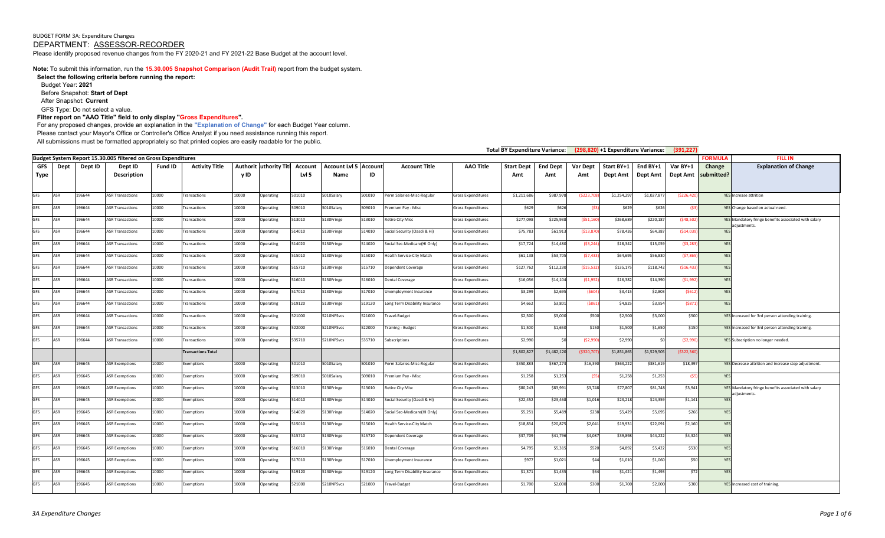**Note**: To submit this information, run the **15.30.005 Snapshot Comparison (Audit Trail)** report from the budget system.

**Select the following criteria before running the report:**  Budget Year: **2021** Before Snapshot: **Start of Dept** After Snapshot: **Current** GFS Type: Do not select a value.

**Filter report on "AAO Title" field to only display "Gross Expenditures".** 

For any proposed changes, provide an explanation in the **"Explanation of Change"** for each Budget Year column.

Please contact your Mayor's Office or Controller's Office Analyst if you need assistance running this report.

All submissions must be formatted appropriately so that printed copies are easily readable for the public.

| Total BY Expenditure Variance: (298,820) +1 Expenditure Variance: |                   |                |                                                               |                |                                 |                |                               |                  |                                      |                 |                                           | (391, 227)                                      |                          |                        |                  |                        |                      |                      |                      |                                                                      |
|-------------------------------------------------------------------|-------------------|----------------|---------------------------------------------------------------|----------------|---------------------------------|----------------|-------------------------------|------------------|--------------------------------------|-----------------|-------------------------------------------|-------------------------------------------------|--------------------------|------------------------|------------------|------------------------|----------------------|----------------------|----------------------|----------------------------------------------------------------------|
|                                                                   |                   |                | Budget System Report 15.30.005 filtered on Gross Expenditures |                |                                 |                |                               |                  |                                      |                 |                                           |                                                 |                          |                        |                  |                        |                      |                      | <b>FORMULA</b>       | <b>FILL IN</b>                                                       |
| <b>GFS</b><br><b>Type</b>                                         | Dept              | Dept ID        | Dept ID<br>Description                                        | Fund ID        | <b>Activity Title</b>           | y ID           | <b>Authorit uthority Titl</b> | Account<br>Lvl 5 | <b>Account Lvl 5 Account</b><br>Name | ID              | <b>Account Title</b>                      | <b>AAO Title</b>                                | <b>Start Dept</b><br>Amt | <b>End Dept</b><br>Amt | Var Dept<br>Amt  | Start BY+1<br>Dept Amt | End BY+1<br>Dept Amt | Var BY+1<br>Dept Amt | Change<br>submitted? | <b>Explanation of Change</b>                                         |
| <b>GFS</b>                                                        | ASR               | 196644         | <b>ASR Transactions</b>                                       | 10000          | ransactions                     | 10000          | Operating                     | 501010           | 5010Salary                           | 501010          | Perm Salaries-Misc-Regular                | <b>Gross Expenditures</b>                       | \$1,211,68               | \$987,978              | (5223, 70        | \$1,254,297            | \$1,027,877          | (5226, 420)          |                      | <b>YES</b> Increase attrition                                        |
| <b>GFS</b>                                                        | ASR               | 96644          | <b>ASR Transactions</b>                                       | 10000          | ransactions                     | 10000          | Operating                     | 509010           | 5010Salary                           | 509010          | Premium Pay - Misc                        | <b>Gross Expenditures</b>                       | \$629                    | \$626                  | (\$3)            | \$629                  | \$626                | (\$3                 |                      | YES Change based on actual need.                                     |
| GFS                                                               | <b>ASR</b>        | 196644         | <b>ASR Transactions</b>                                       | 10000          | ransactions                     | 10000          | Operating                     | 513010           | 5130Fringe                           | 513010          | <b>Retire City Misc</b>                   | Gross Expenditures                              | \$277,098                | \$225,938              | ( \$51, 160      | \$268,689              | \$220,187            | (548, 502)           |                      | YES Mandatory fringe benefits associated with salary<br>adjustments. |
| GFS                                                               | ASR               | 96644          | <b>ASR Transactions</b>                                       | 10000          | ransactions                     | 10000          | Operating                     | 514010           | 5130Fringe                           | 514010          | Social Security (Oasdi & Hi)              | <b>Gross Expenditures</b>                       | \$75,78                  | \$61,913               | ( \$13,87        | \$78,426               | \$64,387             | (514,03)             | YES                  |                                                                      |
| <b>GFS</b>                                                        | ASR               | 196644         | <b>ASR Transactions</b>                                       | 10000          | ransactions                     | 10000          | Operating                     | 514020           | 5130Fringe                           | 514020          | Social Sec-Medicare(HI Only)              | <b>Gross Expenditures</b>                       | \$17,724                 | \$14,480               | (53, 244)        | \$18,342               | \$15,059             | (53, 28)             | YES                  |                                                                      |
| GFS                                                               | <b>ASR</b>        | 96644          | <b>ASR Transactions</b>                                       | 10000          | ransactions                     | 10000          | Operating                     | 515010           | 5130Fringe                           | 515010          | Health Service-City Match                 | Gross Expenditures                              | \$61,138                 | \$53,705               | (57, 433)        | \$64,695               | \$56,830             | (57,865)             | YES                  |                                                                      |
| <b>GFS</b>                                                        | ASR               | 96644          | <b>ASR Transactions</b>                                       | 10000          | ransactions                     | 10000          | Operating                     | 515710           | 5130Fringe                           | 515710          | Dependent Coverage                        | Gross Expenditures                              | \$127,76                 | \$112,230              | ( \$15,532]      | \$135,175              | \$118,742            | ( \$16,433           | YES                  |                                                                      |
| GFS                                                               | ASR               | 196644         | <b>ASR Transactions</b>                                       | 10000          | ransactions                     | 10000          | Operating                     | 516010           | 5130Fringe                           | 516010          | <b>Dental Coverage</b>                    | Gross Expenditures                              | \$16,05                  | \$14,104               | (51, 952)        | \$16,382               | \$14,390             | (51,992)             | YES                  |                                                                      |
| GFS                                                               | ASR               | 96644          | <b>ASR Transactions</b>                                       | 10000          | ransactions                     | 10000          | Operating                     | 517010           | 5130Fringe                           | 17010           | Unemployment Insurance                    | Gross Expenditures                              | \$3,299                  | \$2,695                | (\$60            | \$3,415                | \$2,803              | (5612)               | YES                  |                                                                      |
| <b>GFS</b>                                                        | ASR               | 96644          | <b>ASR Transactions</b>                                       | 10000          | ransactions                     | 10000          | Operating                     | 519120           | 5130Fringe                           | 519120          | Long Term Disability Insurance            | Gross Expenditures                              | \$4,66                   | \$3,801                | ( \$861]         | \$4,825                | \$3,954              | (\$871               | <b>YES</b>           |                                                                      |
| <b>GFS</b>                                                        | <b>ASR</b>        | 196644         | <b>ASR Transactions</b>                                       | 10000          | ransactions                     | 10000          | Operating                     | 521000           | 5210NPSvcs                           | 21000           | Travel-Budget                             | Gross Expenditures                              | \$2,500                  | \$3,000                | \$500            | \$2,500                | \$3,000              | \$500                |                      | YES Increased for 3rd person attending training.                     |
| GFS                                                               | <b>ASR</b>        | 96644          | <b>ASR Transactions</b>                                       | 10000          | ransactions                     | 10000          | Operating                     | 522000           | 5210NPSvcs                           | 522000          | Fraining - Budget                         | Gross Expenditures                              | \$1,50                   | \$1,650                | \$150            | \$1,500                | \$1,650              | \$150                |                      | YES Increased for 3rd person attending training.                     |
| <b>GFS</b>                                                        | ASR               | 96644          | <b>ASR Transactions</b>                                       | 10000          | ransactions                     | 10000          | Operating                     | 535710           | 5210NPSvcs                           | 535710          | Subscriptions                             | <b>Gross Expenditures</b>                       | \$2,99                   | 50                     | (52,99)          | \$2,990                | \$0                  | (52,990)             |                      | YES Subscription no longer needed.                                   |
|                                                                   |                   |                |                                                               |                | <b>Transactions Total</b>       |                |                               |                  |                                      |                 |                                           |                                                 | \$1,802,82               | \$1,482,120            | ( \$320, 70]     | \$1,851,865            | \$1,529,505          | (\$322,36)           |                      |                                                                      |
| <b>GFS</b>                                                        | ASR               | 196645         | <b>ASR Exemptions</b>                                         | 10000          | Exemptions                      | 10000          | Operating                     | 501010           | 5010Salary                           | 501010          | Perm Salaries-Misc-Regular                | <b>Gross Expenditures</b>                       | \$350,88                 | \$367,273              | \$16,390         | \$363,222              | \$381,619            | \$18,397             |                      | YES Decrease attrition and increase step adjustment.                 |
| GFS                                                               | ASR               | 196645         | <b>ASR Exemptions</b>                                         | 10000          | <b>Exemptions</b>               | 10000          | Operating                     | 509010           | 5010Salary                           | 509010          | Premium Pay - Misc                        | Gross Expenditures                              | \$1,25                   | \$1,253                | (S5)             | \$1,258                | \$1,253              | (\$5                 | <b>YES</b>           |                                                                      |
| GFS                                                               | ASR               | 96645          | <b>ASR Exemptions</b>                                         | 10000          | <b>Exemptions</b>               | 10000          | Operating                     | 513010           | 5130Fringe                           | 513010          | <b>Retire City Misc</b>                   | Gross Expenditures                              | \$80,24                  | \$83,991               | \$3,748          | \$77,807               | \$81,748             | \$3,941              |                      | YES Mandatory fringe benefits associated with salary<br>adiustments. |
| <b>GFS</b>                                                        | ASR               | 196645         | <b>ASR Exemptions</b>                                         | 10000          | Exemptions                      | 10000          | Operating                     | 514010           | 5130Fringe                           | 514010          | Social Security (Oasdi & Hi)              | Gross Expenditures                              | \$22,45                  | \$23,468               | \$1,016          | \$23,218               | \$24,359             | \$1,141              | YES                  |                                                                      |
| <b>GFS</b>                                                        | ASR               | 96645          | <b>ASR Exemptions</b>                                         | 10000          | Exemptions                      | 10000          | Operating                     | 514020           | 5130Fringe                           | 514020          | Social Sec-Medicare(HI Only)              | <b>Gross Expenditures</b>                       | \$5,251                  | \$5,489                | \$238            | \$5,429                | \$5,695              | \$266                | YES                  |                                                                      |
| <b>GFS</b>                                                        | ASR               | 96645          | <b>ASR Exemptions</b>                                         | 10000          | <b>Exemptions</b>               | 10000          | Operating                     | 515010           | 5130Fringe                           | 15010           | lealth Service-City Match                 | Gross Expenditures                              | \$18,834                 | \$20,875               | \$2,041          | \$19,931               | \$22,091             | \$2,160              | YES                  |                                                                      |
| <b>GFS</b><br>GFS                                                 | ASR<br><b>ASR</b> | 96645<br>96645 | <b>ASR Exemptions</b><br><b>ASR Exemptions</b>                | 10000<br>10000 | <b>Exemptions</b>               | 10000<br>10000 | Operating                     | 515710<br>516010 | 5130Fringe<br>5130Fringe             | 515710<br>16010 | <b>Dependent Coverage</b>                 | Gross Expenditures                              | \$37,70<br>\$4,79        | \$41,796<br>\$5,315    | \$4,087<br>\$520 | \$39,898<br>\$4,892    | \$44,222<br>\$5,422  | \$4,324<br>\$530     | YES<br>YES           |                                                                      |
| <b>GFS</b>                                                        | ASR               | 96645          | <b>ASR Exemptions</b>                                         | 10000          | <i>semptions</i>                | 10000          | Operating<br>Operating        | 517010           |                                      | 517010          | Dental Coverage<br>Unemployment Insurance | Gross Expenditures<br><b>Gross Expenditures</b> | \$97                     |                        | \$44             |                        | \$1,060              | \$50                 | YES                  |                                                                      |
| <b>GFS</b>                                                        | ASR               | 96645          | <b>ASR Exemptions</b>                                         | 10000          | Exemptions<br><b>Exemptions</b> | 10000          | Operating                     | 519120           | 5130Fringe<br>5130Fringe             | 19120           | Long Term Disability Insurance            | <b>Gross Expenditures</b>                       | \$1,37                   | \$1,021<br>\$1,435     | \$64             | \$1,010<br>\$1,421     | \$1,493              | \$72                 | YES                  |                                                                      |
| GFS                                                               | ASR               | 196645         | <b>ASR Exemptions</b>                                         | 10000          |                                 | 10000          | Operating                     | 521000           | 5210NPSvcs                           | 521000          | Travel-Budget                             | <b>Gross Expenditures</b>                       | \$1,700                  | \$2,000                | \$300            | \$1,700                | \$2,000              | \$300                |                      | YES Increased cost of training.                                      |
|                                                                   |                   |                |                                                               |                | <b>Exemptions</b>               |                |                               |                  |                                      |                 |                                           |                                                 |                          |                        |                  |                        |                      |                      |                      |                                                                      |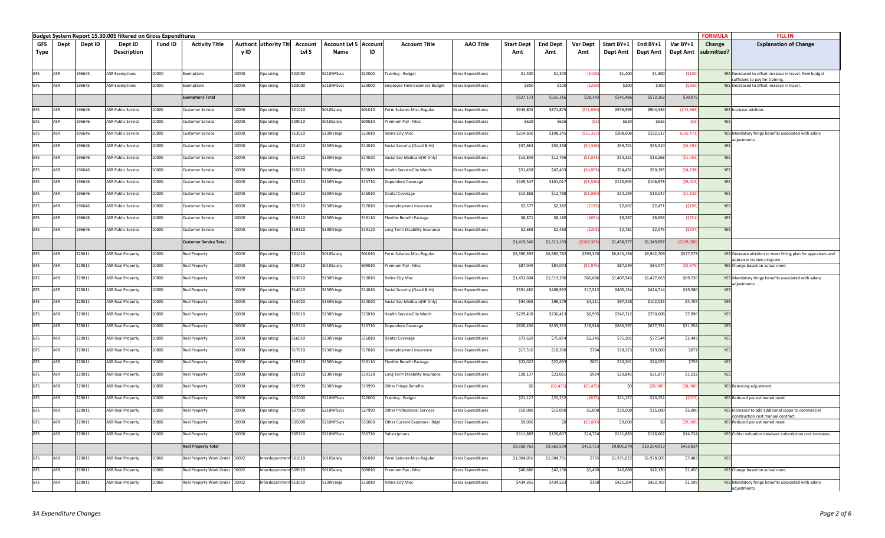|            |      |         | Budget System Report 15.30.005 filtered on Gross Expenditures |         |                                |       |                                |         |                              |        |                                       |                    |                   |                 |                 |             |              |             | <b>FORMULA</b> | <b>FILL IN</b>                                                                              |
|------------|------|---------|---------------------------------------------------------------|---------|--------------------------------|-------|--------------------------------|---------|------------------------------|--------|---------------------------------------|--------------------|-------------------|-----------------|-----------------|-------------|--------------|-------------|----------------|---------------------------------------------------------------------------------------------|
| GFS        | Dept | Dept ID | Dept ID                                                       | Fund ID | <b>Activity Title</b>          |       | <b>Authorit luthority Titl</b> | Account | <b>Account Lvl 5 Account</b> |        | <b>Account Title</b>                  | <b>AAO Title</b>   | <b>Start Dept</b> | <b>End Dept</b> | <b>Var Dept</b> | Start BY+1  | End BY+1     | Var BY+1    | Change         | <b>Explanation of Change</b>                                                                |
| Type       |      |         | <b>Description</b>                                            |         |                                | y ID  |                                | Lvl 5   | Name                         | ID     |                                       |                    | Amt               | Amt             | Amt             | Dept Amt    | Dept Amt     | Dept Amt    | submitted?     |                                                                                             |
|            |      |         |                                                               |         |                                |       |                                |         |                              |        |                                       |                    |                   |                 |                 |             |              |             |                |                                                                                             |
| GFS        | ASR  | 196645  | <b>ASR Exemptions</b>                                         | 10000   | Exemptions                     | 10000 | Operating                      | 522000  | 210NPSvcs                    | 522000 | raining - Budget                      | Gross Expenditures | \$1,400           | \$1,300         | (\$100          | \$1,400     | \$1,300      | ( \$100]    |                | YES Decreased to offset increase in travel. New budget                                      |
|            |      |         |                                                               |         |                                |       |                                |         |                              |        |                                       |                    |                   |                 |                 |             |              |             |                | sufficient to pay for training.                                                             |
| <b>GFS</b> | ASR  | 196645  | <b>ASR Exemptions</b>                                         | 10000   | xemptions                      | 10000 | <b>Operating</b>               | 23000   | 210NPSvcs                    | 523000 | <b>Imployee Field Expenses-Budget</b> | iross Expenditures | \$300             | \$100           | (\$200          | \$300       | \$100        | (\$200      |                | YES Decreased to offset increase in travel.                                                 |
|            |      |         |                                                               |         | <b>Exemptions Total</b>        |       |                                |         |                              |        |                                       |                    | \$527,17          | \$555,316       | \$28,143        | \$541,486   | \$572,362    | \$30,876    |                |                                                                                             |
| <b>GFS</b> | ASR  | 96646   | ASR Public Service                                            | 10000   | ustomer Service                | 10000 | Operating                      | 501010  | 5010Salary                   | 501010 | Perm Salaries-Misc-Regular            | iross Expenditures | \$943,805         | \$871,87        | (\$71,93        | \$976,99    | \$904,336    | (\$72,663   |                | YES Increase attrition.                                                                     |
|            |      |         |                                                               |         |                                |       |                                |         |                              |        |                                       |                    |                   |                 |                 |             |              |             |                |                                                                                             |
| GFS        | ASR  | 96646   | ASR Public Service                                            | 10000   | ustomer Service                | 10000 | Operating                      | 509010  | 6010Salary                   | 509010 | Premium Pay - Misc                    | Gross Expenditures | \$629             | \$626           | (\$3            | \$629       | \$626        | (\$         | YES            |                                                                                             |
| GFS        | ASR  | 96646   | <b>ASR Public Service</b>                                     | 10000   | ustomer Service                | 10000 | Operating                      | 513010  | 5130Fringe                   | 513010 | Retire City Misc                      | Gross Expenditures | \$214,600         | \$198,245       | ( \$16, 359     | \$208,008   | \$192,537    | (\$15,471   |                | YES Mandatory fringe benefits associated with salary<br>adiustments.                        |
| GFS        | ASR  | 196646  | <b>ASR Public Service</b>                                     | 10000   | ustomer Service                | 10000 | Operating                      | 514010  | 5130Fringe                   | 514010 | Social Security (Oasdi & Hi)          | Gross Expenditures | \$57,684          | \$53,338        | (54, 34)        | \$59,70     | \$55,310     | (54, 391)   | YES            |                                                                                             |
| <b>GFS</b> | ASR  | 196646  | <b>ASR Public Service</b>                                     | 10000   | Customer Service               | 10000 | Operating                      | 514020  | 130Fringe                    | 514020 | Social Sec-Medicare(HI Only)          | Gross Expenditures | \$13,839          | \$12,79         | (51,04)         | \$14,321    | \$13,268     | (51,05)     | YES            |                                                                                             |
|            |      |         |                                                               |         |                                |       |                                |         |                              |        |                                       |                    |                   |                 |                 |             |              |             |                |                                                                                             |
| <b>GFS</b> | ASR  | 196646  | <b>ASR Public Service</b>                                     | 10000   | Customer Service               | 10000 | Operating                      | 515010  | 5130Fringe                   | 515010 | Health Service-City Match             | Gross Expenditures | \$51,438          | \$47,433        | (54,00)         | \$54,431    | \$50,193     | (54, 238)   | YES            |                                                                                             |
| <b>GFS</b> | ASR  | 196646  | <b>ASR Public Service</b>                                     | 10000   | Customer Service               | 10000 | Operating                      | 515710  | 5130Fringe                   | 515710 | Dependent Coverage                    | Gross Expenditures | \$109,547         | \$101,017       | (58, 530)       | \$115,903   | \$106,878    | (\$9,025    | YES            |                                                                                             |
| GFS        | ASR  | 96646   | <b>ASR Public Service</b>                                     | 10000   | ustomer Service                | 10000 | Operating                      | 516010  | 5130Fringe                   | 516010 | Dental Coverage                       | iross Expenditures | \$13,868          | \$12,788        | (51,08)         | \$14,14     | \$13,047     | ( \$1, 10]  | YES            |                                                                                             |
| <b>GFS</b> | ASR  | 96646   |                                                               |         |                                |       |                                |         |                              |        |                                       |                    |                   |                 |                 |             |              |             |                |                                                                                             |
|            |      |         | <b>ASR Public Service</b>                                     | 10000   | ustomer Service                | 10000 | Operating                      | 517010  | 5130Fringe                   | 517010 | Jnemployment Insurance                | iross Expenditures | \$2,57            | \$2,382         | (\$195          | \$2,667     | \$2,47       | (\$196      | YES            |                                                                                             |
| <b>GFS</b> | ASR  | 96646   | <b>ASR Public Service</b>                                     | 10000   | Customer Service               | 10000 | Operating                      | 519110  | 5130Fringe                   | 519110 | Flexible Benefit Package              | Gross Expenditures | \$8,871           | \$8,180         | (\$691          | \$9,387     | \$8,656      | (5731)      | YES            |                                                                                             |
| GFS        | ASR  | 96646   | <b>ASR Public Service</b>                                     | 10000   | ustomer Service                | 10000 | Operating                      | 519120  | 5130Fringe                   | 519120 | Long Term Disability Insurance        | Gross Expenditures | \$2,688           | \$2,483         | (\$20!          | \$2,782     | \$2,57       | (\$207      | YES            |                                                                                             |
|            |      |         |                                                               |         | <b>Customer Service Total</b>  |       |                                |         |                              |        |                                       |                    | \$1,419,54        | \$1,311,16      | (5108, 3)       | \$1,458,97  | \$1,349,89   | ( \$109, 08 |                |                                                                                             |
|            |      |         |                                                               |         |                                |       |                                |         |                              |        |                                       |                    |                   |                 |                 |             |              |             |                |                                                                                             |
| GFS        | ASR  | 229011  | <b>ASR Real Property</b>                                      | 10000   | Real Property                  | 10000 | Operating                      | 501010  | 6010Salary                   | 501010 | Perm Salaries-Misc-Regular            | iross Expenditures | \$6,390,39        | \$6,683,76      | \$293,37        | \$6,615,13  | \$6,942,709  | \$327,573   |                | YES Decrease attrition to meet hiring plan for appraisers and<br>appraiser trainee program. |
| <b>GFS</b> | ASR  | 229011  | <b>ASR Real Property</b>                                      | 10000   | <b>Real Property</b>           | 10000 | Operating                      | 509010  | 5010Salary                   | 509010 | Premium Pay - Misc                    | Gross Expenditures | \$87,049          | \$84,074        | (52, 97)        | \$87,049    | \$84,074     | (\$2,975    |                | YES Change based on actual need.                                                            |
| GFS        | ASR  | 229011  | <b>ASR Real Property</b>                                      | 10000   | <b>Real Property</b>           | 10000 | Operating                      | 513010  | 5130Fringe                   | 513010 | Retire City Misc                      | Gross Expenditures | \$1,452,604       | \$1,519,290     | \$66,686        | \$1,407,943 | \$1,477,663  | \$69,720    |                | YES Mandatory fringe benefits associated with salary                                        |
| GFS        | ASR  | 229011  | <b>ASR Real Property</b>                                      | 10000   | <b>Real Property</b>           | 10000 | Operating                      | 514010  | 5130Fringe                   | 514010 | Social Security (Oasdi & Hi)          | iross Expenditures | \$391,480         | \$408,992       | \$17,512        | \$405,134   | \$424,714    | \$19,580    | YES            | adjustments.                                                                                |
|            |      |         |                                                               |         |                                |       |                                |         |                              |        |                                       |                    |                   |                 |                 |             |              |             |                |                                                                                             |
| <b>GFS</b> | ASR  | 229011  | <b>ASR Real Property</b>                                      | 10000   | Real Property                  | 10000 | Operating                      | 14020   | 5130Fringe                   | 514020 | Social Sec-Medicare(HI Only)          | iross Expenditures | \$94,068          | \$98,279        | \$4,211         | \$97,32     | \$102,03     | \$4,707     | YES            |                                                                                             |
| GFS        | ASR  | 229011  | ASR Real Property                                             | 10000   | Real Property                  | 10000 | Operating                      | 515010  | 5130Fringe                   | 515010 | Health Service-City Match             | Gross Expenditures | \$229,418         | \$236,413       | \$6,995         | \$242,71    | \$250,608    | \$7,896     | YES            |                                                                                             |
| GFS        | ASR  | 229011  | <b>ASR Real Property</b>                                      | 10000   | Real Property                  | 10000 | Operating                      | 515710  | 5130Fringe                   | 515710 | Dependent Coverage                    | Gross Expenditures | \$620,436         | \$639,352       | \$18,916        | \$656,39    | \$677,75     | \$21,354    | YES            |                                                                                             |
| GFS        | ASR  |         |                                                               | 10000   |                                |       |                                |         |                              |        |                                       |                    |                   |                 |                 |             |              |             |                |                                                                                             |
|            |      | 229011  | <b>ASR Real Property</b>                                      |         | Real Property                  | 10000 | Operating                      | 516010  | 5130Fringe                   | 516010 | Dental Coverage                       | Gross Expenditures | \$73,629          | \$75,874        | \$2,245         | \$75,10     | \$77,544     | \$2,443     | YES            |                                                                                             |
| <b>GFS</b> | ASR  | 229011  | <b>ASR Real Property</b>                                      | 10000   | Real Property                  | 10000 | Operating                      | 517010  | 5130Fringe                   | 517010 | Jnemployment Insurance                | Gross Expenditures | \$17,51           | \$18,300        | \$784           | \$18,12     | \$19,000     | \$877       | YES            |                                                                                             |
| GFS        | ASR  | 229011  | <b>ASR Real Property</b>                                      | 10000   | Real Property                  | 10000 | Operating                      | 519110  | 5130Fringe                   | 519110 | Flexible Benefit Package              | Gross Expenditures | \$22,022          | \$22,693        | \$671           | \$23,301    | \$24,059     | \$758       | YES            |                                                                                             |
| GFS        | ASR  | 229011  | <b>ASR Real Property</b>                                      | 10000   | Real Property                  | 10000 | Operating                      | 519120  | 5130Fringe                   | 519120 | Long Term Disability Insurance        | Gross Expenditures | \$20,137          | \$21,061        | \$924           | \$20,845    | \$21,87      | \$1,032     | YES            |                                                                                             |
|            | ASR  |         |                                                               |         |                                |       |                                |         |                              |        |                                       |                    |                   |                 |                 |             |              |             |                |                                                                                             |
| <b>GFS</b> |      | 229011  | <b>ASR Real Property</b>                                      | 10000   | teal Property                  | 10000 | <b>Operating</b>               | 19990   | 130Fringe                    | 519990 | Other Fringe Benefits                 | iross Expenditures |                   | (56, 435)       | (56, 435)       |             | (\$8,98      | (\$8,98)    |                | YES Balancing adjustment.                                                                   |
| GFS        | ASR  | 229011  | <b>ASR Real Property</b>                                      | 10000   | Real Property                  | 10000 | Operating                      | 522000  | 5210NPSvcs                   | 522000 | raining - Budget                      | iross Expenditures | \$21,12           | \$20,252        | (\$87!          | \$21,12     | \$20,25      | (\$875      |                | YES Reduced per estimated need.                                                             |
| <b>GFS</b> | ASR  | 229011  | <b>ASR Real Property</b>                                      | 10000   | Real Property                  | 10000 | Operating                      | 527990  | 210NPSvcs                    | 527990 | Other Professional Services           | Gross Expenditures | \$10,000          | \$15,000        | \$5,000         | \$10,000    | \$15,000     | \$5,000     |                | YES Increased to add additional scope to commercial                                         |
| <b>GFS</b> | ASR  | 229011  | <b>ASR Real Property</b>                                      | 10000   | <b>Real Property</b>           | 10000 | Operating                      | 535000  | 5210NPSvcs                   | 535000 | Other Current Expenses - Bdgt         | Gross Expenditures | \$9,000           | \$0             | (59,000)        | \$9,000     | \$           | (59,000)    |                | construction cost manual contract<br>YES Reduced per estimated need                         |
|            |      |         |                                                               |         |                                |       |                                |         |                              |        |                                       |                    |                   |                 |                 |             |              |             |                |                                                                                             |
| <b>GFS</b> | ASR  | 229011  | <b>ASR Real Property</b>                                      | 10000   | Real Property                  | 10000 | Operating                      | 535710  | 5210NPSvcs                   | 535710 | Subscriptions                         | Gross Expenditures | \$111,883         | \$126,607       | \$14,724        | \$111,883   | \$126,607    | \$14,724    |                | YES CoStar valuation database subscription cost increases.                                  |
|            |      |         |                                                               |         | <b>Real Property Total</b>     |       |                                |         |                              |        |                                       |                    | \$9,550,761       | \$9,963,514     | \$412,753       | \$9,801,079 | \$10,254,913 | \$453,834   |                |                                                                                             |
| GFS        | ASR  | 229011  | <b>ASR Real Property</b>                                      | 10060   | Real Property Work Order 10002 |       | nterdepartment 501010          |         | 010Salary                    | 501010 | Perm Salaries-Misc-Regular            | Gross Expenditures | \$1,904,056       | \$1,904,79      | \$735           | \$1,971,02  | \$1,978,50   | \$7,483     | YES            |                                                                                             |
| <b>GFS</b> | ASR  | 229011  | <b>ASR Real Property</b>                                      | 10060   | Real Property Work Order 10002 |       | Interdepartment 509010         |         | 5010Salary                   | 509010 | Premium Pay - Misc                    | Gross Expenditures | \$40,680          | \$42,130        | \$1,450         | \$40,680    | \$42,130     | \$1,450     |                | YES Change based on actual need.                                                            |
|            |      |         |                                                               |         |                                |       |                                |         |                              |        |                                       |                    |                   |                 |                 |             |              |             |                |                                                                                             |
| <b>GFS</b> | ASR  | 229011  | <b>ASR Real Property</b>                                      | 10060   | Real Property Work Order 10002 |       | nterdepartment 513010          |         | 5130Fringe                   | 513010 | Retire City Misc                      | Gross Expenditures | \$434,355         | \$434,523       | \$168           | \$421,104   | \$422,70     | \$1,599     |                | YES Mandatory fringe benefits associated with salary<br>adjustments.                        |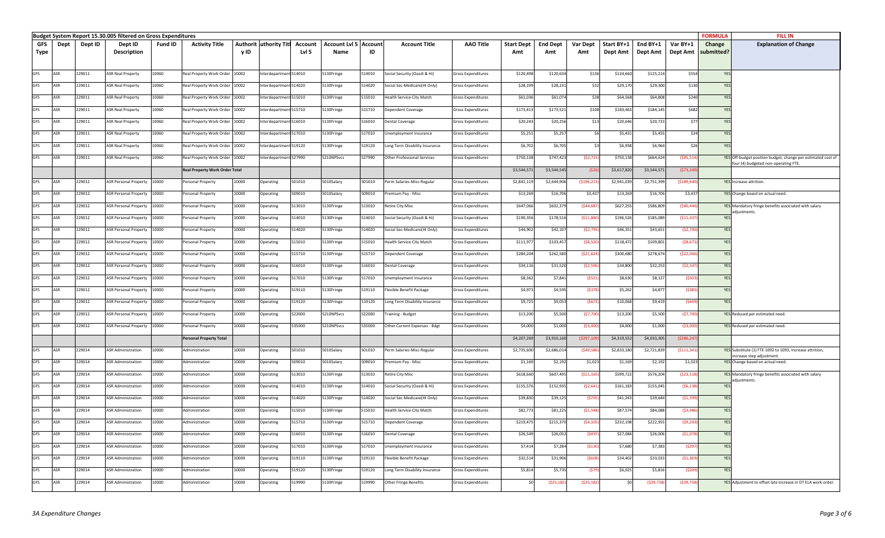|            |      |         | Budget System Report 15.30.005 filtered on Gross Expenditures |         |                                       |       |                               |         |                              |        |                                |                           |                   |                 |             |             |             |             | <b>FORMULA</b> | <b>FILL IN</b>                                                                                      |
|------------|------|---------|---------------------------------------------------------------|---------|---------------------------------------|-------|-------------------------------|---------|------------------------------|--------|--------------------------------|---------------------------|-------------------|-----------------|-------------|-------------|-------------|-------------|----------------|-----------------------------------------------------------------------------------------------------|
| <b>GFS</b> | Dept | Dept ID | Dept ID                                                       | Fund ID | <b>Activity Title</b>                 |       | <b>Authorit uthority Titl</b> | Account | <b>Account Lvl 5 Account</b> |        | <b>Account Title</b>           | <b>AAO Title</b>          | <b>Start Dept</b> | <b>End Dept</b> | Var Dept    | Start BY+1  | End BY+1    | Var BY+1    | Change         | <b>Explanation of Change</b>                                                                        |
| Type       |      |         | <b>Description</b>                                            |         |                                       | y ID  |                               | Lvl 5   | Name                         | ID     |                                |                           | Amt               | Amt             | Amt         | Dept Amt    | Dept Amt    | Dept Amt    | submitted?     |                                                                                                     |
|            |      |         |                                                               |         |                                       |       |                               |         |                              |        |                                |                           |                   |                 |             |             |             |             |                |                                                                                                     |
| <b>GFS</b> | ASR  | 229011  | <b>ASR Real Property</b>                                      | 10060   | Real Property Work Order 10002        |       | nterdepartment 514010         |         | 5130Fringe                   | 514010 | Social Security (Oasdi & Hi)   | Gross Expenditures        | \$120,49          | \$120,634       | \$136       | \$124,660   | \$125,214   | \$554       | YES            |                                                                                                     |
|            |      |         |                                                               |         |                                       |       |                               |         |                              |        |                                |                           |                   |                 |             |             |             |             |                |                                                                                                     |
| GFS        | ASR  | 229011  | <b>ASR Real Property</b>                                      | 10060   | Real Property Work Order 10002        |       | nterdepartment 514020         |         | 5130Fringe                   | 514020 | Social Sec-Medicare(HI Only)   | Gross Expenditures        | \$28,19           | \$28,231        | \$32        | \$29,170    | \$29,300    | \$130       | YES            |                                                                                                     |
| <b>GFS</b> | ASR  | 229011  | <b>ASR Real Property</b>                                      | 10060   | Real Property Work Order              | 10002 | nterdepartment 515010         |         | 5130Fringe                   | 515010 | lealth Service-City Match      | Gross Expenditures        | \$61,03           | \$61,074        | \$38        | \$64,568    | \$64,808    | \$240       | YES            |                                                                                                     |
| GFS        | ASR  | 229011  | <b>ASR Real Property</b>                                      | 10060   | Real Property Work Order 10002        |       | nterdepartment 515710         |         | 5130Fringe                   | 515710 | Dependent Coverage             | Gross Expenditures        | \$173,41          | \$173,521       | \$108       | \$183,463   | \$184,145   | \$682       | YES            |                                                                                                     |
| <b>GFS</b> | ASR  | 229011  | <b>ASR Real Property</b>                                      | 10060   | Real Property Work Order              | 10002 | nterdepartment 516010         |         | 5130Fringe                   | 516010 | Dental Coverage                | Gross Expenditures        | \$20,24           | \$20,256        | \$13        | \$20,646    | \$20,723    | \$77        | YES            |                                                                                                     |
|            |      |         |                                                               |         |                                       |       |                               |         |                              |        |                                |                           |                   |                 |             |             |             |             |                |                                                                                                     |
| <b>GFS</b> | ASR  | 229011  | <b>ASR Real Property</b>                                      | 10060   | Real Property Work Order              | 10002 | nterdepartment 517010         |         | 5130Fringe                   | 517010 | Jnemployment Insurance         | Gross Expenditures        | \$5,25            | \$5,257         | \$6         | \$5,431     | \$5,455     | \$24        |                |                                                                                                     |
| GFS        | ASR  | 229011  | <b>ASR Real Property</b>                                      | 10060   | Real Property Work Order              | 10002 | nterdepartment 519120         |         | 5130Fringe                   | 519120 | ong Term Disability Insurance  | Gross Expenditures        | \$6,70            | \$6,705         | \$3         | \$6,938     | \$6,964     | \$26        |                |                                                                                                     |
| GFS        | ASR  | 229011  | <b>ASR Real Property</b>                                      | 10060   | Real Property Work Order 10002        |       | nterdepartment 527990         |         | 5210NPSvcs                   | 527990 | Other Professional Services    | Gross Expenditures        | \$750,13          | \$747,423       | (52, 715)   | \$750,138   | \$664,624   | (\$85,514   |                | YES Off-budget position budget, change per estimated cost of<br>our (4) budgeted non-operating FTE. |
|            |      |         |                                                               |         | <b>Real Property Work Order Total</b> |       |                               |         |                              |        |                                |                           | \$3,544,57        | \$3,544,545     | (\$2        | \$3,617,820 | \$3,544,571 | (573, 24)   |                |                                                                                                     |
| <b>GFS</b> | ASR  | 229012  | <b>ASR Personal Property</b>                                  | 10000   | Personal Property                     | 10000 | <b>Operating</b>              | 501010  | 5010Salary                   | 501010 | Perm Salaries-Misc-Regular     | Gross Expenditures        | \$2,841,11        | \$2,644,906     | ( \$196, 21 | \$2,941,039 | \$2,751,399 | ( \$189, 64 |                | YES Increase attrition.                                                                             |
| GFS        | ASR  | 229012  | <b>ASR Personal Property</b>                                  | 10000   | Personal Property                     | 10000 | Operating                     | 509010  | 5010Salary                   | 509010 | Premium Pay - Misc             | Gross Expenditures        | \$13,26           | \$16,706        | \$3,437     | \$13,269    | \$16,706    | \$3,437     |                | YES Change based on actual need.                                                                    |
| <b>GFS</b> | ASR  | 229012  | <b>ASR Personal Property</b>                                  | 10000   | Personal Property                     | 10000 | Operating                     | 513010  | 5130Fringe                   | 513010 | Retire City Misc               | Gross Expenditures        | \$647,06          | \$602,379       | (544, 687)  | \$627,255   | \$586,809   | (540, 446)  |                | YES Mandatory fringe benefits associated with salary                                                |
| GFS        | ASR  | 29012   | <b>ASR Personal Property</b>                                  | 10000   | ersonal Property                      | 10000 | perating                      | 514010  | 5130Fringe                   | 514010 | Social Security (Oasdi & Hi)   | Gross Expenditures        | \$190,35          | \$178,516       | ( \$11, 84] | \$196,526   | \$185,089   | ( \$11,43]  | YE:            | adjustments.                                                                                        |
| GFS        | ASR  | 229012  | <b>ASR Personal Property</b>                                  | 10000   | Personal Property                     | 10000 | Operating                     | 514020  | 5130Fringe                   | 514020 | Social Sec-Medicare(HI Only)   | Gross Expenditures        | \$44,90           | \$42,107        | (\$2,79)    | \$46,351    | \$43,651    | (52, 70)    | YES            |                                                                                                     |
|            |      |         |                                                               |         |                                       |       |                               |         |                              |        |                                |                           |                   |                 |             |             |             |             |                |                                                                                                     |
| GFS        | ASR  | 229012  | <b>ASR Personal Property</b>                                  | 10000   | Personal Property                     | 10000 | Operating                     | 515010  | 5130Fringe                   | 515010 | Health Service-City Match      | <b>Gross Expenditures</b> | \$111,97          | \$103,457       | (58, 52)    | \$118,472   | \$109,801   | (58, 67)    | YES            |                                                                                                     |
| GFS        | ASR  | 229012  | <b>ASR Personal Property</b>                                  | 10000   | Personal Property                     | 10000 | )perating                     | 515710  | 5130Fringe                   | 515710 | Dependent Coverage             | Gross Expenditures        | \$284,20          | \$262,58        | ( \$21,62   | \$300,680   | \$278,674   | (\$22,00    | <b>YES</b>     |                                                                                                     |
| GFS        | ASR  | 229012  | <b>ASR Personal Property</b>                                  | 10000   | Personal Property                     | 10000 | <b>Operating</b>              | 516010  | 5130Fringe                   | 516010 | Dental Coverage                | Gross Expenditures        | \$34,11           | \$31,520        | (52, 59)    | \$34,800    | \$32,253    | (52, 54)    | <b>YES</b>     |                                                                                                     |
| GFS        | ASR  | 229012  | <b>ASR Personal Property</b>                                  | 10000   | Personal Property                     | 10000 | Operating                     | 517010  | 5130Fringe                   | 517010 | Jnemployment Insurance         | Gross Expenditures        | \$8,362           | \$7,841         | (\$521      | \$8,630     | \$8,127     | (\$50)      | YES            |                                                                                                     |
| GFS        | ASR  | 229012  | <b>ASR Personal Property</b>                                  | 10000   | Personal Property                     | 10000 | <b>Operating</b>              | 519110  | 5130Fringe                   | 519110 | lexible Benefit Package        | Gross Expenditures        | \$4,97            | \$4,595         | (\$378      | \$5,262     | \$4,877     | (\$385      | YES            |                                                                                                     |
| <b>GFS</b> | ASR  | 229012  | <b>ASR Personal Property</b>                                  | 10000   | Personal Property                     | 10000 | Operating                     | 519120  | 5130Fringe                   | 519120 | Long Term Disability Insurance | Gross Expenditures        | \$9,72            | \$9,053         | (5672)      | \$10,068    | \$9,419     | (\$649      |                |                                                                                                     |
| <b>GFS</b> | ASR  | 229012  | <b>ASR Personal Property</b>                                  | 10000   | Personal Property                     | 10000 | <b>Operating</b>              | 522000  | 5210NPSvcs                   | 522000 | raining - Budget               | Gross Expenditures        | \$13,200          | \$5,500         | (57, 700)   | \$13,200    | \$5,500     | (57,700)    |                | YES Reduced per estimated need.                                                                     |
| GFS        | ASR  | 229012  | <b>ASR Personal Property</b>                                  | 10000   | Personal Property                     | 10000 | )perating                     | 535000  | 5210NPSvcs                   | 535000 | Other Current Expenses - Bdgt  | Gross Expenditures        | \$4,00            | \$1,000         | ( \$3,00]   | \$4,000     | \$1,000     | ( \$3,00]   |                | YES Reduced per estimated need.                                                                     |
|            |      |         |                                                               |         | <b>Personal Property Total</b>        |       |                               |         |                              |        |                                |                           | \$4,207,26        | \$3,910,16      | (\$297,10   | \$4,319,552 | \$4,033,305 | (\$286,247  |                |                                                                                                     |
| GFS        | ASR  | 229014  | <b>ASR Administration</b>                                     | 10000   | Administration                        | 10000 | <b>Operating</b>              | 501010  | 5010Salary                   | 501010 | Perm Salaries-Misc-Regular     | Gross Expenditures        | \$2,735,60        | \$2,686,014     | (549,58)    | \$2,833,180 | \$2,721,839 | (5111, 341) |                | YES Substitute (1) FTE 1092 to 1093, Increase attrition,                                            |
| GFS        | ASR  | 229014  | <b>ASR Administration</b>                                     | 10000   | Administration                        | 10000 | Operating                     | 509010  | 5010Salary                   | 509010 | Premium Pay - Misc             | Gross Expenditures        | \$1,16            | \$2,192         | \$1,023     | \$1,169     | \$2,192     | \$1,023     |                | increase step adjustment.<br>YES Change based on actual need.                                       |
| GFS        | ASR  | 229014  | <b>ASR Administration</b>                                     | 10000   | Administration                        | 10000 | <b>Operating</b>              | 513010  | 5130Fringe                   | 513010 | Retire City Misc               | Gross Expenditures        | \$618,66          | \$607,495       | ( \$11, 16  | \$599,722   | \$576,204   | (523, 51)   |                | YES Mandatory fringe benefits associated with salary                                                |
| <b>GFS</b> | ASR  | 229014  | <b>ASR Administration</b>                                     | 10000   | Administration                        | 10000 | <b>Operating</b>              | 514010  | 5130Fringe                   | 514010 | Social Security (Oasdi & Hi)   | Gross Expenditures        | \$155,57          | \$152,935       | (52, 641)   | \$161,183   | \$155,045   | (56, 138)   | <b>YES</b>     | adjustments.                                                                                        |
| <b>GFS</b> | ASR  | 229014  | <b>ASR Administration</b>                                     | 10000   | Administration                        | 10000 | Operating                     | 514020  | 5130Fringe                   | 514020 | Social Sec-Medicare(HI Only)   | Gross Expenditures        | \$39,830          | \$39,125        | (570)       | \$41,243    | \$39,644    | (51,599)    | YES            |                                                                                                     |
| <b>GFS</b> | ASR  | 229014  | <b>ASR Administration</b>                                     | 10000   | Administration                        | 10000 | <b>Operating</b>              | 515010  | 5130Fringe                   | 515010 | lealth Service-City Match      | Gross Expenditures        | \$82,77           | \$81,225        | (51, 54)    | \$87,574    | \$84,088    | $($ \$3,48  | YES            |                                                                                                     |
| GFS        | ASR  | 229014  | <b>ASR Administration</b>                                     | 10000   | Administration                        | 10000 | Operating                     | 515710  | 5130Fringe                   | 515710 | Dependent Coverage             | Gross Expenditures        | \$219,47          | \$215,370       | (54, 10)    | \$232,198   | \$222,955   | (59, 24)    | <b>YES</b>     |                                                                                                     |
| GFS        | ASR  | 229014  | <b>ASR Administration</b>                                     | 10000   | Administration                        | 10000 | Operating                     | 516010  | 5130Fringe                   | 516010 | Dental Coverage                | Gross Expenditures        | \$26,549          | \$26,052        | (\$497      | \$27,084    | \$26,006    | (S1,07      | YES            |                                                                                                     |
| GFS        | ASR  | 229014  | <b>ASR Administration</b>                                     | 10000   | Administration                        | 10000 | Operating                     | 517010  | 5130Fringe                   | 517010 | Jnemployment Insurance         | Gross Expenditures        | \$7,41            | \$7,284         | (\$130      | \$7,680     | \$7,383     | (\$29       | YES            |                                                                                                     |
| GFS        | ASR  | 229014  | <b>ASR Administration</b>                                     | 10000   | Administration                        | 10000 | Operating                     | 519110  | 5130Fringe                   | 519110 | Flexible Benefit Package       | Gross Expenditures        | \$32,514          | \$31,906        | (\$608      | \$34,402    | \$33,033    | (51, 369)   | YES            |                                                                                                     |
| <b>GFS</b> | ASR  | 229014  | <b>ASR Administration</b>                                     | 10000   | Administration                        | 10000 | Operating                     | 519120  | 5130Fringe                   | 519120 | Long Term Disability Insurance | <b>Gross Expenditures</b> | \$5,814           | \$5,735         | (\$79       | \$6,025     | \$5,816     | (\$209      | YES            |                                                                                                     |
| GFS        | ASR  | 229014  | <b>ASR Administration</b>                                     | 10000   | Administration                        | 10000 | <b>Operating</b>              | 519990  | 5130Fringe                   | 519990 | Other Fringe Benefits          | Gross Expenditures        |                   | (525, 18)       | ( \$25, 18) |             | (\$39,75    | ( \$39,75   |                | YES Adjustment to offset late increase in DT ELA work order.                                        |
|            |      |         |                                                               |         |                                       |       |                               |         |                              |        |                                |                           |                   |                 |             |             |             |             |                |                                                                                                     |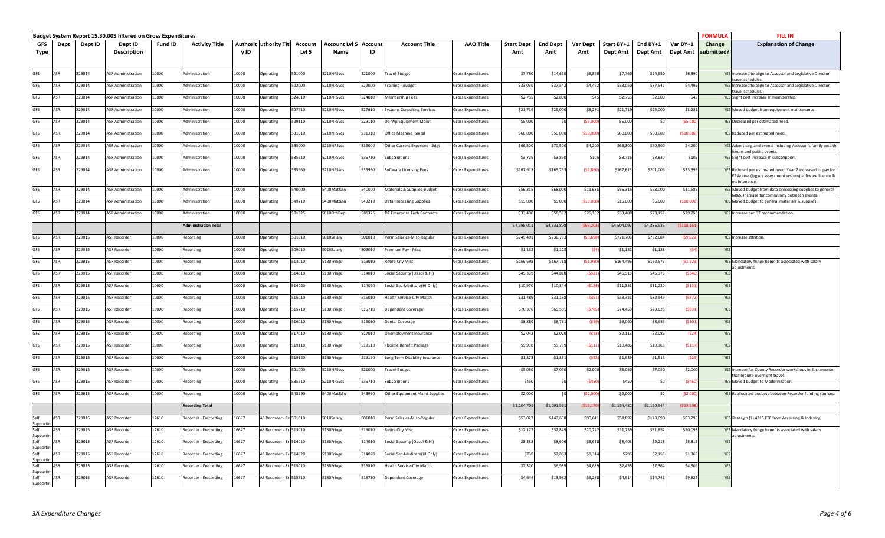|                  |            |         | Budget System Report 15.30.005 filtered on Gross Expenditures |         |                             |       |                               |         |                              |        |                                |                           |                   |                 |             |             |             |             | <b>FORMULA</b> | <b>FILL IN</b>                                                                                                         |
|------------------|------------|---------|---------------------------------------------------------------|---------|-----------------------------|-------|-------------------------------|---------|------------------------------|--------|--------------------------------|---------------------------|-------------------|-----------------|-------------|-------------|-------------|-------------|----------------|------------------------------------------------------------------------------------------------------------------------|
| GFS              | Dept       | Dept ID | Dept ID                                                       | Fund ID | <b>Activity Title</b>       |       | <b>Authorit uthority Titl</b> | Account | <b>Account Lvl 5 Account</b> |        | <b>Account Title</b>           | <b>AAO Title</b>          | <b>Start Dept</b> | <b>End Dept</b> | Var Dept    | Start BY+1  | End BY+1    | Var BY+1    | Change         | <b>Explanation of Change</b>                                                                                           |
| Type             |            |         | <b>Description</b>                                            |         |                             | y ID  |                               | Lvl 5   | Name                         | ID     |                                |                           | Amt               | Amt             | Amt         | Dept Amt    | Dept Amt    | Dept Amt    | submitted?     |                                                                                                                        |
|                  |            |         |                                                               |         |                             |       |                               |         |                              |        |                                |                           |                   |                 |             |             |             |             |                |                                                                                                                        |
| GFS              | ASR        | 229014  | <b>ASR Administration</b>                                     | 10000   | Administration              | 10000 | )perating                     | 521000  | 210NPSvcs                    | 521000 | ravel-Budget                   | Gross Expenditures        | \$7,76            | \$14,650        | \$6,890     | \$7,760     | \$14,650    | \$6,890     |                | YES Increased to align to Assessor and Legislative Director                                                            |
|                  |            |         |                                                               |         |                             |       |                               |         |                              |        |                                |                           |                   |                 |             |             |             |             |                | travel schedules                                                                                                       |
| GFS              | ASR        | 229014  | <b>ASR Administration</b>                                     | 10000   | Administration              | 10000 | )perating                     | 522000  | 210NPSvcs                    | 522000 | raining - Budget               | iross Expenditures        | \$33,05           | \$37,542        | \$4,492     | \$33,050    | \$37,542    | \$4,492     |                | YES Increased to align to Assessor and Legislative Director<br>travel schedules                                        |
| GFS              | ASR        | 229014  | <b>ASR Administration</b>                                     | 10000   | <b>dministration</b>        | 10000 | )perating                     | 524010  | 210NPSvcs                    | 524010 | Membership Fees                | iross Expenditures        | \$2,75            | \$2,800         | \$45        | \$2,755     | \$2,800     | \$45        |                | YES Slight cost increase in membership.                                                                                |
| <b>GFS</b>       | ASR        | 229014  | <b>ASR Administration</b>                                     | 10000   | dministration               | 10000 | <b>D</b> perating             | 527610  | 210NPSvcs                    | 527610 | Systems Consulting Services    | iross Expenditures        | \$21,719          | \$25,000        | \$3,281     | \$21,719    | \$25,000    | \$3,281     |                | YES Moved budget from equipment maintenance.                                                                           |
| <b>GFS</b>       | ASR        | 229014  | <b>ASR Administration</b>                                     | 10000   | dministration               | 10000 | )perating                     | 529110  | 210NPSvcs                    | 329110 | Dp-Wp Equipment Maint          | iross Expenditures        | \$5,000           |                 | (55,00)     | \$5,000     |             | (55,00)     |                | YES Decreased per estimated need.                                                                                      |
|                  |            |         |                                                               |         |                             |       |                               |         |                              |        |                                |                           |                   |                 |             |             |             |             |                |                                                                                                                        |
| GFS              | ASR        | 229014  | <b>ASR Administration</b>                                     | 10000   | Administration              | 10000 | perating                      | 531310  | 210NPSvcs                    | 531310 | Office Machine Rental          | iross Expenditures        | \$60,000          | \$50,000        | ( \$10, 00] | \$60,000    | \$50,000    | (510.00)    |                | YES Reduced per estimated need.                                                                                        |
| GFS              | ASR        | 229014  | <b>ASR Administration</b>                                     | 10000   | Administration              | 10000 | <b>Operating</b>              | 535000  | 5210NPSvcs                   | 535000 | Other Current Expenses - Bdgt  | Gross Expenditures        | \$66,300          | \$70,500        | \$4,200     | \$66,300    | \$70,500    | \$4,200     |                | YES Advertising and events including Assessor's family wealth                                                          |
| GES              | <b>ASR</b> | 229014  | <b>ASR Administration</b>                                     | 10000   | Administration              | 10000 | Operating                     | 535710  | 5210NPSvcs                   | 535710 | Subscriptions                  | iross Expenditures        | \$3,725           | \$3,830         | \$105       | \$3,725     | \$3,830     | \$105       |                | forum and public events.<br>YES Slight cost increase in subscription.                                                  |
|                  |            |         |                                                               |         |                             |       |                               |         |                              |        |                                |                           |                   |                 |             |             |             |             |                |                                                                                                                        |
| GFS              | <b>ASR</b> | 229014  | <b>ASR Administration</b>                                     | 10000   | Administration              | 10000 | Operating                     | 535960  | 5210NPSvcs                   | 535960 | Software Licensing Fees        | Gross Expenditures        | \$167,61          | \$165,753       | (51, 86)    | \$167,613   | \$201,009   | \$33,396    |                | YES Reduced per estimated need. Year 2 increased to pay for<br>EZ Access (legacy assessment system) software license & |
|                  |            |         |                                                               |         |                             |       |                               |         |                              |        |                                |                           |                   |                 |             |             |             |             |                | maintenance.                                                                                                           |
| GFS              | ASR        | 229014  | <b>ASR Administration</b>                                     | 10000   | <b>dministration</b>        | 10000 | )perating                     | 540000  | 400Mat&Su                    | 540000 | Materials & Supplies-Budget    | iross Expenditures        | \$56,31           | \$68,000        | \$11,685    | \$56,315    | \$68,000    | \$11,685    |                | YES Moved budget from data processing supplies to general<br>M&S, Increase for community outreach events.              |
| GFS              | ASR        | 229014  | <b>ASR Administration</b>                                     | 10000   | dministration               | 10000 | )perating                     | 549210  | 400Mat&Su                    | 549210 | Data Processing Supplies       | iross Expenditures        | \$15,000          | \$5,000         | (510,00)    | \$15,000    | \$5,000     | (510,00)    |                | YES Moved budget to general materials & supplies.                                                                      |
| <b>GFS</b>       | ASR        | 229014  | <b>ASR Administration</b>                                     | 10000   | Administration              | 10000 | perating                      | 581325  | 5810OthDep                   | 581325 | DT Enterprise Tech Contracts   | Gross Expenditures        | \$33,400          | \$58,582        | \$25,182    | \$33,400    | \$73,158    | \$39,758    |                | YES Increase per DT recommendation.                                                                                    |
|                  |            |         |                                                               |         |                             |       |                               |         |                              |        |                                |                           |                   |                 |             |             |             |             |                |                                                                                                                        |
|                  |            |         |                                                               |         | <b>Administration Total</b> |       |                               |         |                              |        |                                |                           | \$4,398,011       | \$4,331,808     | (566.2)     | \$4,504,09  | \$4,385,936 | ( \$118,161 |                |                                                                                                                        |
| GFS              | <b>ASR</b> | 229015  | <b>ASR Recorder</b>                                           | 10000   | tecording                   | 10000 | perating                      | 501010  | 5010Salary                   | 501010 | Perm Salaries-Misc-Regular     | ross Expenditures         | \$745,49          | \$736,793       | (58, 69)    | \$771,706   | \$762,684   | (\$9,02)    |                | YES Increase attrition.                                                                                                |
| GFS              | <b>ASR</b> | 229015  | <b>ASR Recorder</b>                                           | 10000   | Recording                   | 10000 | <b>Operating</b>              | 509010  | 5010Salary                   | 509010 | Premium Pay - Misc             | iross Expenditures        | \$1,132           | \$1,128         | (\$4        | \$1,132     | \$1,128     | (S4)        | <b>YFS</b>     |                                                                                                                        |
| <b>GFS</b>       | ASR        | 229015  | <b>ASR Recorder</b>                                           | 10000   | Recording                   | 10000 | <b>Dperating</b>              | 513010  | 5130Fringe                   | 513010 | <b>Retire City Misc</b>        | Gross Expenditures        | \$169,698         | \$167,718       | (51,98)     | \$164,496   | \$162,573   | (51, 923)   |                | YES Mandatory fringe benefits associated with salary                                                                   |
|                  |            |         |                                                               |         |                             |       |                               |         |                              |        |                                |                           |                   |                 |             |             |             |             |                | adiustments.                                                                                                           |
| <b>GFS</b>       | ASR        | 229015  | <b>ASR Recorder</b>                                           | 10000   | Recording                   | 10000 | <b>Derating</b>               | 514010  | 5130Fringe                   | 514010 | Social Security (Oasdi & Hi)   | <b>Gross Expenditures</b> | \$45,339          | \$44,818        | $($ \$52    | \$46,919    | \$46,379    | (5540)      | YES            |                                                                                                                        |
| GFS              | ASR        | 229015  | <b>ASR Recorder</b>                                           | 10000   | Recording                   | 10000 | perating                      | 514020  | 5130Fringe                   | 514020 | Social Sec-Medicare(HI Only)   | Gross Expenditures        | \$10,970          | \$10,844        | (5126)      | \$11,351    | \$11,220    | (5131)      | <b>YES</b>     |                                                                                                                        |
| GFS              | ASR        | 229015  | <b>ASR Recorder</b>                                           | 10000   | Recording                   | 10000 | perating                      | 515010  | 5130Fringe                   | 515010 | lealth Service-City Match      | Gross Expenditures        | \$31,489          | \$31,138        | (5351       | \$33,321    | \$32,949    | (5372)      | YES            |                                                                                                                        |
|                  | ASR        |         |                                                               |         |                             |       |                               |         |                              |        |                                |                           |                   |                 |             |             |             |             | <b>YES</b>     |                                                                                                                        |
| GFS              |            | 229015  | <b>ASR Recorder</b>                                           | 10000   | Recording                   | 10000 | perating                      | 515710  | 5130Fringe                   | 515710 | ependent Coverage              | iross Expenditures        | \$70,37           | \$69,591        | (\$78       | \$74,459    | \$73,628    | (5831)      |                |                                                                                                                        |
| <b>GFS</b>       | ASR        | 229015  | <b>ASR Recorder</b>                                           | 10000   | <b>Recording</b>            | 10000 | )perating                     | 516010  | 5130Fringe                   | 516010 | Dental Coverage                | iross Expenditures        | \$8,88            | \$8,781         | <b>(S9</b>  | \$9,060     | \$8,959     | (5101       | <b>YFS</b>     |                                                                                                                        |
| <b>GFS</b>       | ASR        | 229015  | <b>ASR Recorder</b>                                           | 10000   | Recording                   | 10000 | )perating                     | 517010  | 5130Fringe                   | 517010 | nemployment Insurance          | Gross Expenditures        | \$2,043           | \$2,020         | (523)       | \$2,113     | \$2,089     | (524)       | <b>YFS</b>     |                                                                                                                        |
| <b>GFS</b>       | ASR        | 229015  | <b>SR Recorder</b>                                            | 10000   | Recording                   | 10000 | berating                      | 19110   | 130Fringe                    | 519110 | lexible Benefit Package        | Gross Expenditures        | \$9,91            | \$9,799         | (\$111      | \$10,486    | \$10,369    | (5117)      | YES            |                                                                                                                        |
|                  |            |         |                                                               |         |                             |       |                               |         |                              |        |                                |                           |                   |                 |             |             |             |             |                |                                                                                                                        |
| GFS              | ASR        | 29015   | <b>ASR Recorder</b>                                           | 10000   | tecording                   | 10000 | perating                      | 19120   | 130Fringe                    | 19120  | ong Term Disability Insurance  | iross Expenditures        | \$1,87            | \$1,851         | (52)        | \$1,939     | \$1,916     | (523)       |                |                                                                                                                        |
| GFS              | ASR        | 229015  | <b>ASR Recorder</b>                                           | 10000   | Recording                   | 10000 | perating                      | 21000   | 210NPSvcs                    | 521000 | ravel-Budget                   | iross Expenditures        | \$5,05            | \$7,050         | \$2,000     | \$5,050     | \$7,050     | \$2,000     |                | YES Increase for County Recorder workshops in Sacramento                                                               |
| GFS              | ASR        | 229015  | <b>ASR Recorder</b>                                           | 10000   | Recording                   | 10000 | perating                      | 535710  | 5210NPSvcs                   | 535710 | subscriptions                  | Gross Expenditures        | \$450             | <b>SO</b>       | (S45)       | \$450       | \$0         | ( \$450     |                | that require overnight travel.<br><b>YES</b> Moved budget to Modernization.                                            |
| <b>GFS</b>       | <b>ASR</b> | 229015  | <b>ASR Recorder</b>                                           | 10000   | Recording                   | 10000 | perating                      | 543990  | 5400Mat&Su                   | 543990 | Other Equipment Maint Supplies | Gross Expenditures        | \$2,000           |                 | (\$2,000    | \$2,000     |             | ( \$2,000   |                | YES Reallocated budgets between Recorder funding sources.                                                              |
|                  |            |         |                                                               |         |                             |       |                               |         |                              |        |                                |                           |                   |                 |             |             |             |             |                |                                                                                                                        |
|                  |            |         |                                                               |         | <b>Recording Total</b>      |       |                               |         |                              |        |                                |                           | \$1,104,70        | \$1,091,531     | ( \$13, 17  | \$1,134,482 | \$1,120,944 | ( \$13,53   |                |                                                                                                                        |
| Self             | ASR        | 229015  | <b>ASR Recorder</b>                                           | 12610   | Recorder - Erecording       | 16627 | AS Recorder - Erc 501010      |         | 5010Salary                   | 601010 | Perm Salaries-Misc-Regular     | Gross Expenditures        | \$53,02           | \$143,638       | \$90,611    | \$54,892    | \$148,690   | \$93,798    |                | YES Reassign (1) 4215 FTE from Accessing & Indexing.                                                                   |
| Supporti<br>Selt | ASR        | 229015  | <b>ASR Recorder</b>                                           | 12610   | Recorder - Erecording       | 16627 | <b>AS Recorder - Er</b>       | 513010  | $5130$ Fringe                | 513010 | Retire City Misc               | Gross Expenditures        | \$12,12           | \$32,849        | \$20,722    | \$11,759    | \$31,852    | \$20,093    |                | YES Mandatory fringe benefits associated with salary                                                                   |
| Supporti         |            |         |                                                               |         |                             |       |                               |         |                              |        |                                |                           |                   |                 |             |             |             |             |                | adjustments.                                                                                                           |
| Supporti         | ASR        | 229015  | <b>ASR Recorder</b>                                           | 12610   | tecorder - Erecording       | 16627 | AS Recorder - Ere514010       |         | 5130Fringe                   | 514010 | Social Security (Oasdi & Hi)   | iross Expenditures        | \$3,281           | \$8,906         | \$5,618     | \$3,403     | \$9,218     | \$5,815     | YF!            |                                                                                                                        |
| Self             | ASR        | 229015  | <b>ASR Recorder</b>                                           | 12610   | Recorder - Erecording       | 16627 | AS Recorder - Ere 514020      |         | 5130Fringe                   | 514020 | Social Sec-Medicare(HI Only)   | Gross Expenditures        | \$769             | \$2,083         | \$1,314     | \$796       | \$2,156     | \$1,360     | YES            |                                                                                                                        |
| Supporti<br>Self | ASR        | 229015  | ASR Recorder                                                  | 12610   | Recorder - Erecording       | 16627 | AS Recorder - Ere 515010      |         | 5130Fringe                   | 515010 | lealth Service-City Match      | ross Expenditures         | \$2,320           | \$6,95          | \$4,639     | \$2,455     | \$7,364     | \$4,909     | YES            |                                                                                                                        |
| Supporti<br>Self | ASR        | 229015  | <b>ASR Recorder</b>                                           |         |                             | 16627 |                               |         |                              | 515710 |                                |                           |                   |                 |             |             |             |             | <b>YES</b>     |                                                                                                                        |
| Supportin        |            |         |                                                               | 12610   | Recorder - Erecording       |       | AS Recorder - Erc515710       |         | 5130Fringe                   |        | Dependent Coverage             | iross Expenditures        | \$4,644           | \$13,93         | \$9,288     | \$4,914     | \$14,741    | \$9,827     |                |                                                                                                                        |
|                  |            |         |                                                               |         |                             |       |                               |         |                              |        |                                |                           |                   |                 |             |             |             |             |                |                                                                                                                        |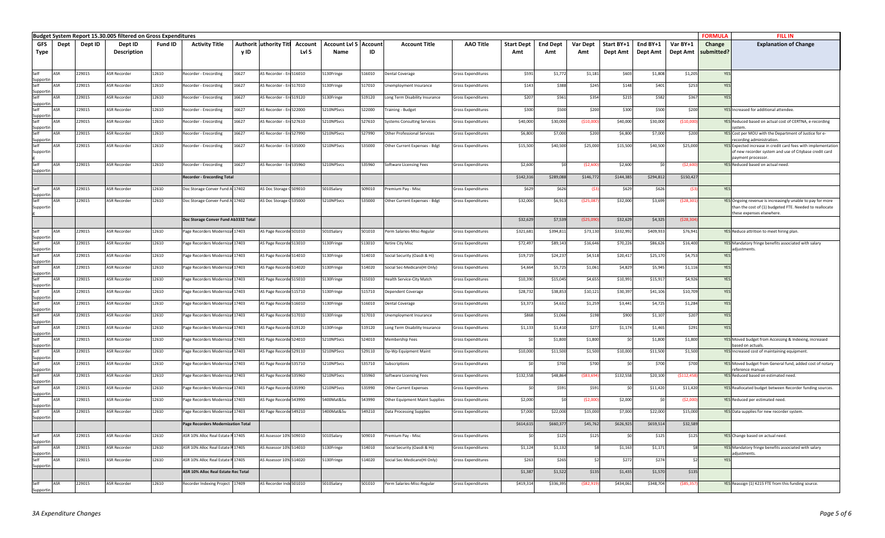|                   |                                                                                                                                                                                                                                                                                                                                                                                                                                 |         | Budget System Report 15.30.005 filtered on Gross Expenditures |         |                                            |       |                                |         |                              |        |                                |                           |                   |                 |                 |            |           |             | <b>FORMULA</b> | <b>FILL IN</b>                                                                                                          |
|-------------------|---------------------------------------------------------------------------------------------------------------------------------------------------------------------------------------------------------------------------------------------------------------------------------------------------------------------------------------------------------------------------------------------------------------------------------|---------|---------------------------------------------------------------|---------|--------------------------------------------|-------|--------------------------------|---------|------------------------------|--------|--------------------------------|---------------------------|-------------------|-----------------|-----------------|------------|-----------|-------------|----------------|-------------------------------------------------------------------------------------------------------------------------|
| GFS               | Dept                                                                                                                                                                                                                                                                                                                                                                                                                            | Dept ID | Dept ID                                                       | Fund ID | <b>Activity Title</b>                      |       | <b>Authorit luthority Titl</b> | Account | <b>Account Lvl 5 Account</b> |        | <b>Account Title</b>           | <b>AAO Title</b>          | <b>Start Dept</b> | <b>End Dept</b> | <b>Var Dept</b> | Start BY+1 | End BY+1  | Var BY+1    | Change         | <b>Explanation of Change</b>                                                                                            |
| Type              |                                                                                                                                                                                                                                                                                                                                                                                                                                 |         | Description                                                   |         |                                            | y ID  |                                | LvI 5   | Name                         | ID     |                                |                           | Amt               | Amt             | Amt             | Dept Amt   | Dept Amt  | Dept Amt    | submitted?     |                                                                                                                         |
|                   |                                                                                                                                                                                                                                                                                                                                                                                                                                 |         |                                                               |         |                                            |       |                                |         |                              |        |                                |                           |                   |                 |                 |            |           |             |                |                                                                                                                         |
| Self              | <b>ASR</b>                                                                                                                                                                                                                                                                                                                                                                                                                      | 229015  | <b>ASR Recorder</b>                                           | 12610   |                                            |       | S Recorder - Erc516010         |         | 5130Fringe                   | 16010  |                                |                           |                   |                 |                 | \$603      | \$1,808   |             | YES            |                                                                                                                         |
| Supporti          |                                                                                                                                                                                                                                                                                                                                                                                                                                 |         |                                                               |         | Recorder - Erecording                      | 16627 |                                |         |                              |        | Dental Coverage                | Gross Expenditures        | \$591             | \$1,77          | \$1,181         |            |           | \$1,205     |                |                                                                                                                         |
| Self              | ∆SR                                                                                                                                                                                                                                                                                                                                                                                                                             | 229015  | <b>ASR Recorder</b>                                           | 12610   | Recorder - Erecording                      | 16627 | \S Recorder - Erc517010        |         | 5130Fringe                   | 517010 | Jnemployment Insurance         | Gross Expenditures        | \$143             | \$388           | \$245           | \$148      | \$401     | \$253       | YF:            |                                                                                                                         |
| Supportin         | ASR                                                                                                                                                                                                                                                                                                                                                                                                                             | 229015  | <b>ASR Recorder</b>                                           | 12610   | Recorder - Erecording                      | 16627 | AS Recorder - Erc519120        |         | 5130Fringe                   | 519120 | Long Term Disability Insurance | Gross Expenditures        | \$207             | \$561           | \$354           | \$215      | \$582     | \$367       |                |                                                                                                                         |
| Supportin         |                                                                                                                                                                                                                                                                                                                                                                                                                                 |         |                                                               |         |                                            |       |                                |         |                              |        |                                |                           |                   |                 |                 |            |           |             |                |                                                                                                                         |
| Self<br>Sunnortir | ASR                                                                                                                                                                                                                                                                                                                                                                                                                             | 229015  | <b>ASR Recorder</b>                                           | 12610   | Recorder - Erecording                      | 16627 | AS Recorder - Erc522000        |         | 5210NPSvcs                   | 522000 | <b>Training - Budget</b>       | Gross Expenditures        | \$300             | \$500           | \$200           | \$300      | \$500     | \$200       |                | YES Increased for additional attendee.                                                                                  |
|                   | ASR                                                                                                                                                                                                                                                                                                                                                                                                                             | 229015  | <b>ASR Recorder</b>                                           | 12610   | Recorder - Erecording                      | 16627 | S Recorder - Ere 527610        |         | 5210NPSvcs                   | 527610 | Systems Consulting Services    | Gross Expenditures        | \$40,00           | \$30,00         | ( \$10,00]      | \$40,000   | \$30,000  | (510,00)    |                | YES Reduced based on actual cost of CERTNA, e-recording                                                                 |
| Supportin<br>Self | ASR                                                                                                                                                                                                                                                                                                                                                                                                                             | 229015  | <b>ASR Recorder</b>                                           | 12610   | Recorder - Erecording                      | 16627 | S Recorder - Erc527990         |         | 5210NPSvcs                   | 527990 | Other Professional Services    | <b>Gross Expenditures</b> | \$6,800           | \$7,000         | \$200           | \$6,800    | \$7,000   | \$200       |                | vstem<br>YES Cost per MOU with the Department of Justice for e-                                                         |
| Supportin         |                                                                                                                                                                                                                                                                                                                                                                                                                                 |         |                                                               |         |                                            |       |                                |         |                              |        |                                |                           |                   |                 |                 |            |           |             |                | ecording administration.                                                                                                |
| Self<br>Supportir | ASR                                                                                                                                                                                                                                                                                                                                                                                                                             | 229015  | <b>ASR Recorder</b>                                           | 12610   | Recorder - Erecording                      | 16627 | AS Recorder - Ere535000        |         | 5210NPSvcs                   | 535000 | Other Current Expenses - Bdgt  | <b>Gross Expenditures</b> | \$15,500          | \$40,500        | \$25,000        | \$15,500   | \$40,500  | \$25,000    |                | YES Expected increase in credit card fees with implementation<br>of new recorder system and use of Citybase credit card |
|                   |                                                                                                                                                                                                                                                                                                                                                                                                                                 |         |                                                               |         |                                            |       |                                |         |                              |        |                                |                           |                   |                 |                 |            |           |             |                | payment processor                                                                                                       |
| Self              | ASR                                                                                                                                                                                                                                                                                                                                                                                                                             | 229015  | <b>ASR Recorder</b>                                           | 12610   | Recorder - Erecording                      | 16627 | AS Recorder - Ere535960        |         | 5210NPSvcs                   | 535960 | Software Licensing Fees        | <b>Gross Expenditures</b> | \$2,600           |                 | (52,600)        | \$2,600    | SO        | (52,600)    |                | YES Reduced based on actual need.                                                                                       |
| Supportin         |                                                                                                                                                                                                                                                                                                                                                                                                                                 |         |                                                               |         | <b>Recorder - Erecording Total</b>         |       |                                |         |                              |        |                                |                           | \$142,316         | \$289,08        | \$146,772       | \$144,385  | \$294,812 | \$150,427   |                |                                                                                                                         |
|                   |                                                                                                                                                                                                                                                                                                                                                                                                                                 |         |                                                               |         |                                            |       |                                |         |                              |        |                                |                           |                   |                 |                 |            |           |             |                |                                                                                                                         |
| Self<br>Supportir | ASR                                                                                                                                                                                                                                                                                                                                                                                                                             | 229015  | <b>ASR Recorder</b>                                           | 12610   | Doc Storage Conver Fund A 17402            |       | <b>\S Doc Storage C509010</b>  |         | 5010Salary                   | 609010 | Premium Pay - Misc             | Gross Expenditures        | \$629             | \$626           |                 | \$629      | \$626     | (S3         | YES            |                                                                                                                         |
| Self              | <b>ASR</b>                                                                                                                                                                                                                                                                                                                                                                                                                      | 229015  | <b>ASR Recorder</b>                                           | 12610   | Doc Storage Conver Fund A 17402            |       | AS Doc Storage C535000         |         | 5210NPSvcs                   | 535000 | Other Current Expenses - Bdgt  | Gross Expenditures        | \$32,000          | \$6,91          | ( \$25,08       | \$32,000   | \$3,699   | (528, 30)   |                | YES Ongoing revenue is increasingly unable to pay for more                                                              |
| Supportin         |                                                                                                                                                                                                                                                                                                                                                                                                                                 |         |                                                               |         |                                            |       |                                |         |                              |        |                                |                           |                   |                 |                 |            |           |             |                | than the cost of (1) budgeted FTE. Needed to reallocate<br>these expenses elsewhere.                                    |
|                   |                                                                                                                                                                                                                                                                                                                                                                                                                                 |         |                                                               |         | Doc Storage Conver Fund Ab3332 Total       |       |                                |         |                              |        |                                |                           | \$32,629          | \$7,539         | ( \$25,09       | \$32,629   | \$4,325   | (528, 30)   |                |                                                                                                                         |
| Self              | ASR                                                                                                                                                                                                                                                                                                                                                                                                                             | 229015  | <b>ASR Recorder</b>                                           | 12610   | Page Recorders Modernizat 17403            |       | S Page Recorde 501010          |         | 5010Salary                   | 501010 | Perm Salaries-Misc-Regular     | Gross Expenditures        | \$321,68          | \$394,81        | \$73,130        | \$332,992  | \$409,933 | \$76,941    |                | YES Reduce attrition to meet hiring plan.                                                                               |
| Supportin         |                                                                                                                                                                                                                                                                                                                                                                                                                                 |         |                                                               |         |                                            |       |                                |         |                              |        |                                |                           |                   |                 |                 |            |           |             |                |                                                                                                                         |
| Self<br>Supportin | ASR                                                                                                                                                                                                                                                                                                                                                                                                                             | 229015  | <b>ASR Recorder</b>                                           | 12610   | Page Recorders Modernizat 17403            |       | S Page Recorde 513010          |         | 5130Fringe                   | 513010 | Retire City Misc               | Gross Expenditures        | \$72,49           | \$89,14         | \$16,646        | \$70,226   | \$86,626  | \$16,400    |                | YES Mandatory fringe benefits associated with salary<br>adjustments.                                                    |
|                   | <b>ASR</b>                                                                                                                                                                                                                                                                                                                                                                                                                      | 229015  | <b>ASR Recorder</b>                                           | 12610   | Page Recorders Modernizat 17403            |       | AS Page Recorde 514010         |         | 5130Fringe                   | 514010 | Social Security (Oasdi & Hi)   | Gross Expenditures        | \$19,71           | \$24,23         | \$4,518         | \$20,41    | \$25,170  | \$4,753     | YF:            |                                                                                                                         |
| Supporti          | ASR                                                                                                                                                                                                                                                                                                                                                                                                                             |         |                                                               |         |                                            |       |                                |         |                              |        |                                |                           |                   |                 |                 |            |           |             |                |                                                                                                                         |
| Supportir         |                                                                                                                                                                                                                                                                                                                                                                                                                                 | 229015  | <b>ASR Recorder</b>                                           | 12610   | Page Recorders Modernizat 17403            |       | AS Page Recorde 514020         |         | 5130Fringe                   | 514020 | Social Sec-Medicare(HI Only)   | Gross Expenditures        | \$4,664           | \$5,72          | \$1,061         | \$4,829    | \$5,945   | \$1,116     | YE:            |                                                                                                                         |
|                   | ∆SR                                                                                                                                                                                                                                                                                                                                                                                                                             | 229015  | ASR Recorder                                                  | 12610   | age Recorders Modernizat 17403             |       | S Page Recorde 515010          |         | 5130Fringe                   | 15010  | Health Service-City Match      | Gross Expenditures        | \$10,39           | \$15,04         | \$4,655         | \$10,99    | \$15,91   | \$4,926     | YE:            |                                                                                                                         |
| upporti<br>Self   | ASR                                                                                                                                                                                                                                                                                                                                                                                                                             | 229015  | <b>ASR Recorder</b>                                           | 12610   | Page Recorders Modernizat 17403            |       | AS Page Recorde 515710         |         | 5130Fringe                   | 515710 | Dependent Coverage             | Gross Expenditures        | \$28,73           | \$38,85         | \$10,121        | \$30,39    | \$41,106  | \$10,709    | YES            |                                                                                                                         |
| Supportin         |                                                                                                                                                                                                                                                                                                                                                                                                                                 |         |                                                               |         |                                            |       |                                |         |                              |        |                                |                           |                   |                 |                 |            |           |             |                |                                                                                                                         |
| Supporti          | ASR                                                                                                                                                                                                                                                                                                                                                                                                                             | 229015  | <b>ASR Recorder</b>                                           | 12610   | Page Recorders Modernizat 17403            |       | AS Page Recorde 516010         |         | 5130Fringe                   | 516010 | Dental Coverage                | Gross Expenditures        | \$3,373           | \$4,632         | \$1,259         | \$3,441    | \$4,725   | \$1,284     | YES            |                                                                                                                         |
| Self              | ASR                                                                                                                                                                                                                                                                                                                                                                                                                             | 229015  | <b>ASR Recorder</b>                                           | 12610   | age Recorders Modernizat 17403             |       | <b>\S Page Recorde 517010</b>  |         | 5130Fringe                   | 517010 | Jnemployment Insurance         | Gross Expenditures        | \$868             | \$1,066         | \$198           | \$900      | \$1,107   | \$207       | YE:            |                                                                                                                         |
| Supportin<br>Self | ASR                                                                                                                                                                                                                                                                                                                                                                                                                             | 229015  | <b>ASR Recorder</b>                                           | 12610   | Page Recorders Modernizat 17403            |       | S Page Recorde 519120          |         | 5130Fringe                   | 519120 | Long Term Disability Insurance | Gross Expenditures        | \$1,13            | \$1,410         | \$277           | \$1,174    | \$1,465   | \$291       | YF:            |                                                                                                                         |
| Supportin         |                                                                                                                                                                                                                                                                                                                                                                                                                                 |         |                                                               |         |                                            |       |                                |         |                              |        |                                |                           |                   |                 |                 |            |           |             |                |                                                                                                                         |
| Self<br>Supportin | ASR                                                                                                                                                                                                                                                                                                                                                                                                                             | 229015  | <b>ASR Recorder</b>                                           | 12610   | Page Recorders Modernizat 17403            |       | AS Page Recorde 524010         |         | 5210NPSvcs                   | 524010 | Membership Fees                | Gross Expenditures        |                   | \$1,80          | \$1,800         | \$0        | \$1,800   | \$1,800     |                | YES Moved budget from Accessing & Indexing, increased<br>pased on actuals.                                              |
| Self              | ASR                                                                                                                                                                                                                                                                                                                                                                                                                             | 229015  | <b>ASR Recorder</b>                                           | 12610   | Page Recorders Modernizat 17403            |       | AS Page Recorde 529110         |         | 5210NPSvcs                   | 529110 | Dp-Wp Equipment Maint          | Gross Expenditures        | \$10,000          | \$11,50         | \$1,500         | \$10,000   | \$11,500  | \$1,500     |                | YES Increased cost of maintaining equipment.                                                                            |
| Supportin         | ∆SR                                                                                                                                                                                                                                                                                                                                                                                                                             | 229015  | <b>ASR Recorder</b>                                           | 12610   | Page Recorders Modernizat 17403            |       | <b>\S Page Recorde 535710</b>  |         | 5210NPSvcs                   | 535710 | Subscriptions                  | Gross Expenditures        |                   | \$700           | \$700           | \$0        | \$700     | \$700       |                | YES Moved budget from General fund, added cost of notary                                                                |
| Supporti          |                                                                                                                                                                                                                                                                                                                                                                                                                                 |         |                                                               |         |                                            |       |                                |         |                              |        |                                |                           |                   |                 |                 |            |           |             |                | eference manual                                                                                                         |
| Self<br>Supportin | ASR                                                                                                                                                                                                                                                                                                                                                                                                                             | 229015  | <b>ASR Recorder</b>                                           | 12610   | age Recorders Modernizat 17403             |       | S Page Recorde 535960          |         | 5210NPSvcs                   | 535960 | Software Licensing Fees        | Gross Expenditures        | \$132,558         | \$48,864        | ( \$83, 69]     | \$132,558  | \$20,100  | (5112, 458) |                | YES Reduced based on estimated need.                                                                                    |
|                   | ∆ <r< td=""><td>229015</td><td><b>ASR Recorder</b></td><td>12610</td><td>Page Recorders Modernizat 17403</td><td></td><td>AS Page Recorde 535990</td><td></td><td>5210NPSvcs</td><td>535990</td><td><b>Other Current Expenses</b></td><td>Gross Expenditures</td><td></td><td>\$591</td><td>\$591</td><td></td><td>\$11,42</td><td>\$11,420</td><td></td><td>YES Reallocated budget between Recorder funding sources.</td></r<> | 229015  | <b>ASR Recorder</b>                                           | 12610   | Page Recorders Modernizat 17403            |       | AS Page Recorde 535990         |         | 5210NPSvcs                   | 535990 | <b>Other Current Expenses</b>  | Gross Expenditures        |                   | \$591           | \$591           |            | \$11,42   | \$11,420    |                | YES Reallocated budget between Recorder funding sources.                                                                |
| Supportir<br>Self | ASR                                                                                                                                                                                                                                                                                                                                                                                                                             | 229015  | <b>ASR Recorder</b>                                           | 12610   | Page Recorders Modernizat 17403            |       | AS Page Recorde 543990         |         | 5400Mat&Su                   | 543990 | Other Equipment Maint Supplies | Gross Expenditures        | \$2,000           |                 | (52,00)         | \$2,000    | - \$0     | (52,00)     |                | YES Reduced per estimated need.                                                                                         |
| Sunnortir         |                                                                                                                                                                                                                                                                                                                                                                                                                                 |         |                                                               |         |                                            |       |                                |         |                              |        |                                |                           |                   |                 |                 |            |           |             |                |                                                                                                                         |
|                   | ASR                                                                                                                                                                                                                                                                                                                                                                                                                             | 229015  | <b>ASR Recorder</b>                                           | 12610   | Page Recorders Modernizat 17403            |       | S Page Recorde 549210          |         | 5400Mat&Su                   | 549210 | Data Processing Supplies       | Gross Expenditures        | \$7,000           | \$22,000        | \$15,000        | \$7,000    | \$22,000  | \$15,000    |                | YES Data supplies for new recorder system.                                                                              |
| Supportin         |                                                                                                                                                                                                                                                                                                                                                                                                                                 |         |                                                               |         | Page Recorders Modernization Total         |       |                                |         |                              |        |                                |                           | \$614,615         | \$660,377       | \$45,762        | \$626,925  | \$659,514 | \$32,589    |                |                                                                                                                         |
|                   |                                                                                                                                                                                                                                                                                                                                                                                                                                 |         |                                                               |         |                                            |       |                                |         |                              |        |                                |                           |                   |                 |                 |            |           |             |                |                                                                                                                         |
| Self<br>Supportin | ASR                                                                                                                                                                                                                                                                                                                                                                                                                             | 229015  | <b>ASR Recorder</b>                                           | 12610   | ASR 10% Alloc Real Estate R 17405          |       | AS Assessor 10% 509010         |         | 5010Salary                   | 509010 | Premium Pay - Misc             | Gross Expenditures        | \$0               | \$125           | \$125           | \$0        | \$125     | \$125       |                | YES Change based on actual need.                                                                                        |
| Self              |                                                                                                                                                                                                                                                                                                                                                                                                                                 | 229015  | ASR Recorder                                                  | 12610   | ASR 10% Alloc Real Estate R 17405          |       | AS Assessor 10% 514010         |         | 5130Fringe                   | 514010 | Social Security (Oasdi & Hi)   | Gross Expenditures        | \$1,124           | \$1,132         | \$8             | \$1,163    | \$1,171   |             |                | YES Mandatory fringe benefits associated with salary                                                                    |
| Supporti<br>Self  | ASR                                                                                                                                                                                                                                                                                                                                                                                                                             | 229015  | ASR Recorder                                                  | 12610   | ASR 10% Alloc Real Estate R 17405          |       | S Assessor 10% 514020          |         | 5130Fringe                   | 514020 | Social Sec-Medicare(HI Only)   | Gross Expenditures        | \$263             | \$265           | \$2             | \$272      | \$274     |             | YF:            | djustments.                                                                                                             |
| Supportin         |                                                                                                                                                                                                                                                                                                                                                                                                                                 |         |                                                               |         |                                            |       |                                |         |                              |        |                                |                           |                   |                 |                 |            |           |             |                |                                                                                                                         |
|                   |                                                                                                                                                                                                                                                                                                                                                                                                                                 |         |                                                               |         | <b>ASR 10% Alloc Real Estate Rec Total</b> |       |                                |         |                              |        |                                |                           | \$1,387           | \$1,522         | \$135           | \$1,435    | \$1,570   | \$135       |                |                                                                                                                         |
| Self              | ASR                                                                                                                                                                                                                                                                                                                                                                                                                             | 229015  | <b>ASR Recorder</b>                                           | 12610   | Recorder Indexing Project 17409            |       | AS Recorder Inde 501010        |         | 5010Salary                   | 501010 | Perm Salaries-Misc-Regular     | Gross Expenditures        | \$419,314         | \$336,39        | (\$82,91        | \$434,061  | \$348,704 | $($ \$85,35 |                | YES Reassign (1) 4215 FTE from this funding source.                                                                     |
| Supportin         |                                                                                                                                                                                                                                                                                                                                                                                                                                 |         |                                                               |         |                                            |       |                                |         |                              |        |                                |                           |                   |                 |                 |            |           |             |                |                                                                                                                         |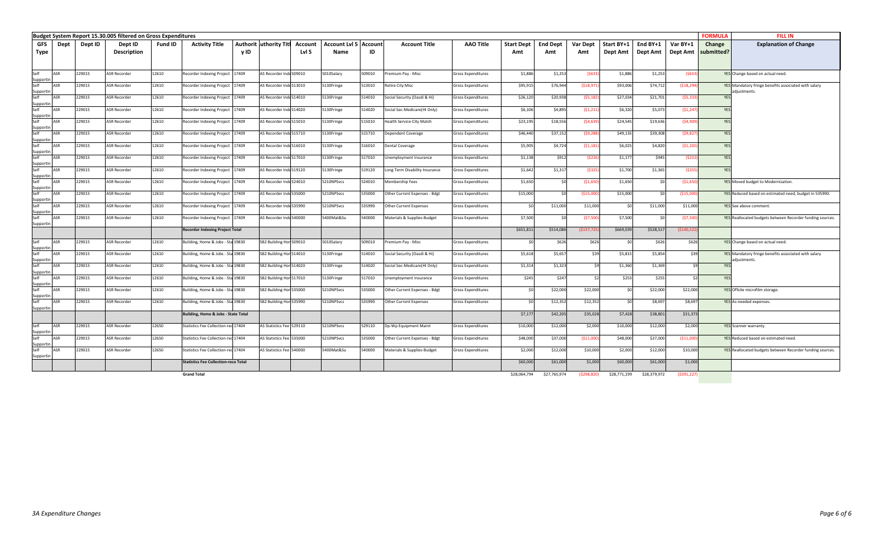|                                 |         | Budget System Report 15.30.005 filtered on Gross Expenditures |         |                                             |      |                                 |         |                              |        |                                  |                    |                   |                 |                 |              |              |              | <b>FORMULA</b>        | <b>FILL IN</b>                                            |
|---------------------------------|---------|---------------------------------------------------------------|---------|---------------------------------------------|------|---------------------------------|---------|------------------------------|--------|----------------------------------|--------------------|-------------------|-----------------|-----------------|--------------|--------------|--------------|-----------------------|-----------------------------------------------------------|
| <b>GFS</b><br>Dept              | Dept ID | Dept ID                                                       | Fund ID | <b>Activity Title</b>                       |      | <b>Authorit uthority Titl</b>   | Account | <b>Account Lvl 5 Account</b> |        | <b>Account Title</b>             | <b>AAO Title</b>   | <b>Start Dept</b> | <b>End Dept</b> | <b>Var Dept</b> | Start BY+1   | End BY+1     | Var BY+1     | Change                | <b>Explanation of Change</b>                              |
| Type                            |         | <b>Description</b>                                            |         |                                             | v ID |                                 | Lvl 5   | Name                         | ID     |                                  |                    | Amt               | Amt             | Amt             | Dept Amt     | Dept Amt     |              | Dept Amt   submitted? |                                                           |
|                                 |         |                                                               |         |                                             |      |                                 |         |                              |        |                                  |                    |                   |                 |                 |              |              |              |                       |                                                           |
|                                 |         |                                                               |         |                                             |      |                                 |         |                              |        |                                  |                    |                   |                 |                 |              |              |              |                       |                                                           |
| Self<br>ASR<br>Supportin        | 229015  | <b>ASR Recorder</b>                                           | 12610   | Recorder Indexing Project 17409             |      | AS Recorder Inde 509010         |         | 010Salary                    | 509010 | Premium Pay - Misc               | Gross Expenditures | \$1,886           | \$1,253         | (5633)          | \$1,886      | \$1,253      | (5633)       |                       | YES Change based on actual need.                          |
| Self<br><b>ASR</b>              | 229015  | <b>ASR Recorder</b>                                           | 12610   | Recorder Indexing Project 17409             |      | AS Recorder Inde 513010         |         | 5130Fringe                   | 513010 | Retire City Misc                 | Gross Expenditures | \$95,91           | \$76,944        | (518, 97)       | \$93,006     | \$74,712     | (518, 294)   |                       | YES Mandatory fringe benefits associated with salary      |
| Supportin<br>Self               |         |                                                               |         |                                             |      |                                 |         |                              |        |                                  |                    |                   |                 |                 |              |              |              |                       | adjustments.                                              |
| ASR<br>Supportin                | 229015  | <b>ASR Recorder</b>                                           | 12610   | Recorder Indexing Project 17409             |      | AS Recorder Inde 514010         |         | 5130Fringe                   | 514010 | Social Security (Oasdi & Hi)     | Gross Expenditures | \$26,12           | \$20,938        | (55, 182)       | \$27,034     | \$21,701     | (55, 333)    | YES                   |                                                           |
| Self<br>ASR                     | 229015  | <b>ASR Recorder</b>                                           | 12610   | Recorder Indexing Project 17409             |      | AS Recorder Inde 514020         |         | 5130Fringe                   | 514020 | Social Sec-Medicare(HI Only)     | Gross Expenditures | \$6,106           | \$4,895         | (51, 211)       | \$6,320      | \$5,073      | (51, 247)    | YES                   |                                                           |
| Supportin<br>Self<br>ASR        | 229015  | <b>ASR Recorder</b>                                           | 12610   | Recorder Indexing Project 17409             |      | AS Recorder Inde 515010         |         | 5130Fringe                   | 515010 | <b>Health Service-City Match</b> | Gross Expenditures | \$23,195          | \$18,556        | (54, 639)       | \$24,545     | \$19,636     | (54,909)     | YES                   |                                                           |
| Supportin                       |         |                                                               |         |                                             |      |                                 |         |                              |        |                                  |                    |                   |                 |                 |              |              |              |                       |                                                           |
| Self<br>ASR                     | 229015  | <b>ASR Recorder</b>                                           | 12610   | Recorder Indexing Project 17409             |      | AS Recorder Inde 515710         |         | 5130Fringe                   | 515710 | Dependent Coverage               | iross Expenditures | \$46,440          | \$37,152        | (59, 288)       | \$49,135     | \$39,308     | (59, 827)    | YES                   |                                                           |
| Supportin<br>Self<br>ASR        | 229015  | <b>ASR Recorder</b>                                           | 12610   | Recorder Indexing Project 17409             |      | AS Recorder Inde 516010         |         | 5130Fringe                   | 516010 | Dental Coverage                  | Gross Expenditures | \$5,905           | \$4,724         | (51, 181)       | \$6,025      | \$4,820      | (51, 205)    | YES                   |                                                           |
| Supportin                       |         |                                                               |         |                                             |      |                                 |         |                              |        |                                  |                    |                   |                 |                 |              |              |              |                       |                                                           |
| Self<br><b>ASR</b>              | 229015  | <b>ASR Recorder</b>                                           | 12610   | Recorder Indexing Project 17409             |      | AS Recorder Inde 517010         |         | 5130Fringe                   | 517010 | Jnemployment Insurance           | Gross Expenditures | \$1,138           | \$912           | (5226           | \$1,177      | \$945        | (5232)       | YES                   |                                                           |
| Supportin<br>Self<br>ASR        | 229015  | <b>ASR Recorder</b>                                           | 12610   | Recorder Indexing Project 17409             |      | AS Recorder Inde 519120         |         | 5130Fringe                   | 519120 | Long Term Disability Insurance   | Gross Expenditures | \$1,642           | \$1,31]         | (\$32!          | \$1,700      | \$1,365      | (5335)       | <b>YES</b>            |                                                           |
| Supportin                       |         |                                                               |         |                                             |      |                                 |         |                              |        |                                  |                    |                   |                 |                 |              |              |              |                       |                                                           |
| Self<br>ASR<br>Supportin        | 229015  | <b>ASR Recorder</b>                                           | 12610   | Recorder Indexing Project 17409             |      | AS Recorder Inde 524010         |         | 210NPSvcs                    | 524010 | Membership Fees                  | Gross Expenditures | \$1,650           | \$0             | ( \$1,650       | \$1,650      | \$0          | ( \$1,650    |                       | YES Moved budget to Modernization.                        |
| Self<br>ASR                     | 229015  | <b>ASR Recorder</b>                                           | 12610   | Recorder Indexing Project 17409             |      | AS Recorder Inde535000          |         | 210NPSvcs                    | 535000 | Other Current Expenses - Bdgt    | Gross Expenditures | \$15,000          | \$0             | ( \$15,000      | \$15,000     | \$0          | (\$15,000]   |                       | YES Reduced based on estimated need, budget in 535990.    |
| Supportin                       |         |                                                               |         |                                             |      |                                 |         |                              |        |                                  |                    |                   |                 |                 |              |              |              |                       |                                                           |
| Self<br>ASR<br>Supportin        | 229015  | <b>ASR Recorder</b>                                           | 12610   | Recorder Indexing Project 17409             |      | <b>AS Recorder Inde 535990</b>  |         | 210NPSvcs                    | 535990 | Other Current Expenses           | Gross Expenditures | \$0               | \$11,000        | \$11,000        | SO           | \$11,000     | \$11,000     |                       | YES See above comment.                                    |
| Self<br><b>ASR</b>              | 229015  | <b>ASR Recorder</b>                                           | 12610   | Recorder Indexing Project 17409             |      | AS Recorder Inde540000          |         | 400Mat&Su                    | 540000 | Materials & Supplies-Budget      | Gross Expenditures | \$7,500           | 50              | (57,500         | \$7,500      | \$C          | (57,500)     |                       | YES Reallocated budgets between Recorder funding sources. |
| Supportin                       |         |                                                               |         |                                             |      |                                 |         |                              |        |                                  |                    | \$651,81          | \$514,086       |                 | \$669,039    | \$528,517    | ( \$140, 522 |                       |                                                           |
|                                 |         |                                                               |         | <b>Recorder Indexing Project Total</b>      |      |                                 |         |                              |        |                                  |                    |                   |                 | ( \$137, 72     |              |              |              |                       |                                                           |
| Self<br>ASR                     | 229015  | <b>ASR Recorder</b>                                           | 12610   | Building, Home & Jobs - Sta 19830           |      | SB2 Building Hon 509010         |         | 5010Salary                   | 09010  | Premium Pay - Misc               | Gross Expenditures |                   | \$626           | \$626           | \$ſ          | \$626        | \$626        |                       | YES Change based on actual need.                          |
| Supportin<br>Self<br>ASR        | 229015  | <b>ASR Recorder</b>                                           | 12610   | Building, Home & Jobs - Sta 19830           |      | SB2 Building Hon 514010         |         | 5130Fringe                   | 514010 | Social Security (Oasdi & Hi)     | Gross Expenditures | \$5,618           | \$5,657         | \$39            | \$5,815      | \$5,854      | \$39         |                       | YES Mandatory fringe benefits associated with salary      |
| Supportin                       |         |                                                               |         |                                             |      |                                 |         |                              |        |                                  |                    |                   |                 |                 |              |              |              |                       | adjustments.                                              |
| Self<br><b>ASR</b>              | 229015  | <b>ASR Recorder</b>                                           | 12610   | Building, Home & Jobs - Sta 19830           |      | SB2 Building Hon 514020         |         | 5130Fringe                   | 514020 | Social Sec-Medicare(HI Only)     | Gross Expenditures | \$1,314           | \$1,323         | \$9             | \$1,360      | \$1,369      | \$9          | YES                   |                                                           |
| Supportin<br>Self<br>ASR        | 229015  | <b>ASR Recorder</b>                                           | 12610   | Building, Home & Jobs - Sta 19830           |      | SB2 Building Hon 517010         |         | 5130Fringe                   | 17010  | nemployment Insurance            | iross Expenditures | \$245             | \$247           | \$2             | \$253        | \$255        | \$2          | YF*                   |                                                           |
| Supportin                       |         |                                                               |         |                                             |      |                                 |         |                              |        |                                  |                    |                   |                 |                 |              |              |              |                       |                                                           |
| Self<br>ASR                     | 229015  | <b>ASR Recorder</b>                                           | 12610   | Building, Home & Jobs - Sta 19830           |      | SB2 Building Hon 535000         |         | 5210NPSvcs                   | 535000 | Other Current Expenses - Bdgt    | Gross Expenditures | \$0               | \$22,000        | \$22,000        | \$0          | \$22,000     | \$22,000     |                       | YES Offsite microfilm storage                             |
| Supportin<br>Self<br><b>ASR</b> | 229015  | <b>ASR Recorder</b>                                           | 12610   | Building, Home & Jobs - Sta 19830           |      | SB2 Building Hon 535990         |         | 210NPSvcs                    | 535990 | Other Current Expenses           | Gross Expenditures | 50                | \$12,352        | \$12,352        | SO           | \$8,697      | \$8,697      |                       | YES As-needed expenses.                                   |
| Supportin                       |         |                                                               |         |                                             |      |                                 |         |                              |        |                                  |                    |                   |                 |                 |              |              |              |                       |                                                           |
|                                 |         |                                                               |         | Building, Home & Jobs - State Total         |      |                                 |         |                              |        |                                  |                    | \$7,17            | \$42,205        | \$35,028        | \$7,428      | \$38,801     | \$31,373     |                       |                                                           |
| Self<br><b>ASR</b>              | 229015  | <b>ASR Recorder</b>                                           | 12650   | Statistics Fee Collection-rec 17404         |      | AS Statistics Fee 529110        |         | 210NPSvcs                    | 529110 | Dp-Wp Equipment Maint            | Gross Expenditures | \$10,000          | \$12,000        | \$2,000         | \$10,000     | \$12,000     | \$2,000      |                       | YES Scanner warranty.                                     |
| Supportin<br>Self<br>ASR        | 229015  |                                                               | 12650   |                                             |      |                                 |         | 210NPSvcs                    |        |                                  |                    |                   |                 |                 |              |              |              |                       | YES Reduced based on estimated need.                      |
| Supportin                       |         | <b>ASR Recorder</b>                                           |         | Statistics Fee Collection-rec 17404         |      | AS Statistics Fee 535000        |         |                              | 535000 | Other Current Expenses - Bdgt    | Gross Expenditures | \$48,000          | \$37,000        | ( \$11,000      | \$48,000     | \$37,000     | ( \$11,000]  |                       |                                                           |
| Self<br>ASR                     | 229015  | <b>ASR Recorder</b>                                           | 12650   | Statistics Fee Collection-rec 17404         |      | <b>AS Statistics Fee 540000</b> |         | 400Mat&Su                    | 540000 | Materials & Supplies-Budget      | Gross Expenditures | \$2,000           | \$12,000        | \$10,000        | \$2,000      | \$12,000     | \$10,000     |                       | YES Reallocated budgets between Recorder funding sources. |
| Supportin                       |         |                                                               |         | <b>Statistics Fee Collection-reco Total</b> |      |                                 |         |                              |        |                                  |                    | \$60,000          | \$61,000        | \$1,000         | \$60,000     | \$61,000     | \$1,000      |                       |                                                           |
|                                 |         |                                                               |         |                                             |      |                                 |         |                              |        |                                  |                    |                   |                 |                 |              |              |              |                       |                                                           |
|                                 |         |                                                               |         | <b>Grand Total</b>                          |      |                                 |         |                              |        |                                  |                    | \$28,064,794      | \$27,765,974    | (5298, 820)     | \$28,771,199 | \$28,379,972 | (5391, 227)  |                       |                                                           |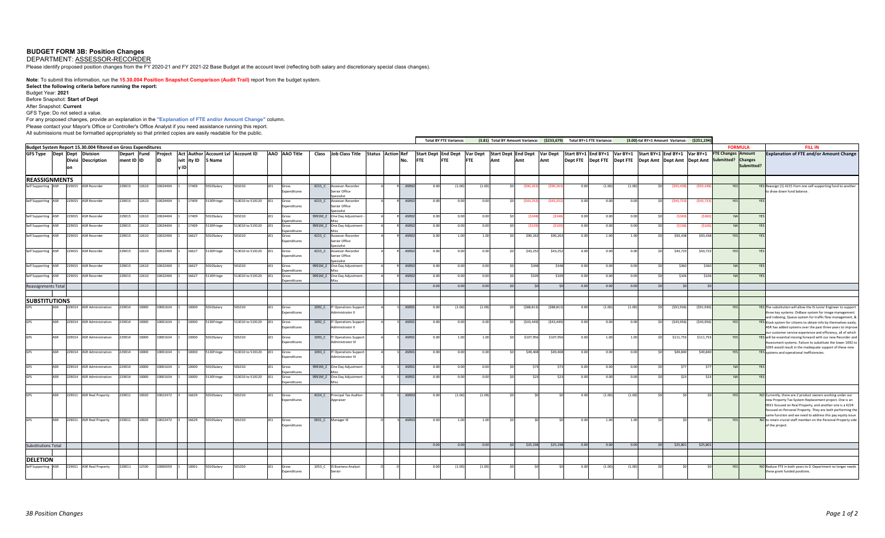### **BUDGET FORM 3B: Position Changes**

DEPARTMENT: ASSESSOR-RECORDER

Please identify proposed position changes from the FY 2020-21 and FY 2021-22 Base Budget at the account level (reflecting both salary and discretionary special class changes).

**Note**: To submit this information, run the **15.30.004 Position Snapshot Comparison (Audit Trail)** report from the budget system. **Select the following criteria before running the report:**  Budget Year: **2021** Before Snapshot: **Start of Dept** After Snapshot: **Current** GFS Type: Do not select a value. For any proposed changes, provide an explanation in the **"Explanation of FTE and/or Amount Change"** column.

Please contact your Mayor's Office or Controller's Office Analyst if you need assistance running this report.

All submissions must be formatted appropriately so that printed copies are easily readable for the public.

|                                        |            |        |                                                               |            |             |                       |                    |            |                                   |     |                       |        |                                                  |  |             |            | <b>Total BY FTE Variance:</b> |            |     | (3.81) Total BY Amount Variance: (\$233,679) Total BY+1 FTE Variance: |              |      |        |        | (3.00) tal BY+1 Amount Variance: (\$251,194)              |            |            |                                                                                                       |                |                                                                                                                                                                                                                                                                                                              |
|----------------------------------------|------------|--------|---------------------------------------------------------------|------------|-------------|-----------------------|--------------------|------------|-----------------------------------|-----|-----------------------|--------|--------------------------------------------------|--|-------------|------------|-------------------------------|------------|-----|-----------------------------------------------------------------------|--------------|------|--------|--------|-----------------------------------------------------------|------------|------------|-------------------------------------------------------------------------------------------------------|----------------|--------------------------------------------------------------------------------------------------------------------------------------------------------------------------------------------------------------------------------------------------------------------------------------------------------------|
|                                        |            |        | Budget System Report 15.30.004 filtered on Gross Expenditures |            |             |                       |                    |            |                                   |     |                       |        |                                                  |  |             |            |                               |            |     |                                                                       |              |      |        |        |                                                           |            |            |                                                                                                       | <b>FORMULA</b> | <b>FILL IN</b>                                                                                                                                                                                                                                                                                               |
| <b>GFS Type</b>                        |            |        | Dept Dept Division<br><b>Divisi Description</b>               | ment ID ID | Depart Fund | Project<br><b>IID</b> | ivit ity ID 5 Name |            | Act Author Account Lvl Account ID |     | AAO AAO Title         |        | Class Job Class Title Status Action Ref          |  | No.         | <b>FTE</b> | <b>FTE</b>                    | <b>FTE</b> | Amt | Start Dept End Dept Var Dept Start Dept End Dept Var Dept<br>Amt      | Amt          |      |        |        | Start BY+1 End BY+1 Var BY+1 Start BY+1 End BY+1 Var BY+1 |            |            | <b>FTE Changes Amount</b><br>Dept FTE Dept FTE Dept FTE Dept Amt Dept Amt Dept Amt Submitted? Changes | Submitted?     | <b>Explanation of FTE and/or Amount Change</b>                                                                                                                                                                                                                                                               |
| <b>REASSIGNMENTS</b>                   |            |        |                                                               |            |             |                       |                    |            |                                   |     |                       |        |                                                  |  |             |            |                               |            |     |                                                                       |              |      |        |        |                                                           |            |            |                                                                                                       |                |                                                                                                                                                                                                                                                                                                              |
| Self Supporting ASR                    |            | 229015 | <b>ASR Recorder</b>                                           | 229015     | 12610       | 10024404              | 17409              | 010Salary  | 01010                             | 101 | Gross<br>xpenditures  | 4215_C | Assessor-Recorder<br>enior Office                |  | ASRO        | 0.00       | (1.00)                        | (1.00)     |     | (\$90,26                                                              | $($ \$90,26  | 0.00 | (1.00) | (1.00) |                                                           | (\$93,438  | (\$93,438  |                                                                                                       |                | YES Reassign (1) 4215 from one self-supporting fund to another<br>to draw down fund balance.                                                                                                                                                                                                                 |
| Self Supporting ASR                    |            |        | 229015 ASR Recorder                                           | 229015     | 12610       | 10024404              | 17409              | 5130Fringe | 513010 to 519120                  |     | Gross<br>xpenditures  | 4215_C | Assessor-Recorder<br>enior Office                |  | ASRO        | 0.00       | 0.00                          | 0.00       |     | (543, 25)                                                             | (543, 25)    | 0.00 | 0.00   | 0.00   |                                                           | (543, 723) | (543, 723) |                                                                                                       |                |                                                                                                                                                                                                                                                                                                              |
| Self Supporting                        | ASR        |        | 229015 ASR Recorder                                           | 229015     | 12610       | 10024404              | 17409              | 5010Salary | 501010                            |     | iross<br>nenditure    |        | 9991M_Z One Day Adjustment                       |  | ASRO        | 0.00       | 0.00                          | 0.00       |     | (\$34)                                                                |              | 0.00 | 0.00   | 0.00   |                                                           | (\$36)     | (\$360     |                                                                                                       |                |                                                                                                                                                                                                                                                                                                              |
| Self Supporting ASR                    |            |        | 229015 ASR Recorder                                           | 229015     | 12610       | 10024404              | 17409              | 5130Fringe | 513010 to 519120                  | 101 | Gross<br>nenditures   |        | 9991M_Z One Day Adjustment -                     |  | ASR0        | 0.00       | 0.00                          | 0.00       |     | (510                                                                  | (\$10        | 0.00 | 0.00   | 0.00   |                                                           | (510)      | (5106      | NA                                                                                                    |                |                                                                                                                                                                                                                                                                                                              |
| Self Supporting                        |            | 229015 | <b>ASR Recorder</b>                                           | 229015     | 12610       | 10022469              | 16627              | 010Salary  | 01010                             |     | Gross<br>xpenditures  | 4215_C | Assessor-Recorder<br>enior Office                |  | ASR0        | 0.00       | 1.00                          | 1.00       |     | \$90,263                                                              | \$90,263     | 0.00 | 1.00   | 1.00   |                                                           | \$93,438   | \$93,438   | YE:                                                                                                   |                |                                                                                                                                                                                                                                                                                                              |
| Self Supporting ASR                    |            |        | 229015 ASR Recorder                                           | 229015     | 12610       | 10022469              | 16627              | 5130Fringe | 13010 to 519120                   |     | Gross<br>xpenditures  | 4215_C | Assessor-Recorder<br>enior Office                |  | ASRO        | 0.00       | 0.00                          | 0.00       |     | \$43,252                                                              | \$43,252     | 0.00 | 0.00   | 0.00   |                                                           | \$43,723   | \$43,723   | YF:                                                                                                   |                |                                                                                                                                                                                                                                                                                                              |
| Self Supporting                        | ASR        |        | 229015 ASR Recorder                                           | 229015     | 12610       | 10022469              | 16627              | 5010Salary | 01010                             |     | Gross<br>menditures   |        | 9991M_Z One Day Adjustment                       |  | ASRO        | 0.00       | 0.00                          | 0.00       |     | \$348                                                                 | \$34         | 0.00 | 0.00   | 0.00   |                                                           | \$360      | \$360      |                                                                                                       |                |                                                                                                                                                                                                                                                                                                              |
| Self Supporting ASR                    |            |        | 229015 ASR Recorder                                           | 229015     | 12610       | 10022469              | 16627              | 5130Fringe | 13010 to 519120                   | JO1 | Gross<br>penditures   |        | 9991M_Z One Day Adjustment                       |  | ASRO        | 0.00       | 0.00                          | 0.00       |     | \$109                                                                 | \$109        | 0.00 | 0.00   | 0.00   |                                                           | \$106      | \$106      | <b>NA</b>                                                                                             |                |                                                                                                                                                                                                                                                                                                              |
| <b>Reassignments Total</b>             |            |        |                                                               |            |             |                       |                    |            |                                   |     |                       |        |                                                  |  |             | 0.00       | 0.00                          | 0.00       |     |                                                                       |              | 0.00 | 0.00   | 0.00   |                                                           |            |            |                                                                                                       |                |                                                                                                                                                                                                                                                                                                              |
|                                        |            |        |                                                               |            |             |                       |                    |            |                                   |     |                       |        |                                                  |  |             |            |                               |            |     |                                                                       |              |      |        |        |                                                           |            |            |                                                                                                       |                |                                                                                                                                                                                                                                                                                                              |
| <b>ISUBSTITUTIONS</b>                  | ASR        |        | 229014 ASR Administration                                     | 229014     | 10000       | 10001634              | 10000              | 5010Salary | 501010                            |     | Gross                 |        | 1092_C IT Operations Support                     |  | ASRO        | 0.00       | (1.00)                        | (1.00)     |     | (588, 813)                                                            | ( \$88, 813] | 0.00 | (1.00) | (1.00) |                                                           | (591, 936) | (591, 936) | YES                                                                                                   |                | YES The substitution will allow the IS Junior Engineer to support                                                                                                                                                                                                                                            |
| <b>GFS</b>                             | ASR        |        | 229014 ASR Administration                                     | 229014     | 10000       | 10001634              | 10000              | 5130Fringe | 513010 to 519120                  |     | xpenditures<br>Gross  |        | Administrator II<br>1092_C IT Operations Suppor  |  | ASR0        | 0.00       | 0.00                          | 0.00       |     | (543, 449)                                                            | (543, 449)   | 0.00 | 0.00   | 0.00   |                                                           | (543,956)  | (543,956)  | <b>YES</b>                                                                                            |                | hree key systems: OnBase system for image management<br>and indexing, Queue system for traffic flow management, &<br>YES Kiosk system for citizens to obtain info by themselves easily                                                                                                                       |
| <b>GES</b>                             | <b>ISR</b> |        | 29014 ASR Administration                                      | 229014     | 10000       | 10001634              | 10000              | 6010Salary | 01010                             |     | xpenditures<br>Gross  |        | dministrator II<br>1093_C IT Operations Support  |  | <b>ASRO</b> | 0.00       | 1.00                          | 1.00       |     | \$107,956                                                             | \$107,956    | 0.00 | 1.00   | 1.00   |                                                           | \$111,753  | \$111,753  |                                                                                                       |                | ASR has added systems over the past three years to improve<br>ur customer service experience and efficiency, all of which<br>YES will be essential moving forward with our new Recorder and                                                                                                                  |
| <b>GFS</b>                             | ASR        |        | 229014 ASR Administration                                     | 229014     | 10000       | 10001634              | 10000              | 5130Fringe | 513010 to 519120                  | J01 | xpenditures<br>Gross  |        | Administrator III<br>1093_C IT Operations Suppor |  | ASR0        | 0.00       | 0.00                          | 0.0        |     | \$49,408                                                              | \$49,408     | 0.00 | 0.00   | 0.00   |                                                           | \$49,840   | \$49,840   |                                                                                                       |                | Assessment systems. Failure to substitute the lower 1092 to<br>1093 would result in the inadequate support of these new<br>YES systems and operational inefficiencies.                                                                                                                                       |
| <b>GFS</b>                             | ASR        |        | 229014 ASR Administration                                     | 229014     | 10000       | 10001634              | 10000              | 010Salary  | 501010                            | JO1 | xpenditures<br>Gross  |        | dministrator III<br>9991M_Z One Day Adjustment   |  | <b>ASRO</b> | 0.00       | 0.00                          | 0.00       |     |                                                                       |              | 0.00 | 0.00   | 0.00   |                                                           | \$77       | \$77       |                                                                                                       |                |                                                                                                                                                                                                                                                                                                              |
| GFS                                    |            |        |                                                               |            |             |                       |                    |            |                                   |     | coenditures           |        |                                                  |  |             |            |                               |            |     |                                                                       |              |      |        |        |                                                           |            |            |                                                                                                       |                |                                                                                                                                                                                                                                                                                                              |
|                                        | ASR        | 229014 | <b>ASR Administration</b>                                     | 229014     | 10000       | 10001634              | 10000              | 5130Fringe | 513010 to 519120                  |     | Gross<br>cpenditures  |        | 9991M_Z One Day Adjustment                       |  | <b>ASRO</b> | 0.00       | 0.00                          | 0.0        |     |                                                                       |              | 0.0  | 0.00   | 0.00   |                                                           | \$23       | \$23       |                                                                                                       |                |                                                                                                                                                                                                                                                                                                              |
| GFS                                    | ASR        |        | 229011 ASR Real Property                                      | 229011     | 10020       | 10022472              | 16629              | 5010Salary | 501010                            |     | Gross<br>xpenditures  | 4224_C | Principal Tax Auditor<br>Appraiser               |  | ASRO        | 0.00       | (1.00)                        | (1.00)     |     |                                                                       |              | 0.00 | (1.00) | (1.00) |                                                           |            |            |                                                                                                       |                | NO Currently, there are 2 product owners working under our<br>new Property Tax System Replacement project. One is an<br>0931 focused on Real Property, and another one is a 4224<br>focused on Personal Property. They are both performing the<br>same function and we need to address this pay equity issue |
| <b>GFS</b>                             | ASR        |        | 229011 ASR Real Property                                      | 229011     | 10020       | 10022472              | 16629              | 5010Salary | 501010                            |     | Gross<br>Expenditures |        | 0931_C Manager III                               |  | ASRO        | 0.00       | 1.00                          | 1.01       |     |                                                                       |              | 0.00 | 1.00   | 1.00   |                                                           |            |            | YE:                                                                                                   |                | NO to retain crucial staff member on the Personal Property side<br>of the project.                                                                                                                                                                                                                           |
| <b>Substitutions Total</b>             |            |        |                                                               |            |             |                       |                    |            |                                   |     |                       |        |                                                  |  |             | 0.00       | 0.00                          | 0.00       |     | \$25,198                                                              | \$25,19      | 0.00 | 0.00   | 0.00   |                                                           | \$25,801   | \$25,801   |                                                                                                       |                |                                                                                                                                                                                                                                                                                                              |
|                                        |            |        |                                                               |            |             |                       |                    |            |                                   |     |                       |        |                                                  |  |             |            |                               |            |     |                                                                       |              |      |        |        |                                                           |            |            |                                                                                                       |                |                                                                                                                                                                                                                                                                                                              |
| <b>DELETION</b><br>Self Supporting ASR |            |        | 229011 ASR Real Property                                      | 229011     | 12550       | 10000059              | 10001              | 5010Salary | 501010                            | JO1 | Gross                 |        | 1053_C IS Business Analyst-                      |  |             | 0.00       | (1.00)                        | (1.00)     |     |                                                                       |              | 0.00 | (1.00) | (1.00) |                                                           |            |            |                                                                                                       |                | NO Reduce FTE in both years to 0. Department no longer needs                                                                                                                                                                                                                                                 |
|                                        |            |        |                                                               |            |             |                       |                    |            |                                   |     | Expenditures          |        | Senior                                           |  |             |            |                               |            |     |                                                                       |              |      |        |        |                                                           |            |            |                                                                                                       |                | these grant funded positions.                                                                                                                                                                                                                                                                                |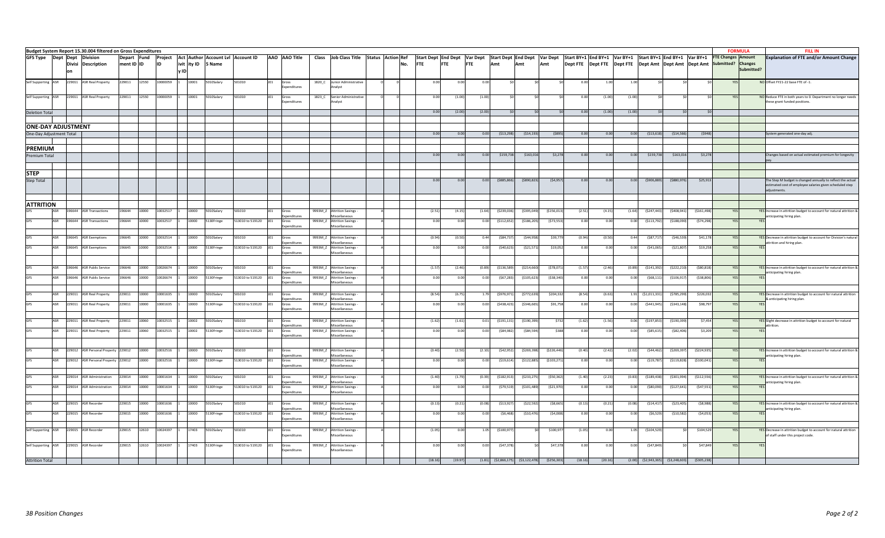|                           |            |               | Budget System Report 15.30.004 filtered on Gross Expenditures |             |       |          |      |       |                    |                                   |                 |                      |         |                                           |  |     |                              |            |            |                                        |              |                              |         |                                                                                          |        |                         |                |               |                    | <b>FORMULA</b> | <b>FILL IN</b>                                                                                         |
|---------------------------|------------|---------------|---------------------------------------------------------------|-------------|-------|----------|------|-------|--------------------|-----------------------------------|-----------------|----------------------|---------|-------------------------------------------|--|-----|------------------------------|------------|------------|----------------------------------------|--------------|------------------------------|---------|------------------------------------------------------------------------------------------|--------|-------------------------|----------------|---------------|--------------------|----------------|--------------------------------------------------------------------------------------------------------|
| GFS Type Dept Dept        |            |               | <b>Division</b>                                               | Depart Fund |       | Project  |      |       |                    | Act Author Account Lvl Account ID |                 | AAO AAO Title        |         | Class Job Class Title Status Action Ref   |  |     | Start Dept End Dept Var Dept |            |            |                                        |              | Start Dept End Dept Var Dept |         | Start BY+1 End BY+1   Var BY+1   Start BY+1   End BY+1   Var BY+1   FTE Changes   Amount |        |                         |                |               |                    |                | <b>Explanation of FTE and/or Amount Change</b>                                                         |
|                           |            | <b>Divisi</b> | <b>Description</b>                                            | ment ID ID  |       | ID       |      |       | ivit ity ID 5 Name |                                   |                 |                      |         |                                           |  | No. | <b>FTE</b>                   | <b>FTE</b> | <b>FTE</b> | Amt                                    | Amt          | Amt                          |         | Dept FTE Dept FTE Dept FTE Dept Amt Dept Amt Dept Amt                                    |        |                         |                |               | Submitted? Changes |                |                                                                                                        |
|                           |            |               |                                                               |             |       |          | v ID |       |                    |                                   |                 |                      |         |                                           |  |     |                              |            |            |                                        |              |                              |         |                                                                                          |        |                         |                |               |                    | Submitted?     |                                                                                                        |
|                           |            |               |                                                               |             |       |          |      |       |                    |                                   |                 |                      |         |                                           |  |     |                              |            |            |                                        |              |                              |         |                                                                                          |        |                         |                |               |                    |                |                                                                                                        |
| Self Supporting ASR       |            | 229011        | <b>ASR Real Property</b>                                      | 229011      | 12550 | 10000059 |      | 10001 | 010Salary          | 01010                             |                 | ross                 | 1820_C  | Junior Administrative                     |  |     | 0.00                         | 0.00       |            |                                        |              |                              | 0.00    | 1.00                                                                                     | 1.00   |                         |                |               |                    |                | NO Offset FY21-22 base FTE of -1.                                                                      |
|                           |            |               |                                                               |             |       |          |      |       |                    |                                   |                 | <i>s</i> penditures  |         | alyst                                     |  |     |                              |            |            |                                        |              |                              |         |                                                                                          |        |                         |                |               |                    |                |                                                                                                        |
|                           |            |               |                                                               |             |       |          |      |       |                    |                                   |                 |                      |         |                                           |  |     |                              |            |            |                                        |              |                              |         |                                                                                          |        |                         |                |               |                    |                |                                                                                                        |
| Self Supporting ASR       |            |               | 229011 ASR Real Property                                      | 229011      | 12550 | 10000059 |      | 10001 | 010Salary          | 501010                            | J01             | Gross<br>xpenditures | 1823_C  | Senior Administrative<br>nalyst           |  |     | 0.00                         | (1.00)     | (1.0)      |                                        |              |                              | 0.0     | (1.00)                                                                                   | (1.00) |                         |                |               |                    |                | NO Reduce FTE in both years to 0. Department no longer needs<br>these grant funded positions.          |
|                           |            |               |                                                               |             |       |          |      |       |                    |                                   |                 |                      |         |                                           |  |     |                              |            |            |                                        |              |                              |         |                                                                                          |        |                         |                |               |                    |                |                                                                                                        |
| <b>Deletion Total</b>     |            |               |                                                               |             |       |          |      |       |                    |                                   |                 |                      |         |                                           |  |     | 0.00                         | (2.00)     | (2.00)     |                                        |              |                              | 0.00    | (1.00)                                                                                   | (1.00) |                         |                |               |                    |                |                                                                                                        |
|                           |            |               |                                                               |             |       |          |      |       |                    |                                   |                 |                      |         |                                           |  |     |                              |            |            |                                        |              |                              |         |                                                                                          |        |                         |                |               |                    |                |                                                                                                        |
| <b>ONE-DAY ADJUSTMENT</b> |            |               |                                                               |             |       |          |      |       |                    |                                   |                 |                      |         |                                           |  |     |                              |            |            |                                        |              |                              |         |                                                                                          |        |                         |                |               |                    |                |                                                                                                        |
|                           |            |               |                                                               |             |       |          |      |       |                    |                                   |                 |                      |         |                                           |  |     |                              |            | 0.00       |                                        |              |                              | 0.00    |                                                                                          |        |                         |                |               |                    |                |                                                                                                        |
| One-Day Adjustment Total  |            |               |                                                               |             |       |          |      |       |                    |                                   |                 |                      |         |                                           |  |     | 0.00                         | 0.00       |            | (513, 298)                             | (514, 193)   | $($ \$895)                   |         | 0.00                                                                                     | 0.00   | (513, 618)              | (514, 566)     | (5948)        |                    |                | System generated one-day adj.                                                                          |
|                           |            |               |                                                               |             |       |          |      |       |                    |                                   |                 |                      |         |                                           |  |     |                              |            |            |                                        |              |                              |         |                                                                                          |        |                         |                |               |                    |                |                                                                                                        |
| PREMIUM                   |            |               |                                                               |             |       |          |      |       |                    |                                   |                 |                      |         |                                           |  |     |                              |            |            |                                        |              |                              |         |                                                                                          |        |                         |                |               |                    |                |                                                                                                        |
| Premium Total             |            |               |                                                               |             |       |          |      |       |                    |                                   |                 |                      |         |                                           |  |     | 0.00                         | 0.00       | 0.00       | \$159,738                              | \$163,01     | \$3,278                      | 0.00    | 0.00                                                                                     | 0.00   | \$159,738               | \$163,016      | \$3,278       |                    |                | Changes based on actual estimated premium for longevity                                                |
|                           |            |               |                                                               |             |       |          |      |       |                    |                                   |                 |                      |         |                                           |  |     |                              |            |            |                                        |              |                              |         |                                                                                          |        |                         |                |               |                    |                |                                                                                                        |
|                           |            |               |                                                               |             |       |          |      |       |                    |                                   |                 |                      |         |                                           |  |     |                              |            |            |                                        |              |                              |         |                                                                                          |        |                         |                |               |                    |                |                                                                                                        |
| <b>STEP</b>               |            |               |                                                               |             |       |          |      |       |                    |                                   |                 |                      |         |                                           |  |     |                              |            |            |                                        |              |                              |         |                                                                                          |        |                         |                |               |                    |                |                                                                                                        |
| <b>Step Total</b>         |            |               |                                                               |             |       |          |      |       |                    |                                   |                 |                      |         |                                           |  |     | 0.00                         | 0.00       | 0.00       | ( \$885, 866)                          | (\$890,823   | (54, 957)                    | 0.00    | 0.00                                                                                     | 0.00   | (\$906,889              | ( \$880, 976)  | \$25,913      |                    |                | The Step M budget is changed annually to reflect the actual                                            |
|                           |            |               |                                                               |             |       |          |      |       |                    |                                   |                 |                      |         |                                           |  |     |                              |            |            |                                        |              |                              |         |                                                                                          |        |                         |                |               |                    |                | estimated cost of employee salaries given scheduled step                                               |
|                           |            |               |                                                               |             |       |          |      |       |                    |                                   |                 |                      |         |                                           |  |     |                              |            |            |                                        |              |                              |         |                                                                                          |        |                         |                |               |                    |                | diustments.                                                                                            |
|                           |            |               |                                                               |             |       |          |      |       |                    |                                   |                 |                      |         |                                           |  |     |                              |            |            |                                        |              |                              |         |                                                                                          |        |                         |                |               |                    |                |                                                                                                        |
| <b>ATTRITION</b>          |            |               |                                                               |             |       |          |      |       |                    |                                   |                 |                      |         |                                           |  |     |                              |            |            |                                        |              |                              |         |                                                                                          |        |                         |                |               |                    |                |                                                                                                        |
|                           | ASR        |               | 196644 ASR Transactions                                       | 196644      | 10000 | 10032517 |      | 10000 | 5010Salary         | 501010                            | J01             | ross                 | 9993M_Z | <b>Attrition Savings -</b>                |  |     | (2.51)                       | (4.15)     | (1.64)     | (\$239,036                             | (\$395,049   | ( \$156,013                  | (2.51)  | (4.15)                                                                                   | (1.64) | (\$247,443              | (\$408,941)    | (\$161,498    |                    |                | YES Increase in attrition budget to account for natural attrition &                                    |
|                           |            |               |                                                               |             |       |          |      |       |                    |                                   |                 |                      |         | scellaneous                               |  |     |                              |            |            |                                        |              |                              |         |                                                                                          |        |                         |                |               |                    |                | anticipating hiring plan.                                                                              |
| GFS                       | ASR        | 196644        | <b>ASR Transactions</b>                                       | 196644      | 10000 | 10032517 |      | 00001 | 5130Fringe         | 513010 to 519120                  | J01             | oss<br>enditure      | 9993M_Z | <b>Attrition Savings -</b>                |  |     | 0.00                         | 0.00       | 0.0        | (5112, 652)                            | ( \$186, 205 | (573, 553                    | 0.00    | 0.00                                                                                     | 0.00   | ( \$113,792             | (\$188,090)    | (574, 298)    |                    |                |                                                                                                        |
|                           |            |               |                                                               |             |       |          |      |       |                    |                                   |                 |                      |         | cellaneous                                |  |     |                              |            |            |                                        |              |                              |         |                                                                                          |        |                         |                |               |                    |                |                                                                                                        |
|                           | ASR        | 196645        | <b>SR Exemptions</b>                                          | 196645      | 10000 | 10032514 |      | 10000 | 5010Salary         | 501010                            |                 | iross                | 9993M Z | <b>Attrition Savings</b>                  |  |     | (0.94)                       | (0.50)     | 0.4        | $($ \$84,73                            | (544, 958)   | \$39,77                      | (0.94)  | (0.50)                                                                                   | 0.44   | $($ \$87,71             | (\$46,539)     | \$41,178      |                    |                | YES Decrease in attrition budget to account for Division's natural                                     |
|                           |            |               |                                                               |             |       |          |      |       |                    |                                   |                 | enditure             |         | cellaneous                                |  |     |                              |            |            |                                        |              |                              |         |                                                                                          |        |                         |                |               |                    |                | sttrition and hiring plan.                                                                             |
|                           | ASR        | 196645        | <b>ASR Exemptions</b>                                         | 196645      | 10000 | 10032514 |      | 0000  | 5130Fringe         | 513010 to 519120                  | J01             | oss                  | 9993M_Z | <b>Attrition Savings -</b>                |  |     | 0.00                         | 0.00       | 0.0        | (540, 623)                             | (521, 571)   | \$19,052                     | 0.00    | 0.00                                                                                     | 0.00   | (541,065                | (521, 807)     | \$19,258      |                    | <b>VFS</b>     |                                                                                                        |
|                           |            |               |                                                               |             |       |          |      |       |                    |                                   |                 | <b>enditure</b>      |         | scellaneous                               |  |     |                              |            |            |                                        |              |                              |         |                                                                                          |        |                         |                |               |                    |                |                                                                                                        |
|                           |            |               |                                                               |             |       |          |      |       |                    |                                   |                 |                      |         |                                           |  |     |                              |            |            |                                        |              |                              |         |                                                                                          |        |                         |                |               |                    |                |                                                                                                        |
|                           | ASR        | 196646        | <b>SR Public Service</b>                                      | 96646       | 10000 | 10026674 |      | 00001 | 010Salary          | 501010                            |                 | iross                | 9993M_Z | <b>Attrition Savings -</b>                |  |     | (1.5)                        | (2.46)     | (0.8)      | ( \$136, 589]                          | (\$214,660   | (578, 071)                   | (1.57)  | (2.46)                                                                                   | (0.89) | (5141, 392)             | (5222, 210)    | $($ \$80,818) |                    |                | YES Increase in attrition budget to account for natural attrition a                                    |
|                           |            |               |                                                               |             |       |          |      |       |                    |                                   |                 | nenditures           |         | <b>liscellaneous</b>                      |  |     |                              |            |            |                                        |              |                              |         |                                                                                          |        |                         |                |               |                    |                | anticipating hiring plan.                                                                              |
|                           | ASR        | 196646        | <b>ASR Public Service</b>                                     | 96646       | 10000 | 0026674  |      | 0000  | 130Fringe          | 13010 to 519120                   |                 | 'OSS                 | 9993M Z | <b>Attrition Savings</b>                  |  |     | 0.01                         | 0.00       |            | (567, 283)                             | (5105, 623)  | (538, 340)                   | 0.00    | 0.00                                                                                     | 0.00   | (568, 11)               | (\$106,917     | ( \$38, 806)  |                    |                |                                                                                                        |
|                           |            |               |                                                               |             |       |          |      |       |                    |                                   |                 | nenditures           |         | iscollanoous                              |  |     |                              |            |            |                                        |              |                              |         |                                                                                          |        |                         |                |               |                    |                |                                                                                                        |
|                           |            |               |                                                               |             |       |          |      |       |                    |                                   |                 |                      |         |                                           |  |     |                              |            |            |                                        |              |                              |         |                                                                                          |        |                         |                |               |                    |                |                                                                                                        |
|                           | ۹SR        | 229011        | SR Real Property                                              | 29011       | 00001 | 10001635 |      | 0000  | 010Salary          | 01010                             |                 | iross<br>anditu      | 9993M Z | Attrition Savings -<br>بممودالوه          |  |     | (8.54)                       | (6.75)     |            | (\$976,971                             | (5772, 639)  | \$204,33                     | (8.54)  | (6.63)                                                                                   | 1.9    | (51,011,33)             | (5785, 299     | \$226,032     |                    |                | YES Decrease in attrition budget to account for natural attrition<br>& anticipating hiring plan.       |
|                           | ASR        | 229011        | SR Real Property                                              | 29011       | 10000 | 10001635 |      | 10000 | 5130Fringe         | 513010 to 519120                  |                 | ross                 | 9993M Z | <b>Attrition Savings -</b>                |  |     | 0.00                         | 0.00       | 0.0        | (5438, 423)                            | (\$346,665   | \$91,75                      | 0.00    | 0.00                                                                                     | 0.00   | (\$441,945              | ( \$343, 148)  | \$98,797      | YE!                |                |                                                                                                        |
|                           |            |               |                                                               |             |       |          |      |       |                    |                                   |                 | nenditures           |         | <b>liscellaneous</b>                      |  |     |                              |            |            |                                        |              |                              |         |                                                                                          |        |                         |                |               |                    |                |                                                                                                        |
|                           |            |               |                                                               |             |       |          |      |       |                    |                                   |                 |                      |         |                                           |  |     |                              |            |            |                                        |              |                              |         |                                                                                          |        |                         |                |               |                    |                |                                                                                                        |
|                           | <b>ASR</b> | 229011        | <b>SR Real Property</b>                                       | 229011      | 10060 | 10032515 |      | 0002  | 010Salary          | 501010                            |                 | iross                | 9993M_Z | <b>Attrition Savings</b>                  |  |     | (1.62)                       | (1.61)     |            | (5191, 131)                            | (\$190,399   | \$732                        | (1.62)  | (1.56)                                                                                   | 0.0    | (5197, 853)             | ( \$190, 399)  | \$7,454       |                    |                | YES Slight decrease in attrition budget to account for natural                                         |
|                           | ASR        | 229011        | <b>ASR Real Property</b>                                      | 29011       | 10060 |          |      | 10002 | 5130Fringe         | 513010 to 519120                  | J01             | nenditures<br>iross  | 9993M Z | scellaneous<br><b>Attrition Savings</b>   |  |     | 0.00                         | 0.00       | 0.0        | (\$84,982)                             | (\$84,594    | \$388                        | 0.00    | 0.00                                                                                     | 0.00   | $($ \$85,615            | ( \$82,406)    | \$3,209       |                    |                | rition.                                                                                                |
|                           |            |               |                                                               |             |       | 10032515 |      |       |                    |                                   |                 | nditu                |         | cellaneou                                 |  |     |                              |            |            |                                        |              |                              |         |                                                                                          |        |                         |                |               |                    |                |                                                                                                        |
|                           |            |               |                                                               |             |       |          |      |       |                    |                                   |                 |                      |         |                                           |  |     |                              |            |            |                                        |              |                              |         |                                                                                          |        |                         |                |               |                    |                |                                                                                                        |
|                           |            |               |                                                               |             |       |          |      |       |                    |                                   |                 |                      |         |                                           |  |     |                              |            |            |                                        |              |                              |         |                                                                                          |        |                         |                |               |                    |                |                                                                                                        |
|                           | ASR        | 229012        | <b>ASR Personal Property</b>                                  | 229012      | 10000 | 10032516 |      | 10000 | 5010Salary         | 501010                            | 101             | ross<br>enditures    | 9993M Z | <b>Attrition Savings</b><br>scellaneous   |  |     | (0.40)                       | (2.50)     | (2.1)      | (\$42,952)                             | (\$269,398   | (\$226,446                   | (0.40)  | (2.42)                                                                                   | (2.02) | (\$44,462               | (\$269,397     | (\$224,935    |                    |                | YES Increase in attrition budget to account for natural attrition &<br>anticipating hiring plan.       |
|                           | ASR        | 229012        | ASR Personal Property 229012                                  |             | 10000 | 10032516 |      | 0000  | 5130Fringe         | 513010 to 519120                  | 101             | 'OSS                 |         | 9993M_Z Attrition Savings -               |  |     | 0.00                         | 0.00       | 0.0        | (519, 614)                             | (\$122,885   | (5103, 271)                  | 0.00    | 0.00                                                                                     | 0.00   | (\$19,787               | ( \$119, 828)  | ( \$100,041)  |                    |                |                                                                                                        |
|                           |            |               |                                                               |             |       |          |      |       |                    |                                   |                 | enditures            |         | scellaneous                               |  |     |                              |            |            |                                        |              |                              |         |                                                                                          |        |                         |                |               |                    |                |                                                                                                        |
|                           |            |               |                                                               |             |       |          |      |       |                    |                                   |                 |                      |         |                                           |  |     |                              |            |            |                                        |              |                              |         |                                                                                          |        |                         |                |               |                    |                |                                                                                                        |
|                           | <b>ASR</b> | 229014        | <b>ASR Administration</b>                                     | 229014      | 10000 | 10001634 |      | 10000 | 5010Salary         | 501010                            | 101             | iross                |         | 9993M_Z Attrition Savings -               |  |     | (1.40)                       | (1.79)     | (0.39)     | (5182, 913)                            | (\$233,275   | (550, 362)                   | (1.40)  | (2.23)                                                                                   | (0.83) | (\$189,438              | ( \$301, 994)  | (\$112,556)   |                    |                | YES Increase in attrition budget to account for natural attrition &                                    |
|                           |            |               |                                                               |             |       |          |      |       |                    |                                   |                 |                      |         | cellaneous                                |  |     |                              |            |            |                                        |              |                              |         |                                                                                          |        |                         |                |               |                    |                | nticipating hiring plan.                                                                               |
|                           | ASR        | 229014        | <b>ASR Administration</b>                                     | 229014      | 10000 | 10001634 |      | 10000 | 5130Fringe         | 513010 to 519120                  | JO1             | iross<br>nditures    | 9993M_Z | Attrition Savings -<br>scellaneous        |  |     | 0.00                         | 0.00       | 0.0        | (\$79,519                              | (\$101,489   | (\$21,970                    | 0.00    | 0.00                                                                                     | 0.00   | (\$80,090               | (5127, 641)    | (547, 551)    |                    |                |                                                                                                        |
|                           |            |               |                                                               |             |       |          |      |       |                    |                                   |                 |                      |         |                                           |  |     |                              |            |            |                                        |              |                              |         |                                                                                          |        |                         |                |               |                    |                |                                                                                                        |
|                           | ASR        | 229015        | <b>SR Recorder</b>                                            | 229015      | 00001 | 0001636  |      | 0000  | 010Salary          | 01010                             | 01              | ross                 | 9993M Z | <b>Attrition Savings</b>                  |  |     | (0.13)                       | (0.21)     | (0.0)      | (513, 92)                              | (\$22,592    | $($ \$8,665                  | (0.13)  | (0.21)                                                                                   | (0.08) | (S14, 41)               | (\$23,405      | $($ \$8,988   |                    |                | YES Increase in attrition budget to account for natural attrition &                                    |
|                           |            |               |                                                               |             |       |          |      |       |                    |                                   |                 |                      |         | cellaneou:                                |  |     |                              |            |            |                                        |              |                              |         |                                                                                          |        |                         |                |               |                    |                | inticipating hiring plan.                                                                              |
|                           | ASR        | 229015        | ASR Recorder                                                  | 229015      | 10000 | 10001636 |      | 10000 | 5130Fringe         | 513010 to 519120                  | JO <sub>1</sub> | oss                  | 9993M_Z | <b>Attrition Savings -</b>                |  |     | 0.00                         | 0.00       | 0.0        | (56, 468)                              | (510, 476)   | (54,008                      | 0.00    | 0.00                                                                                     | 0.00   | (56, 529)               | ( \$10,582)    | (54, 053)     | YES                |                |                                                                                                        |
|                           |            |               |                                                               |             |       |          |      |       |                    |                                   |                 |                      |         | cellaneou                                 |  |     |                              |            |            |                                        |              |                              |         |                                                                                          |        |                         |                |               |                    |                |                                                                                                        |
|                           |            |               |                                                               |             |       |          |      |       |                    |                                   |                 |                      |         |                                           |  |     |                              |            |            |                                        |              |                              |         |                                                                                          |        |                         |                |               |                    |                |                                                                                                        |
| Self Supporting ASR       |            |               | 229015 ASR Recorder                                           | 229015      | 12610 | 10024397 |      | 17403 | 5010Salary         | 501010                            | J01             | Gross<br>coenditures |         | 9993M_Z Attrition Savings<br>iscellaneous |  |     | (1.05)                       | 0.00       | 1.0        | (\$100,977                             |              | \$100,97                     | (1.05)  | 0.00                                                                                     | 1.05   | (\$104,529              |                | \$104,529     |                    |                | YES Decrease in attrition budget to account for natural attrition<br>of staff under this project code. |
|                           |            |               |                                                               |             |       |          |      |       |                    |                                   |                 |                      |         |                                           |  |     |                              |            |            |                                        |              |                              |         |                                                                                          |        |                         |                |               |                    |                |                                                                                                        |
| Self Supporting ASR       |            |               | 229015 ASR Recorder                                           | 229015      | 12610 | 10024397 |      | 17403 | 5130Fringe         | 513010 to 519120                  |                 | ross                 | 9993M Z | <b>Attrition Savings</b>                  |  |     | 0.00                         | 0.00       | 0.0        | (\$47,378                              |              | \$47,37                      | 0.00    | 0.00                                                                                     | 0.00   | (547, 849)              |                | \$47,849      |                    |                |                                                                                                        |
|                           |            |               |                                                               |             |       |          |      |       |                    |                                   |                 | penditures           |         | scellaneous                               |  |     |                              |            |            |                                        |              |                              |         |                                                                                          |        |                         |                |               |                    |                |                                                                                                        |
| <b>Attrition Total</b>    |            |               |                                                               |             |       |          |      |       |                    |                                   |                 |                      |         |                                           |  |     | (18.16)                      | (19.97)    |            | $(1.81)$ $(52,866,175)$ $(53,122,478)$ |              | (5256, 303)                  | (18.16) | (20.16)                                                                                  |        | $(2.00)$ $(52,943,365)$ | (53, 248, 603) | ( \$305, 238) |                    |                |                                                                                                        |
|                           |            |               |                                                               |             |       |          |      |       |                    |                                   |                 |                      |         |                                           |  |     |                              |            |            |                                        |              |                              |         |                                                                                          |        |                         |                |               |                    |                |                                                                                                        |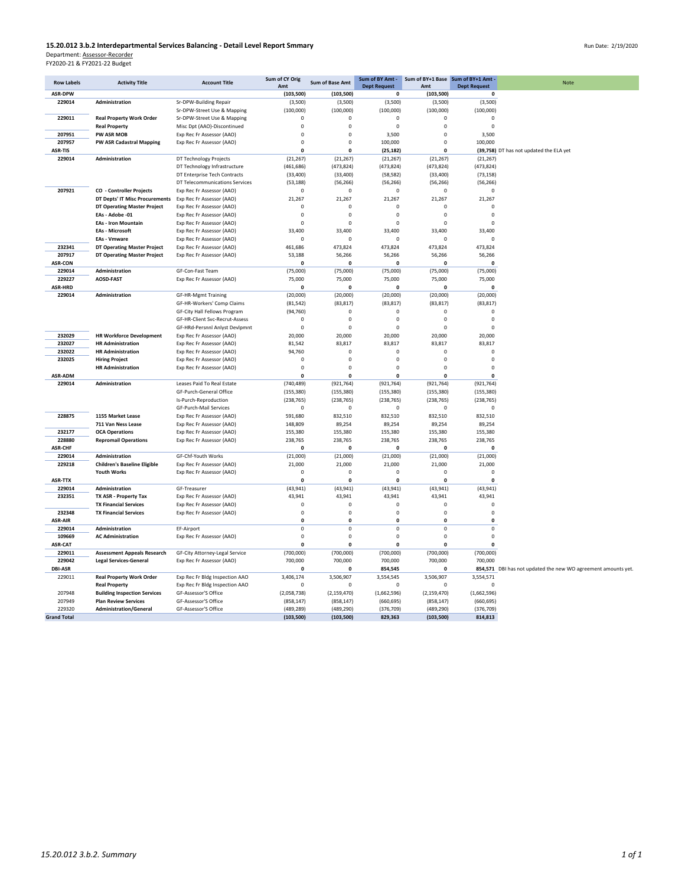## **15.20.012 3.b.2 Interdepartmental Services Balancing - Detail Level Report Smmary**<br>Department: <u>Assessor-Recorder</u><br>FY2020-21 & FY2021-22 Budget

| <b>Row Labels</b>  | <b>Activity Title</b>                              | <b>Account Title</b>                                   | Sum of CY Orig          | Sum of Base Amt          | Sum of BY Amt -            |                         | Sum of BY+1 Base Sum of BY+1 Amt - | Note                                                          |
|--------------------|----------------------------------------------------|--------------------------------------------------------|-------------------------|--------------------------|----------------------------|-------------------------|------------------------------------|---------------------------------------------------------------|
|                    |                                                    |                                                        | Amt                     |                          | <b>Dept Request</b>        | Amt                     | <b>Dept Request</b>                |                                                               |
| <b>ASR-DPW</b>     |                                                    |                                                        | (103, 500)              | (103, 500)               | $\mathbf 0$                | (103, 500)              | 0                                  |                                                               |
| 229014             | Administration                                     | Sr-DPW-Building Repair<br>Sr-DPW-Street Use & Mapping  | (3,500)<br>(100,000)    | (3,500)<br>(100,000)     | (3,500)<br>(100,000)       | (3,500)<br>(100,000)    | (3,500)<br>(100,000)               |                                                               |
| 229011             | <b>Real Property Work Order</b>                    | Sr-DPW-Street Use & Mapping                            | $\mathsf 0$             | $\pmb{0}$                | $\pmb{0}$                  | $\circ$                 | $\mathbf 0$                        |                                                               |
|                    | <b>Real Property</b>                               | Misc Dpt (AAO)-Discontinued                            | $\mathbf 0$             | $\mathbf 0$              | $\overline{0}$             | $\mathbf 0$             | $\mathbf 0$                        |                                                               |
| 207951             | PW ASR MOB                                         | Exp Rec Fr Assessor (AAO)                              | $\mathbf 0$             | $\circ$                  | 3,500                      | $\mathbf 0$             | 3,500                              |                                                               |
| 207957             | <b>PW ASR Cadastral Mapping</b>                    | Exp Rec Fr Assessor (AAO)                              | $\Omega$                | $\Omega$                 | 100,000                    | $\Omega$                | 100,000                            |                                                               |
| <b>ASR-TIS</b>     |                                                    |                                                        | n                       | $\mathbf 0$              | (25, 182)                  | $\mathbf{0}$            |                                    | (39,758) DT has not updated the ELA yet                       |
| 229014             | Administration                                     | DT Technology Projects                                 | (21, 267)               | (21, 267)                | (21, 267)                  | (21, 267)               | (21, 267)                          |                                                               |
|                    |                                                    | DT Technology Infrastructure                           | (461, 686)              | (473, 824)               | (473, 824)                 | (473, 824)              | (473, 824)                         |                                                               |
|                    |                                                    | DT Enterprise Tech Contracts                           | (33, 400)               | (33, 400)                | (58, 582)                  | (33, 400)               | (73, 158)                          |                                                               |
|                    |                                                    | DT Telecommunications Services                         | (53, 188)               | (56, 266)                | (56, 266)                  | (56, 266)               | (56, 266)                          |                                                               |
| 207921             | <b>CO</b> - Controller Projects                    | Exp Rec Fr Assessor (AAO)                              | $\mathbf 0$             | $\circ$                  | $\mathbf{0}$               | $\mathbf 0$             | $\mathbf 0$                        |                                                               |
|                    | DT Depts' IT Misc Procurements                     | Exp Rec Fr Assessor (AAO)                              | 21,267                  | 21,267                   | 21,267                     | 21,267                  | 21,267                             |                                                               |
|                    | DT Operating Master Project                        | Exp Rec Fr Assessor (AAO)                              | $\mathbf 0$             | $^{\circ}$               | $\mathbf 0$                | $\mathbf 0$             | $\mathbf 0$                        |                                                               |
|                    | EAs - Adobe -01                                    | Exp Rec Fr Assessor (AAO)                              | $\Omega$                | $\mathbf 0$              | $\mathbf 0$                | $\Omega$                | $\Omega$                           |                                                               |
|                    | <b>EAs - Iron Mountain</b>                         | Exp Rec Fr Assessor (AAO)                              | $\Omega$                | $\mathbf 0$              | $\mathbf 0$                | $\Omega$                | $\mathbf 0$                        |                                                               |
|                    | <b>EAs - Microsoft</b>                             | Exp Rec Fr Assessor (AAO)                              | 33,400<br>$\Omega$      | 33,400                   | 33,400                     | 33,400<br>$\Omega$      | 33,400                             |                                                               |
| 232341             | <b>EAs - Vmware</b><br>DT Operating Master Project | Exp Rec Fr Assessor (AAO)<br>Exp Rec Fr Assessor (AAO) | 461,686                 | $\mathbf 0$<br>473,824   | $\mathbf 0$<br>473,824     | 473,824                 | $^{\circ}$<br>473,824              |                                                               |
| 207917             | DT Operating Master Project                        | Exp Rec Fr Assessor (AAO)                              | 53,188                  | 56,266                   | 56,266                     | 56,266                  | 56,266                             |                                                               |
| <b>ASR-CON</b>     |                                                    |                                                        | 0                       | 0                        | 0                          | 0                       | 0                                  |                                                               |
| 229014             | Administration                                     | GF-Con-Fast Team                                       | (75,000)                | (75,000)                 | (75,000)                   | (75,000)                | (75,000)                           |                                                               |
| 229227             | <b>AOSD-FAST</b>                                   | Exp Rec Fr Assessor (AAO)                              | 75,000                  | 75,000                   | 75,000                     | 75,000                  | 75,000                             |                                                               |
| <b>ASR-HRD</b>     |                                                    |                                                        | $\mathbf 0$             | $\mathbf 0$              | 0                          | $\mathbf 0$             | 0                                  |                                                               |
| 229014             | Administration                                     | <b>GF-HR-Mgmt Training</b>                             | (20,000)                | (20,000)                 | (20,000)                   | (20,000)                | (20,000)                           |                                                               |
|                    |                                                    | GF-HR-Workers' Comp Claims                             | (81, 542)               | (83, 817)                | (83, 817)                  | (83, 817)               | (83, 817)                          |                                                               |
|                    |                                                    | GF-City Hall Fellows Program                           | (94, 760)               | $\circ$                  | $\mathbf{0}$               | $\mathbf 0$             | 0                                  |                                                               |
|                    |                                                    | GF-HR-Client Svc-Recrut-Assess                         | $\Omega$                | $\Omega$                 | $\mathbf 0$                | $\Omega$                | $\Omega$                           |                                                               |
|                    |                                                    | GF-HRd-Persnnl Anlyst Devlpmnt                         | $\mathbf 0$             | $\overline{0}$           | $\mathbf{0}$               | $\mathbf 0$             | $\mathbf 0$                        |                                                               |
| 232029             | <b>HR Workforce Development</b>                    | Exp Rec Fr Assessor (AAO)                              | 20,000                  | 20,000                   | 20,000                     | 20,000                  | 20,000                             |                                                               |
| 232027             | <b>HR Administration</b>                           | Exp Rec Fr Assessor (AAO)                              | 81,542                  | 83,817                   | 83,817                     | 83,817                  | 83,817                             |                                                               |
| 232022             | <b>HR Administration</b>                           | Exp Rec Fr Assessor (AAO)                              | 94,760                  | $\mathbf 0$              | $\mathbf 0$                | $\mathbf 0$             | $\mathbf 0$                        |                                                               |
| 232025             | <b>Hiring Project</b>                              | Exp Rec Fr Assessor (AAO)                              | $\pmb{0}$               | $\mathbf 0$              | $\mathbf 0$                | $\mathbf 0$<br>$\Omega$ | $\mathbf 0$                        |                                                               |
| ASR-ADM            | <b>HR Administration</b>                           | Exp Rec Fr Assessor (AAO)                              | $\Omega$<br>$\mathbf 0$ | $\Omega$<br>$\mathbf{0}$ | $\mathbf 0$<br>$\mathbf 0$ | $\mathbf 0$             | $\Omega$<br>$\mathbf{0}$           |                                                               |
| 229014             | Administration                                     | Leases Paid To Real Estate                             | (740, 489)              | (921, 764)               | (921, 764)                 | (921, 764)              | (921, 764)                         |                                                               |
|                    |                                                    | GF-Purch-General Office                                | (155, 380)              | (155, 380)               | (155, 380)                 | (155, 380)              | (155, 380)                         |                                                               |
|                    |                                                    | Is-Purch-Reproduction                                  | (238, 765)              | (238, 765)               | (238, 765)                 | (238, 765)              | (238, 765)                         |                                                               |
|                    |                                                    | GF-Purch-Mail Services                                 | $\Omega$                | $\Omega$                 | $\Omega$                   | $\Omega$                | $\mathbf 0$                        |                                                               |
| 228875             | 1155 Market Lease                                  | Exp Rec Fr Assessor (AAO)                              | 591,680                 | 832,510                  | 832,510                    | 832,510                 | 832,510                            |                                                               |
|                    | 711 Van Ness Lease                                 | Exp Rec Fr Assessor (AAO)                              | 148,809                 | 89,254                   | 89,254                     | 89,254                  | 89,254                             |                                                               |
| 232177             | <b>OCA Operations</b>                              | Exp Rec Fr Assessor (AAO)                              | 155,380                 | 155,380                  | 155,380                    | 155,380                 | 155,380                            |                                                               |
| 228880             | <b>Repromail Operations</b>                        | Exp Rec Fr Assessor (AAO)                              | 238,765                 | 238,765                  | 238,765                    | 238,765                 | 238,765                            |                                                               |
| <b>ASR-CHF</b>     |                                                    |                                                        | $\Omega$                | $\Omega$                 | $\mathbf{0}$               | $\Omega$                | $\Omega$                           |                                                               |
| 229014             | Administration                                     | GF-Chf-Youth Works                                     | (21,000)                | (21,000)                 | (21,000)                   | (21,000)                | (21,000)                           |                                                               |
| 229218             | <b>Children's Baseline Eligible</b>                | Exp Rec Fr Assessor (AAO)                              | 21,000                  | 21,000                   | 21,000                     | 21,000                  | 21,000                             |                                                               |
|                    | <b>Youth Works</b>                                 | Exp Rec Fr Assessor (AAO)                              | $\mathbf 0$             | $\mathbf 0$              | $\mathbf 0$                | $\mathbf 0$             | 0                                  |                                                               |
| ASR-TTX<br>229014  | Administration                                     | GF-Treasurer                                           | $\mathbf{0}$            | $\mathbf 0$              | $\mathbf 0$                | $\mathbf 0$             | $\mathbf 0$                        |                                                               |
| 232351             | TX ASR - Property Tax                              | Exp Rec Fr Assessor (AAO)                              | (43, 941)<br>43,941     | (43, 941)<br>43,941      | (43, 941)<br>43,941        | (43, 941)<br>43,941     | (43, 941)<br>43,941                |                                                               |
|                    | <b>TX Financial Services</b>                       | Exp Rec Fr Assessor (AAO)                              | $\mathsf 0$             | $\mathbf 0$              | $\mathbf 0$                | $\mathbf 0$             | $\mathbf 0$                        |                                                               |
| 232348             | <b>TX Financial Services</b>                       | Exp Rec Fr Assessor (AAO)                              | $\mathsf 0$             | $\mathbf 0$              | $\mathbf 0$                | $\mathsf 0$             | $\mathbf 0$                        |                                                               |
| <b>ASR-AIR</b>     |                                                    |                                                        | 0                       | $\pmb{0}$                | $\pmb{0}$                  | $\pmb{0}$               | 0                                  |                                                               |
| 229014             | Administration                                     | EF-Airport                                             | $\mathsf 0$             | $\mathbf 0$              | $\mathbf 0$                | $\mathsf 0$             | $\mathbf 0$                        |                                                               |
| 109669             | <b>AC Administration</b>                           | Exp Rec Fr Assessor (AAO)                              | $\mathsf 0$             | $\mathbf 0$              | $\mathbf 0$                | $\mathsf 0$             | $\mathbf 0$                        |                                                               |
| ASR-CAT            |                                                    |                                                        | $\Omega$                | $\mathbf{0}$             | $\Omega$                   | $\Omega$                | 0                                  |                                                               |
| 229011             | <b>Assessment Appeals Research</b>                 | GF-City Attorney-Legal Service                         | (700,000)               | (700,000)                | (700,000)                  | (700,000)               | (700,000)                          |                                                               |
| 229042             | <b>Legal Services-General</b>                      | Exp Rec Fr Assessor (AAO)                              | 700,000                 | 700,000                  | 700,000                    | 700,000                 | 700,000                            |                                                               |
| <b>DBI-ASR</b>     |                                                    |                                                        | $\Omega$                | $\Omega$                 | 854,545                    | $\Omega$                |                                    | 854,571 DBI has not updated the new WO agreement amounts yet. |
| 229011             | <b>Real Property Work Order</b>                    | Exp Rec Fr Bldg Inspection AAO                         | 3,406,174               | 3,506,907                | 3,554,545                  | 3,506,907               | 3,554,571                          |                                                               |
|                    | <b>Real Property</b>                               | Exp Rec Fr Bldg Inspection AAO                         | 0                       |                          | $\circ$                    | $\mathbf 0$             | $\mathbf 0$                        |                                                               |
| 207948             | <b>Building Inspection Services</b>                | GF-Assessor'S Office                                   | (2,058,738)             | (2, 159, 470)            | (1,662,596)                | (2, 159, 470)           | (1,662,596)                        |                                                               |
| 207949             | <b>Plan Review Services</b>                        | GF-Assessor'S Office                                   | (858, 147)              | (858, 147)               | (660, 695)                 | (858, 147)              | (660, 695)                         |                                                               |
| 229320             | <b>Administration/General</b>                      | GF-Assessor'S Office                                   | (489, 289)              | (489, 290)               | (376, 709)                 | (489, 290)              | (376, 709)                         |                                                               |
| <b>Grand Total</b> |                                                    |                                                        | (103, 500)              | (103, 500)               | 829,363                    | (103, 500)              | 814,813                            |                                                               |